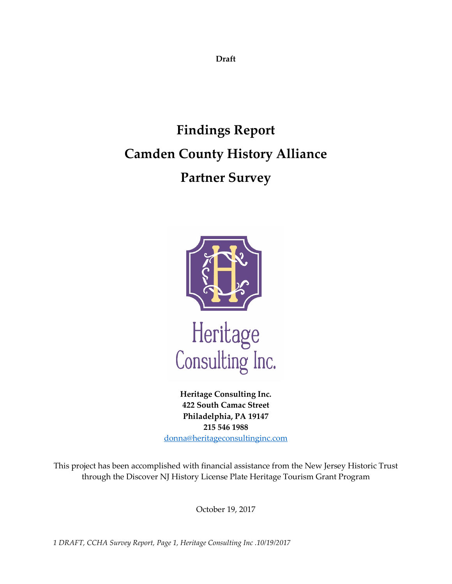**Draft** 

# **Findings Report Camden County History Alliance Partner Survey**



**Heritage Consulting Inc. 422 South Camac Street Philadelphia, PA 19147 215 546 1988** [donna@heritageconsultinginc.com](mailto:donna@heritageconsultinginc.com)

This project has been accomplished with financial assistance from the New Jersey Historic Trust through the Discover NJ History License Plate Heritage Tourism Grant Program

October 19, 2017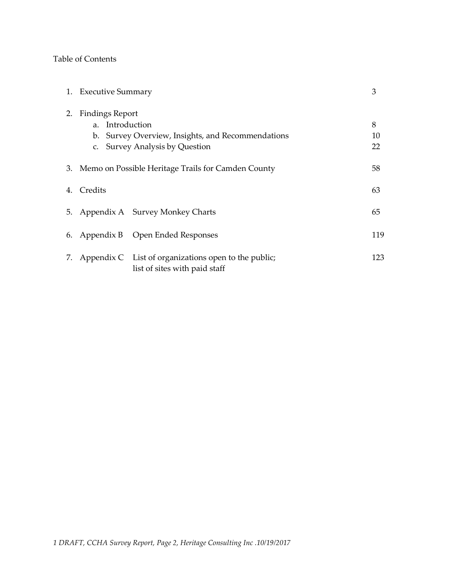### Table of Contents

|    | 1. Executive Summary                                                                                                             |                                                                                          | 3             |
|----|----------------------------------------------------------------------------------------------------------------------------------|------------------------------------------------------------------------------------------|---------------|
| 2. | <b>Findings Report</b><br>a. Introduction<br>b. Survey Overview, Insights, and Recommendations<br>c. Survey Analysis by Question |                                                                                          | 8<br>10<br>22 |
|    | 3. Memo on Possible Heritage Trails for Camden County                                                                            |                                                                                          | 58            |
|    | 4. Credits                                                                                                                       |                                                                                          | 63            |
|    |                                                                                                                                  | 5. Appendix A Survey Monkey Charts                                                       | 65            |
|    |                                                                                                                                  | 6. Appendix B Open Ended Responses                                                       | 119           |
|    |                                                                                                                                  | 7. Appendix C List of organizations open to the public;<br>list of sites with paid staff | 123           |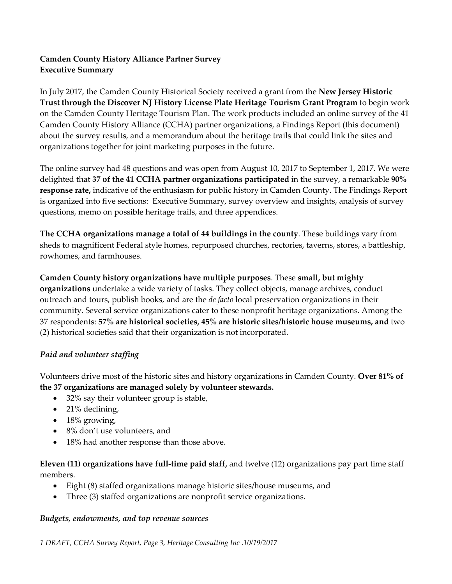### **Camden County History Alliance Partner Survey Executive Summary**

In July 2017, the Camden County Historical Society received a grant from the **New Jersey Historic Trust through the Discover NJ History License Plate Heritage Tourism Grant Program** to begin work on the Camden County Heritage Tourism Plan. The work products included an online survey of the 41 Camden County History Alliance (CCHA) partner organizations, a Findings Report (this document) about the survey results, and a memorandum about the heritage trails that could link the sites and organizations together for joint marketing purposes in the future.

The online survey had 48 questions and was open from August 10, 2017 to September 1, 2017. We were delighted that **37 of the 41 CCHA partner organizations participated** in the survey, a remarkable **90% response rate,** indicative of the enthusiasm for public history in Camden County. The Findings Report is organized into five sections: Executive Summary, survey overview and insights, analysis of survey questions, memo on possible heritage trails, and three appendices.

**The CCHA organizations manage a total of 44 buildings in the county**. These buildings vary from sheds to magnificent Federal style homes, repurposed churches, rectories, taverns, stores, a battleship, rowhomes, and farmhouses.

**Camden County history organizations have multiple purposes**. These **small, but mighty organizations** undertake a wide variety of tasks. They collect objects, manage archives, conduct outreach and tours, publish books, and are the *de facto* local preservation organizations in their community. Several service organizations cater to these nonprofit heritage organizations. Among the 37 respondents: **57% are historical societies, 45% are historic sites/historic house museums, and** two (2) historical societies said that their organization is not incorporated.

### *Paid and volunteer staffing*

Volunteers drive most of the historic sites and history organizations in Camden County. **Over 81% of the 37 organizations are managed solely by volunteer stewards.**

- 32% say their volunteer group is stable,
- 21% declining,
- 18% growing,
- 8% don't use volunteers, and
- 18% had another response than those above.

### **Eleven (11) organizations have full-time paid staff,** and twelve (12) organizations pay part time staff members.

- Eight (8) staffed organizations manage historic sites/house museums, and
- Three (3) staffed organizations are nonprofit service organizations.

### *Budgets, endowments, and top revenue sources*

*1 DRAFT, CCHA Survey Report, Page 3, Heritage Consulting Inc .10/19/2017*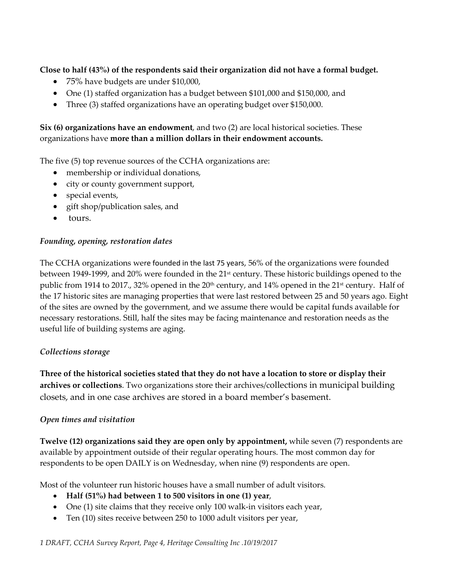**Close to half (43%) of the respondents said their organization did not have a formal budget.**

- 75% have budgets are under \$10,000,
- One (1) staffed organization has a budget between \$101,000 and \$150,000, and
- Three (3) staffed organizations have an operating budget over \$150,000.

**Six (6) organizations have an endowment**, and two (2) are local historical societies. These organizations have **more than a million dollars in their endowment accounts.**

The five (5) top revenue sources of the CCHA organizations are:

- membership or individual donations,
- city or county government support,
- special events,
- gift shop/publication sales, and
- tours.

### *Founding, opening, restoration dates*

The CCHA organizations were founded in the last 75 years, 56% of the organizations were founded between 1949-1999, and 20% were founded in the 21st century. These historic buildings opened to the public from 1914 to 2017., 32% opened in the 20<sup>th</sup> century, and 14% opened in the 21<sup>st</sup> century. Half of the 17 historic sites are managing properties that were last restored between 25 and 50 years ago. Eight of the sites are owned by the government, and we assume there would be capital funds available for necessary restorations. Still, half the sites may be facing maintenance and restoration needs as the useful life of building systems are aging.

### *Collections storage*

**Three of the historical societies stated that they do not have a location to store or display their archives or collections**. Two organizations store their archives/collections in municipal building closets, and in one case archives are stored in a board member's basement.

### *Open times and visitation*

**Twelve (12) organizations said they are open only by appointment,** while seven (7) respondents are available by appointment outside of their regular operating hours. The most common day for respondents to be open DAILY is on Wednesday, when nine (9) respondents are open.

Most of the volunteer run historic houses have a small number of adult visitors.

- **Half (51%) had between 1 to 500 visitors in one (1) year**,
- One (1) site claims that they receive only 100 walk-in visitors each year,
- Ten (10) sites receive between 250 to 1000 adult visitors per year,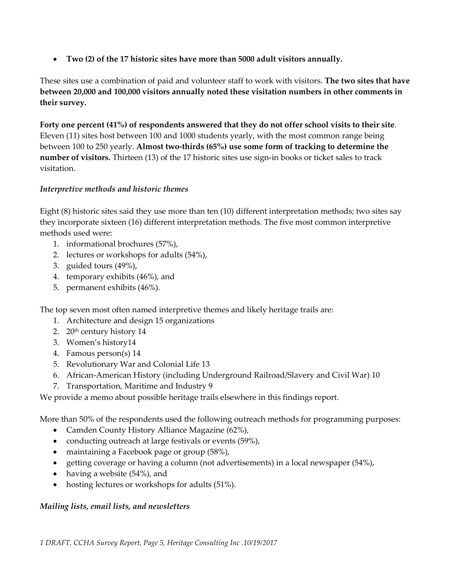• **Two (2) of the 17 historic sites have more than 5000 adult visitors annually.**

These sites use a combination of paid and volunteer staff to work with visitors. **The two sites that have between 20,000 and 100,000 visitors annually noted these visitation numbers in other comments in their survey.**

**Forty one percent (41%) of respondents answered that they do not offer school visits to their site**. Eleven (11) sites host between 100 and 1000 students yearly, with the most common range being between 100 to 250 yearly. **Almost two-thirds (65%) use some form of tracking to determine the number of visitors.** Thirteen (13) of the 17 historic sites use sign-in books or ticket sales to track visitation.

### *Interpretive methods and historic themes*

Eight (8) historic sites said they use more than ten (10) different interpretation methods; two sites say they incorporate sixteen (16) different interpretation methods. The five most common interpretive methods used were:

- 1. informational brochures (57%),
- 2. lectures or workshops for adults (54%),
- 3. guided tours (49%),
- 4. temporary exhibits (46%), and
- 5. permanent exhibits (46%).

The top seven most often named interpretive themes and likely heritage trails are:

- 1. Architecture and design 15 organizations
- 2. 20<sup>th</sup> century history 14
- 3. Women's history14
- 4. Famous person(s) 14
- 5. Revolutionary War and Colonial Life 13
- 6. African-American History (including Underground Railroad/Slavery and Civil War) 10
- 7. Transportation, Maritime and Industry 9

We provide a memo about possible heritage trails elsewhere in this findings report.

More than 50% of the respondents used the following outreach methods for programming purposes:

- Camden County History Alliance Magazine (62%),
- conducting outreach at large festivals or events (59%),
- maintaining a Facebook page or group (58%),
- getting coverage or having a column (not advertisements) in a local newspaper (54%),
- having a website (54%), and
- hosting lectures or workshops for adults (51%).

### *Mailing lists, email lists, and newsletters*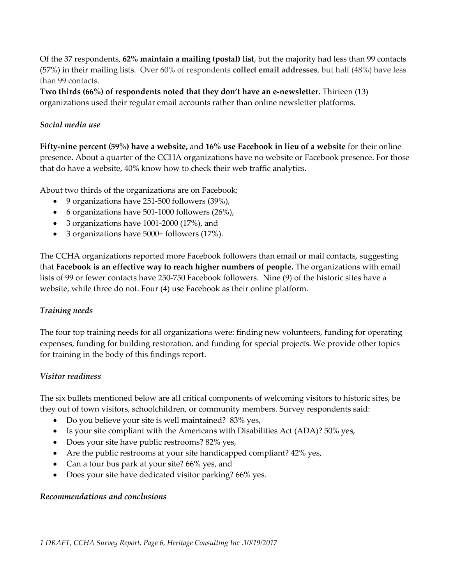Of the 37 respondents, **62% maintain a mailing (postal) list**, but the majority had less than 99 contacts (57%) in their mailing lists. Over 60% of respondents **collect email addresses**, but half (48%) have less than 99 contacts.

**Two thirds (66%) of respondents noted that they don't have an e-newsletter.** Thirteen (13) organizations used their regular email accounts rather than online newsletter platforms.

### *Social media use*

**Fifty-nine percent (59%) have a website,** and **16% use Facebook in lieu of a website** for their online presence. About a quarter of the CCHA organizations have no website or Facebook presence. For those that do have a website, 40% know how to check their web traffic analytics.

About two thirds of the organizations are on Facebook:

- 9 organizations have 251-500 followers (39%),
- 6 organizations have 501-1000 followers (26%),
- 3 organizations have 1001-2000 (17%), and
- 3 organizations have 5000+ followers (17%).

The CCHA organizations reported more Facebook followers than email or mail contacts, suggesting that **Facebook is an effective way to reach higher numbers of people.** The organizations with email lists of 99 or fewer contacts have 250-750 Facebook followers. Nine (9) of the historic sites have a website, while three do not. Four (4) use Facebook as their online platform.

### *Training needs*

The four top training needs for all organizations were: finding new volunteers, funding for operating expenses, funding for building restoration, and funding for special projects. We provide other topics for training in the body of this findings report.

### *Visitor readiness*

The six bullets mentioned below are all critical components of welcoming visitors to historic sites, be they out of town visitors, schoolchildren, or community members. Survey respondents said:

- Do you believe your site is well maintained? 83% yes,
- Is your site compliant with the Americans with Disabilities Act (ADA)? 50% yes,
- Does your site have public restrooms? 82% yes,
- Are the public restrooms at your site handicapped compliant? 42% yes,
- Can a tour bus park at your site? 66% yes, and
- Does your site have dedicated visitor parking? 66% yes.

### *Recommendations and conclusions*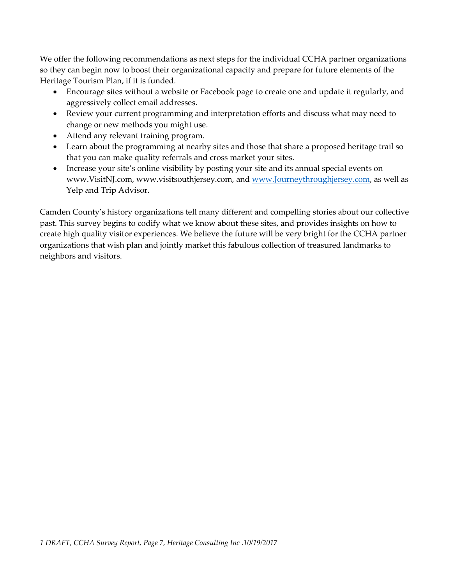We offer the following recommendations as next steps for the individual CCHA partner organizations so they can begin now to boost their organizational capacity and prepare for future elements of the Heritage Tourism Plan, if it is funded.

- Encourage sites without a website or Facebook page to create one and update it regularly, and aggressively collect email addresses.
- Review your current programming and interpretation efforts and discuss what may need to change or new methods you might use.
- Attend any relevant training program.
- Learn about the programming at nearby sites and those that share a proposed heritage trail so that you can make quality referrals and cross market your sites.
- Increase your site's online visibility by posting your site and its annual special events on www.VisitNJ.com, www.visitsouthjersey.com, and [www.Journeythroughjersey.com,](http://www.journeythroughjersey.com/) as well as Yelp and Trip Advisor.

Camden County's history organizations tell many different and compelling stories about our collective past. This survey begins to codify what we know about these sites, and provides insights on how to create high quality visitor experiences. We believe the future will be very bright for the CCHA partner organizations that wish plan and jointly market this fabulous collection of treasured landmarks to neighbors and visitors.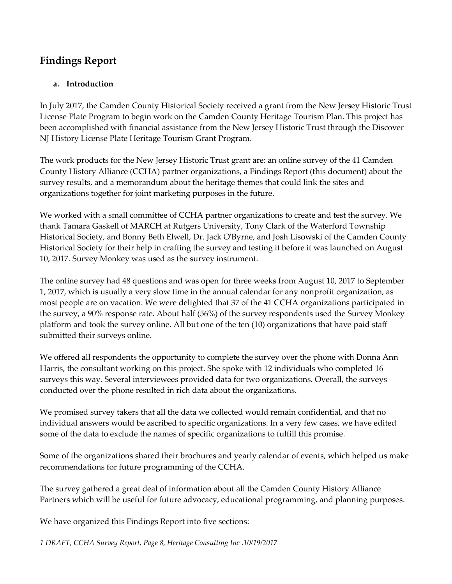### **Findings Report**

### **a. Introduction**

In July 2017, the Camden County Historical Society received a grant from the New Jersey Historic Trust License Plate Program to begin work on the Camden County Heritage Tourism Plan. This project has been accomplished with financial assistance from the New Jersey Historic Trust through the Discover NJ History License Plate Heritage Tourism Grant Program.

The work products for the New Jersey Historic Trust grant are: an online survey of the 41 Camden County History Alliance (CCHA) partner organizations, a Findings Report (this document) about the survey results, and a memorandum about the heritage themes that could link the sites and organizations together for joint marketing purposes in the future.

We worked with a small committee of CCHA partner organizations to create and test the survey. We thank Tamara Gaskell of MARCH at Rutgers University, Tony Clark of the Waterford Township Historical Society, and Bonny Beth Elwell, Dr. Jack O'Byrne, and Josh Lisowski of the Camden County Historical Society for their help in crafting the survey and testing it before it was launched on August 10, 2017. Survey Monkey was used as the survey instrument.

The online survey had 48 questions and was open for three weeks from August 10, 2017 to September 1, 2017, which is usually a very slow time in the annual calendar for any nonprofit organization, as most people are on vacation. We were delighted that 37 of the 41 CCHA organizations participated in the survey, a 90% response rate. About half (56%) of the survey respondents used the Survey Monkey platform and took the survey online. All but one of the ten (10) organizations that have paid staff submitted their surveys online.

We offered all respondents the opportunity to complete the survey over the phone with Donna Ann Harris, the consultant working on this project. She spoke with 12 individuals who completed 16 surveys this way. Several interviewees provided data for two organizations. Overall, the surveys conducted over the phone resulted in rich data about the organizations.

We promised survey takers that all the data we collected would remain confidential, and that no individual answers would be ascribed to specific organizations. In a very few cases, we have edited some of the data to exclude the names of specific organizations to fulfill this promise.

Some of the organizations shared their brochures and yearly calendar of events, which helped us make recommendations for future programming of the CCHA.

The survey gathered a great deal of information about all the Camden County History Alliance Partners which will be useful for future advocacy, educational programming, and planning purposes.

We have organized this Findings Report into five sections:

*1 DRAFT, CCHA Survey Report, Page 8, Heritage Consulting Inc .10/19/2017*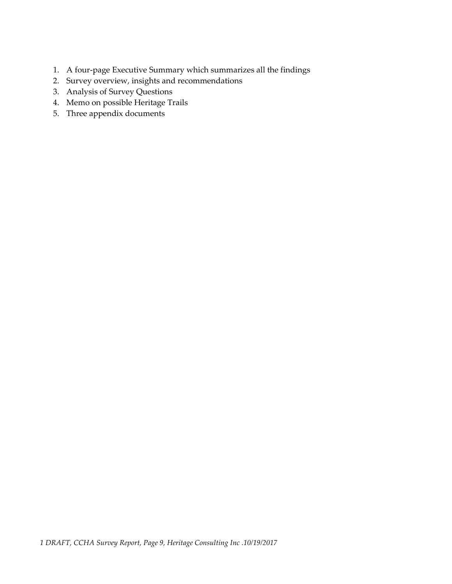- 1. A four-page Executive Summary which summarizes all the findings
- 2. Survey overview, insights and recommendations
- 3. Analysis of Survey Questions
- 4. Memo on possible Heritage Trails
- 5. Three appendix documents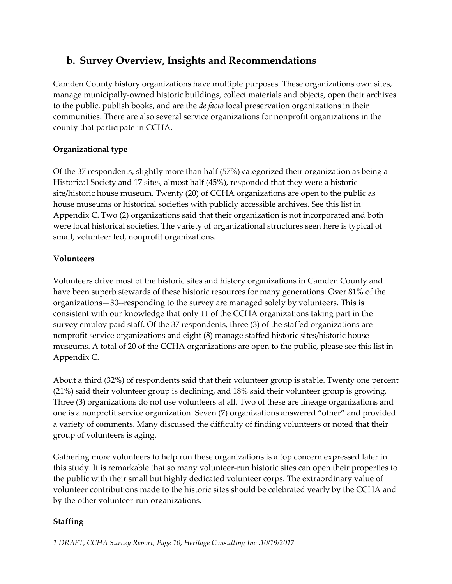### **b. Survey Overview, Insights and Recommendations**

Camden County history organizations have multiple purposes. These organizations own sites, manage municipally-owned historic buildings, collect materials and objects, open their archives to the public, publish books, and are the *de facto* local preservation organizations in their communities. There are also several service organizations for nonprofit organizations in the county that participate in CCHA.

### **Organizational type**

Of the 37 respondents, slightly more than half (57%) categorized their organization as being a Historical Society and 17 sites, almost half (45%), responded that they were a historic site/historic house museum. Twenty (20) of CCHA organizations are open to the public as house museums or historical societies with publicly accessible archives. See this list in Appendix C. Two (2) organizations said that their organization is not incorporated and both were local historical societies. The variety of organizational structures seen here is typical of small, volunteer led, nonprofit organizations.

### **Volunteers**

Volunteers drive most of the historic sites and history organizations in Camden County and have been superb stewards of these historic resources for many generations. Over 81% of the organizations—30--responding to the survey are managed solely by volunteers. This is consistent with our knowledge that only 11 of the CCHA organizations taking part in the survey employ paid staff. Of the 37 respondents, three (3) of the staffed organizations are nonprofit service organizations and eight (8) manage staffed historic sites/historic house museums. A total of 20 of the CCHA organizations are open to the public, please see this list in Appendix C.

About a third (32%) of respondents said that their volunteer group is stable. Twenty one percent (21%) said their volunteer group is declining, and 18% said their volunteer group is growing. Three (3) organizations do not use volunteers at all. Two of these are lineage organizations and one is a nonprofit service organization. Seven (7) organizations answered "other" and provided a variety of comments. Many discussed the difficulty of finding volunteers or noted that their group of volunteers is aging.

Gathering more volunteers to help run these organizations is a top concern expressed later in this study. It is remarkable that so many volunteer-run historic sites can open their properties to the public with their small but highly dedicated volunteer corps. The extraordinary value of volunteer contributions made to the historic sites should be celebrated yearly by the CCHA and by the other volunteer-run organizations.

### **Staffing**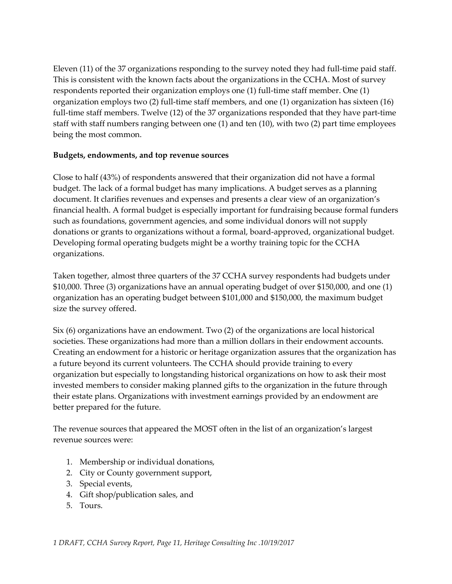Eleven (11) of the 37 organizations responding to the survey noted they had full-time paid staff. This is consistent with the known facts about the organizations in the CCHA. Most of survey respondents reported their organization employs one (1) full-time staff member. One (1) organization employs two (2) full-time staff members, and one (1) organization has sixteen (16) full-time staff members. Twelve (12) of the 37 organizations responded that they have part-time staff with staff numbers ranging between one (1) and ten (10), with two (2) part time employees being the most common.

### **Budgets, endowments, and top revenue sources**

Close to half (43%) of respondents answered that their organization did not have a formal budget. The lack of a formal budget has many implications. A budget serves as a planning document. It clarifies revenues and expenses and presents a clear view of an organization's financial health. A formal budget is especially important for fundraising because formal funders such as foundations, government agencies, and some individual donors will not supply donations or grants to organizations without a formal, board-approved, organizational budget. Developing formal operating budgets might be a worthy training topic for the CCHA organizations.

Taken together, almost three quarters of the 37 CCHA survey respondents had budgets under \$10,000. Three (3) organizations have an annual operating budget of over \$150,000, and one (1) organization has an operating budget between \$101,000 and \$150,000, the maximum budget size the survey offered.

Six (6) organizations have an endowment. Two (2) of the organizations are local historical societies. These organizations had more than a million dollars in their endowment accounts. Creating an endowment for a historic or heritage organization assures that the organization has a future beyond its current volunteers. The CCHA should provide training to every organization but especially to longstanding historical organizations on how to ask their most invested members to consider making planned gifts to the organization in the future through their estate plans. Organizations with investment earnings provided by an endowment are better prepared for the future.

The revenue sources that appeared the MOST often in the list of an organization's largest revenue sources were:

- 1. Membership or individual donations,
- 2. City or County government support,
- 3. Special events,
- 4. Gift shop/publication sales, and
- 5. Tours.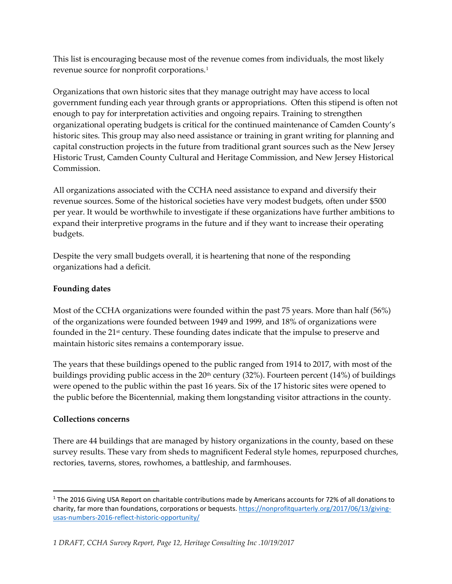This list is encouraging because most of the revenue comes from individuals, the most likely revenue source for nonprofit corporations.[1](#page-11-0)

Organizations that own historic sites that they manage outright may have access to local government funding each year through grants or appropriations. Often this stipend is often not enough to pay for interpretation activities and ongoing repairs. Training to strengthen organizational operating budgets is critical for the continued maintenance of Camden County's historic sites. This group may also need assistance or training in grant writing for planning and capital construction projects in the future from traditional grant sources such as the New Jersey Historic Trust, Camden County Cultural and Heritage Commission, and New Jersey Historical Commission.

All organizations associated with the CCHA need assistance to expand and diversify their revenue sources. Some of the historical societies have very modest budgets, often under \$500 per year. It would be worthwhile to investigate if these organizations have further ambitions to expand their interpretive programs in the future and if they want to increase their operating budgets.

Despite the very small budgets overall, it is heartening that none of the responding organizations had a deficit.

### **Founding dates**

Most of the CCHA organizations were founded within the past 75 years. More than half (56%) of the organizations were founded between 1949 and 1999, and 18% of organizations were founded in the 21<sup>st</sup> century. These founding dates indicate that the impulse to preserve and maintain historic sites remains a contemporary issue.

The years that these buildings opened to the public ranged from 1914 to 2017, with most of the buildings providing public access in the  $20<sup>th</sup>$  century (32%). Fourteen percent (14%) of buildings were opened to the public within the past 16 years. Six of the 17 historic sites were opened to the public before the Bicentennial, making them longstanding visitor attractions in the county.

### **Collections concerns**

There are 44 buildings that are managed by history organizations in the county, based on these survey results. These vary from sheds to magnificent Federal style homes, repurposed churches, rectories, taverns, stores, rowhomes, a battleship, and farmhouses.

<span id="page-11-0"></span><sup>&</sup>lt;sup>1</sup> The 2016 Giving USA Report on charitable contributions made by Americans accounts for 72% of all donations to charity, far more than foundations, corporations or bequests[. https://nonprofitquarterly.org/2017/06/13/giving](https://nonprofitquarterly.org/2017/06/13/giving-usas-numbers-2016-reflect-historic-opportunity/)[usas-numbers-2016-reflect-historic-opportunity/](https://nonprofitquarterly.org/2017/06/13/giving-usas-numbers-2016-reflect-historic-opportunity/)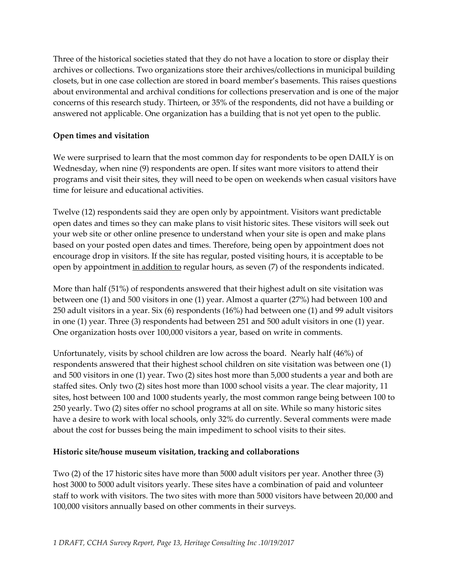Three of the historical societies stated that they do not have a location to store or display their archives or collections. Two organizations store their archives/collections in municipal building closets, but in one case collection are stored in board member's basements. This raises questions about environmental and archival conditions for collections preservation and is one of the major concerns of this research study. Thirteen, or 35% of the respondents, did not have a building or answered not applicable. One organization has a building that is not yet open to the public.

### **Open times and visitation**

We were surprised to learn that the most common day for respondents to be open DAILY is on Wednesday, when nine (9) respondents are open. If sites want more visitors to attend their programs and visit their sites, they will need to be open on weekends when casual visitors have time for leisure and educational activities.

Twelve (12) respondents said they are open only by appointment. Visitors want predictable open dates and times so they can make plans to visit historic sites. These visitors will seek out your web site or other online presence to understand when your site is open and make plans based on your posted open dates and times. Therefore, being open by appointment does not encourage drop in visitors. If the site has regular, posted visiting hours, it is acceptable to be open by appointment in addition to regular hours, as seven (7) of the respondents indicated.

More than half (51%) of respondents answered that their highest adult on site visitation was between one (1) and 500 visitors in one (1) year. Almost a quarter (27%) had between 100 and 250 adult visitors in a year. Six (6) respondents (16%) had between one (1) and 99 adult visitors in one (1) year. Three (3) respondents had between 251 and 500 adult visitors in one (1) year. One organization hosts over 100,000 visitors a year, based on write in comments.

Unfortunately, visits by school children are low across the board. Nearly half (46%) of respondents answered that their highest school children on site visitation was between one (1) and 500 visitors in one (1) year. Two (2) sites host more than 5,000 students a year and both are staffed sites. Only two (2) sites host more than 1000 school visits a year. The clear majority, 11 sites, host between 100 and 1000 students yearly, the most common range being between 100 to 250 yearly. Two (2) sites offer no school programs at all on site. While so many historic sites have a desire to work with local schools, only 32% do currently. Several comments were made about the cost for busses being the main impediment to school visits to their sites.

### **Historic site/house museum visitation, tracking and collaborations**

Two (2) of the 17 historic sites have more than 5000 adult visitors per year. Another three (3) host 3000 to 5000 adult visitors yearly. These sites have a combination of paid and volunteer staff to work with visitors. The two sites with more than 5000 visitors have between 20,000 and 100,000 visitors annually based on other comments in their surveys.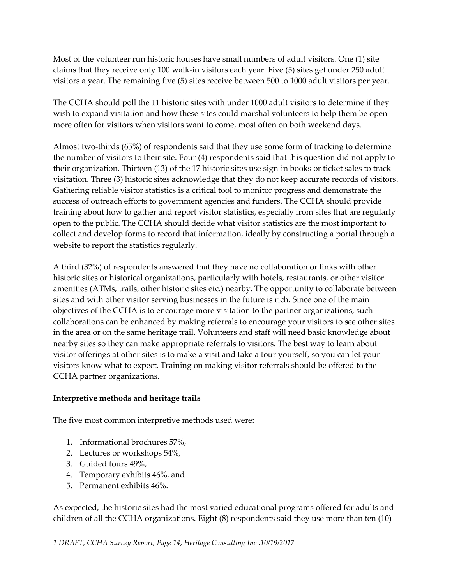Most of the volunteer run historic houses have small numbers of adult visitors. One (1) site claims that they receive only 100 walk-in visitors each year. Five (5) sites get under 250 adult visitors a year. The remaining five (5) sites receive between 500 to 1000 adult visitors per year.

The CCHA should poll the 11 historic sites with under 1000 adult visitors to determine if they wish to expand visitation and how these sites could marshal volunteers to help them be open more often for visitors when visitors want to come, most often on both weekend days.

Almost two-thirds (65%) of respondents said that they use some form of tracking to determine the number of visitors to their site. Four (4) respondents said that this question did not apply to their organization. Thirteen (13) of the 17 historic sites use sign-in books or ticket sales to track visitation. Three (3) historic sites acknowledge that they do not keep accurate records of visitors. Gathering reliable visitor statistics is a critical tool to monitor progress and demonstrate the success of outreach efforts to government agencies and funders. The CCHA should provide training about how to gather and report visitor statistics, especially from sites that are regularly open to the public. The CCHA should decide what visitor statistics are the most important to collect and develop forms to record that information, ideally by constructing a portal through a website to report the statistics regularly.

A third (32%) of respondents answered that they have no collaboration or links with other historic sites or historical organizations, particularly with hotels, restaurants, or other visitor amenities (ATMs, trails, other historic sites etc.) nearby. The opportunity to collaborate between sites and with other visitor serving businesses in the future is rich. Since one of the main objectives of the CCHA is to encourage more visitation to the partner organizations, such collaborations can be enhanced by making referrals to encourage your visitors to see other sites in the area or on the same heritage trail. Volunteers and staff will need basic knowledge about nearby sites so they can make appropriate referrals to visitors. The best way to learn about visitor offerings at other sites is to make a visit and take a tour yourself, so you can let your visitors know what to expect. Training on making visitor referrals should be offered to the CCHA partner organizations.

### **Interpretive methods and heritage trails**

The five most common interpretive methods used were:

- 1. Informational brochures 57%,
- 2. Lectures or workshops 54%,
- 3. Guided tours 49%,
- 4. Temporary exhibits 46%, and
- 5. Permanent exhibits 46%.

As expected, the historic sites had the most varied educational programs offered for adults and children of all the CCHA organizations. Eight (8) respondents said they use more than ten (10)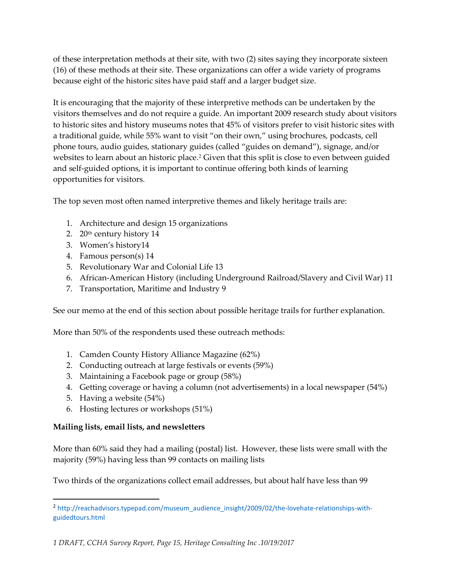of these interpretation methods at their site, with two (2) sites saying they incorporate sixteen (16) of these methods at their site. These organizations can offer a wide variety of programs because eight of the historic sites have paid staff and a larger budget size.

It is encouraging that the majority of these interpretive methods can be undertaken by the visitors themselves and do not require a guide. An important 2009 research study about visitors to historic sites and history museums notes that 45% of visitors prefer to visit historic sites with a traditional guide, while 55% want to visit "on their own," using brochures, podcasts, cell phone tours, audio guides, stationary guides (called "guides on demand"), signage, and/or websites to learn about an historic place.<sup>[2](#page-14-0)</sup> Given that this split is close to even between guided and self-guided options, it is important to continue offering both kinds of learning opportunities for visitors.

The top seven most often named interpretive themes and likely heritage trails are:

- 1. Architecture and design 15 organizations
- 2.  $20<sup>th</sup>$  century history 14
- 3. Women's history14
- 4. Famous person(s) 14
- 5. Revolutionary War and Colonial Life 13
- 6. African-American History (including Underground Railroad/Slavery and Civil War) 11
- 7. Transportation, Maritime and Industry 9

See our memo at the end of this section about possible heritage trails for further explanation.

More than 50% of the respondents used these outreach methods:

- 1. Camden County History Alliance Magazine (62%)
- 2. Conducting outreach at large festivals or events (59%)
- 3. Maintaining a Facebook page or group (58%)
- 4. Getting coverage or having a column (not advertisements) in a local newspaper (54%)
- 5. Having a website (54%)
- 6. Hosting lectures or workshops (51%)

### **Mailing lists, email lists, and newsletters**

More than 60% said they had a mailing (postal) list. However, these lists were small with the majority (59%) having less than 99 contacts on mailing lists

Two thirds of the organizations collect email addresses, but about half have less than 99

<span id="page-14-0"></span> <sup>2</sup> http://reachadvisors.typepad.com/museum\_audience\_insight/2009/02/the-lovehate-relationships-withguidedtours.html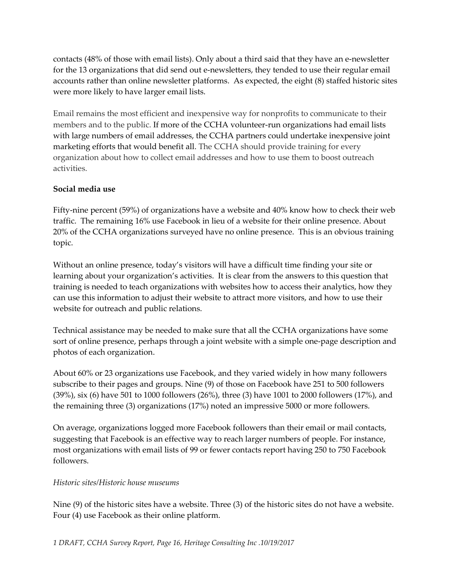contacts (48% of those with email lists). Only about a third said that they have an e-newsletter for the 13 organizations that did send out e-newsletters, they tended to use their regular email accounts rather than online newsletter platforms. As expected, the eight (8) staffed historic sites were more likely to have larger email lists.

Email remains the most efficient and inexpensive way for nonprofits to communicate to their members and to the public. If more of the CCHA volunteer-run organizations had email lists with large numbers of email addresses, the CCHA partners could undertake inexpensive joint marketing efforts that would benefit all. The CCHA should provide training for every organization about how to collect email addresses and how to use them to boost outreach activities.

### **Social media use**

Fifty-nine percent (59%) of organizations have a website and 40% know how to check their web traffic. The remaining 16% use Facebook in lieu of a website for their online presence. About 20% of the CCHA organizations surveyed have no online presence. This is an obvious training topic.

Without an online presence, today's visitors will have a difficult time finding your site or learning about your organization's activities. It is clear from the answers to this question that training is needed to teach organizations with websites how to access their analytics, how they can use this information to adjust their website to attract more visitors, and how to use their website for outreach and public relations.

Technical assistance may be needed to make sure that all the CCHA organizations have some sort of online presence, perhaps through a joint website with a simple one-page description and photos of each organization.

About 60% or 23 organizations use Facebook, and they varied widely in how many followers subscribe to their pages and groups. Nine (9) of those on Facebook have 251 to 500 followers (39%), six (6) have 501 to 1000 followers (26%), three (3) have 1001 to 2000 followers (17%), and the remaining three (3) organizations (17%) noted an impressive 5000 or more followers.

On average, organizations logged more Facebook followers than their email or mail contacts, suggesting that Facebook is an effective way to reach larger numbers of people. For instance, most organizations with email lists of 99 or fewer contacts report having 250 to 750 Facebook followers.

#### *Historic sites/Historic house museums*

Nine (9) of the historic sites have a website. Three (3) of the historic sites do not have a website. Four (4) use Facebook as their online platform.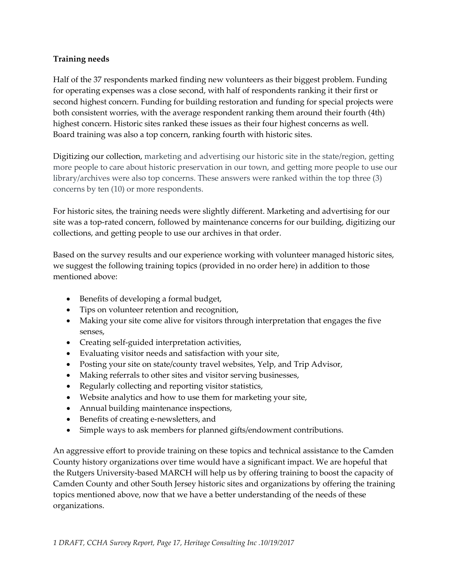### **Training needs**

Half of the 37 respondents marked finding new volunteers as their biggest problem. Funding for operating expenses was a close second, with half of respondents ranking it their first or second highest concern. Funding for building restoration and funding for special projects were both consistent worries, with the average respondent ranking them around their fourth (4th) highest concern. Historic sites ranked these issues as their four highest concerns as well. Board training was also a top concern, ranking fourth with historic sites.

Digitizing our collection, marketing and advertising our historic site in the state/region, getting more people to care about historic preservation in our town, and getting more people to use our library/archives were also top concerns. These answers were ranked within the top three (3) concerns by ten (10) or more respondents.

For historic sites, the training needs were slightly different. Marketing and advertising for our site was a top-rated concern, followed by maintenance concerns for our building, digitizing our collections, and getting people to use our archives in that order.

Based on the survey results and our experience working with volunteer managed historic sites, we suggest the following training topics (provided in no order here) in addition to those mentioned above:

- Benefits of developing a formal budget,
- Tips on volunteer retention and recognition,
- Making your site come alive for visitors through interpretation that engages the five senses,
- Creating self-guided interpretation activities,
- Evaluating visitor needs and satisfaction with your site,
- Posting your site on state/county travel websites, Yelp, and Trip Advisor,
- Making referrals to other sites and visitor serving businesses,
- Regularly collecting and reporting visitor statistics,
- Website analytics and how to use them for marketing your site,
- Annual building maintenance inspections,
- Benefits of creating e-newsletters, and
- Simple ways to ask members for planned gifts/endowment contributions.

An aggressive effort to provide training on these topics and technical assistance to the Camden County history organizations over time would have a significant impact. We are hopeful that the Rutgers University-based MARCH will help us by offering training to boost the capacity of Camden County and other South Jersey historic sites and organizations by offering the training topics mentioned above, now that we have a better understanding of the needs of these organizations.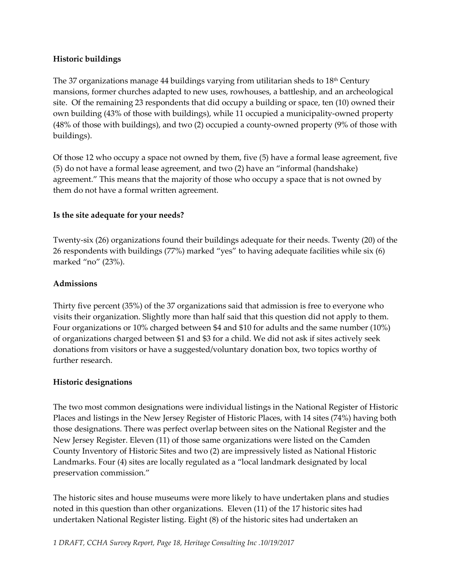### **Historic buildings**

The 37 organizations manage 44 buildings varying from utilitarian sheds to  $18<sup>th</sup>$  Century mansions, former churches adapted to new uses, rowhouses, a battleship, and an archeological site. Of the remaining 23 respondents that did occupy a building or space, ten (10) owned their own building (43% of those with buildings), while 11 occupied a municipality-owned property (48% of those with buildings), and two (2) occupied a county-owned property (9% of those with buildings).

Of those 12 who occupy a space not owned by them, five (5) have a formal lease agreement, five (5) do not have a formal lease agreement, and two (2) have an "informal (handshake) agreement." This means that the majority of those who occupy a space that is not owned by them do not have a formal written agreement.

### **Is the site adequate for your needs?**

Twenty-six (26) organizations found their buildings adequate for their needs. Twenty (20) of the 26 respondents with buildings (77%) marked "yes" to having adequate facilities while six (6) marked "no" (23%).

### **Admissions**

Thirty five percent (35%) of the 37 organizations said that admission is free to everyone who visits their organization. Slightly more than half said that this question did not apply to them. Four organizations or 10% charged between \$4 and \$10 for adults and the same number (10%) of organizations charged between \$1 and \$3 for a child. We did not ask if sites actively seek donations from visitors or have a suggested/voluntary donation box, two topics worthy of further research.

### **Historic designations**

The two most common designations were individual listings in the National Register of Historic Places and listings in the New Jersey Register of Historic Places, with 14 sites (74%) having both those designations. There was perfect overlap between sites on the National Register and the New Jersey Register. Eleven (11) of those same organizations were listed on the Camden County Inventory of Historic Sites and two (2) are impressively listed as National Historic Landmarks. Four (4) sites are locally regulated as a "local landmark designated by local preservation commission."

The historic sites and house museums were more likely to have undertaken plans and studies noted in this question than other organizations. Eleven (11) of the 17 historic sites had undertaken National Register listing. Eight (8) of the historic sites had undertaken an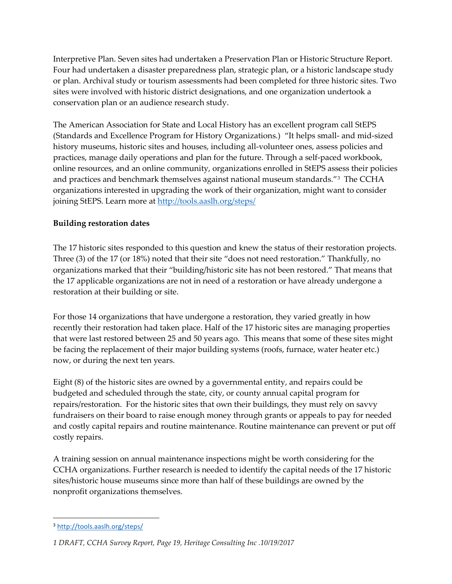Interpretive Plan. Seven sites had undertaken a Preservation Plan or Historic Structure Report. Four had undertaken a disaster preparedness plan, strategic plan, or a historic landscape study or plan. Archival study or tourism assessments had been completed for three historic sites. Two sites were involved with historic district designations, and one organization undertook a conservation plan or an audience research study.

The American Association for State and Local History has an excellent program call StEPS (Standards and Excellence Program for History Organizations.) "It helps small- and mid-sized history museums, historic sites and houses, including all-volunteer ones, assess policies and practices, manage daily operations and plan for the future. Through a self-paced workbook, online resources, and an online community, organizations enrolled in StEPS assess their policies and practices and benchmark themselves against national museum standards.["3](#page-18-0) The CCHA organizations interested in upgrading the work of their organization, might want to consider joining StEPS. Learn more at<http://tools.aaslh.org/steps/>

### **Building restoration dates**

The 17 historic sites responded to this question and knew the status of their restoration projects. Three (3) of the 17 (or 18%) noted that their site "does not need restoration." Thankfully, no organizations marked that their "building/historic site has not been restored." That means that the 17 applicable organizations are not in need of a restoration or have already undergone a restoration at their building or site.

For those 14 organizations that have undergone a restoration, they varied greatly in how recently their restoration had taken place. Half of the 17 historic sites are managing properties that were last restored between 25 and 50 years ago. This means that some of these sites might be facing the replacement of their major building systems (roofs, furnace, water heater etc.) now, or during the next ten years.

Eight (8) of the historic sites are owned by a governmental entity, and repairs could be budgeted and scheduled through the state, city, or county annual capital program for repairs/restoration. For the historic sites that own their buildings, they must rely on savvy fundraisers on their board to raise enough money through grants or appeals to pay for needed and costly capital repairs and routine maintenance. Routine maintenance can prevent or put off costly repairs.

A training session on annual maintenance inspections might be worth considering for the CCHA organizations. Further research is needed to identify the capital needs of the 17 historic sites/historic house museums since more than half of these buildings are owned by the nonprofit organizations themselves.

<span id="page-18-0"></span> <sup>3</sup> <http://tools.aaslh.org/steps/>

*<sup>1</sup> DRAFT, CCHA Survey Report, Page 19, Heritage Consulting Inc .10/19/2017*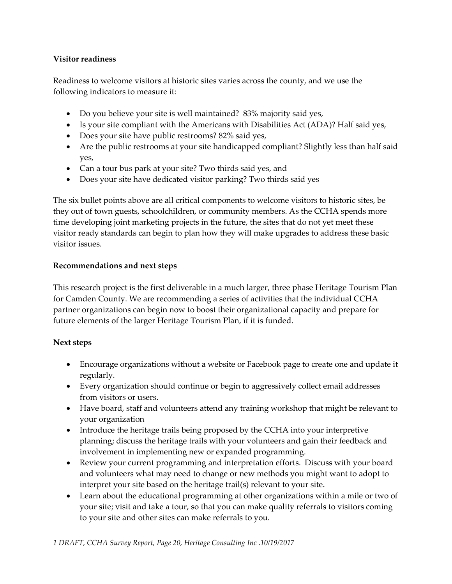### **Visitor readiness**

Readiness to welcome visitors at historic sites varies across the county, and we use the following indicators to measure it:

- Do you believe your site is well maintained? 83% majority said yes,
- Is your site compliant with the Americans with Disabilities Act (ADA)? Half said yes,
- Does your site have public restrooms? 82% said yes,
- Are the public restrooms at your site handicapped compliant? Slightly less than half said yes,
- Can a tour bus park at your site? Two thirds said yes, and
- Does your site have dedicated visitor parking? Two thirds said yes

The six bullet points above are all critical components to welcome visitors to historic sites, be they out of town guests, schoolchildren, or community members. As the CCHA spends more time developing joint marketing projects in the future, the sites that do not yet meet these visitor ready standards can begin to plan how they will make upgrades to address these basic visitor issues.

### **Recommendations and next steps**

This research project is the first deliverable in a much larger, three phase Heritage Tourism Plan for Camden County. We are recommending a series of activities that the individual CCHA partner organizations can begin now to boost their organizational capacity and prepare for future elements of the larger Heritage Tourism Plan, if it is funded.

### **Next steps**

- Encourage organizations without a website or Facebook page to create one and update it regularly.
- Every organization should continue or begin to aggressively collect email addresses from visitors or users.
- Have board, staff and volunteers attend any training workshop that might be relevant to your organization
- Introduce the heritage trails being proposed by the CCHA into your interpretive planning; discuss the heritage trails with your volunteers and gain their feedback and involvement in implementing new or expanded programming.
- Review your current programming and interpretation efforts. Discuss with your board and volunteers what may need to change or new methods you might want to adopt to interpret your site based on the heritage trail(s) relevant to your site.
- Learn about the educational programming at other organizations within a mile or two of your site; visit and take a tour, so that you can make quality referrals to visitors coming to your site and other sites can make referrals to you.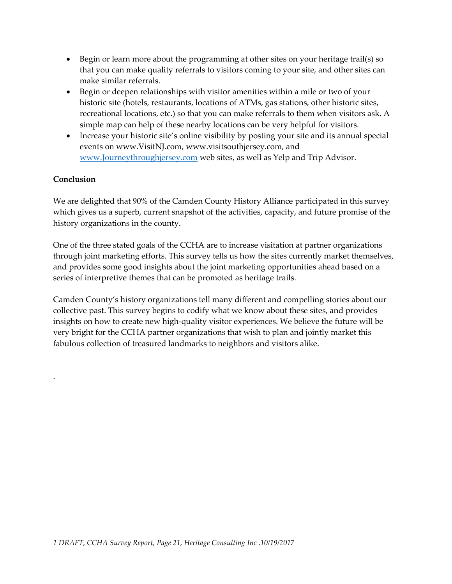- Begin or learn more about the programming at other sites on your heritage trail(s) so that you can make quality referrals to visitors coming to your site, and other sites can make similar referrals.
- Begin or deepen relationships with visitor amenities within a mile or two of your historic site (hotels, restaurants, locations of ATMs, gas stations, other historic sites, recreational locations, etc.) so that you can make referrals to them when visitors ask. A simple map can help of these nearby locations can be very helpful for visitors.
- Increase your historic site's online visibility by posting your site and its annual special events on www.VisitNJ.com, www.visitsouthjersey.com, and [www.Journeythroughjersey.com](http://www.journeythroughjersey.com/) web sites, as well as Yelp and Trip Advisor.

### **Conclusion**

.

We are delighted that 90% of the Camden County History Alliance participated in this survey which gives us a superb, current snapshot of the activities, capacity, and future promise of the history organizations in the county.

One of the three stated goals of the CCHA are to increase visitation at partner organizations through joint marketing efforts. This survey tells us how the sites currently market themselves, and provides some good insights about the joint marketing opportunities ahead based on a series of interpretive themes that can be promoted as heritage trails.

Camden County's history organizations tell many different and compelling stories about our collective past. This survey begins to codify what we know about these sites, and provides insights on how to create new high-quality visitor experiences. We believe the future will be very bright for the CCHA partner organizations that wish to plan and jointly market this fabulous collection of treasured landmarks to neighbors and visitors alike.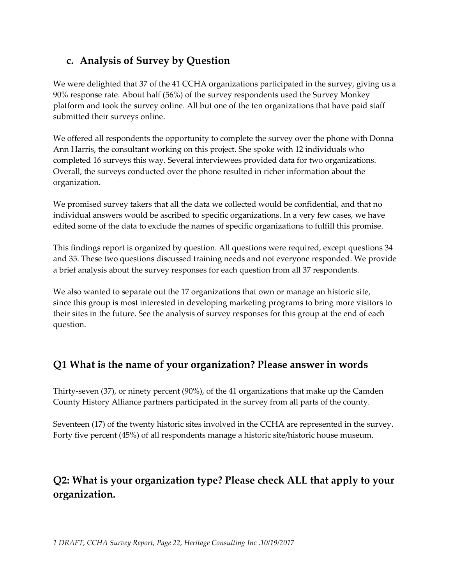### **c. Analysis of Survey by Question**

We were delighted that 37 of the 41 CCHA organizations participated in the survey, giving us a 90% response rate. About half (56%) of the survey respondents used the Survey Monkey platform and took the survey online. All but one of the ten organizations that have paid staff submitted their surveys online.

We offered all respondents the opportunity to complete the survey over the phone with Donna Ann Harris, the consultant working on this project. She spoke with 12 individuals who completed 16 surveys this way. Several interviewees provided data for two organizations. Overall, the surveys conducted over the phone resulted in richer information about the organization.

We promised survey takers that all the data we collected would be confidential, and that no individual answers would be ascribed to specific organizations. In a very few cases, we have edited some of the data to exclude the names of specific organizations to fulfill this promise.

This findings report is organized by question. All questions were required, except questions 34 and 35. These two questions discussed training needs and not everyone responded. We provide a brief analysis about the survey responses for each question from all 37 respondents.

We also wanted to separate out the 17 organizations that own or manage an historic site, since this group is most interested in developing marketing programs to bring more visitors to their sites in the future. See the analysis of survey responses for this group at the end of each question.

### **Q1 What is the name of your organization? Please answer in words**

Thirty-seven (37), or ninety percent (90%), of the 41 organizations that make up the Camden County History Alliance partners participated in the survey from all parts of the county.

Seventeen (17) of the twenty historic sites involved in the CCHA are represented in the survey. Forty five percent (45%) of all respondents manage a historic site/historic house museum.

# **Q2: What is your organization type? Please check ALL that apply to your organization.**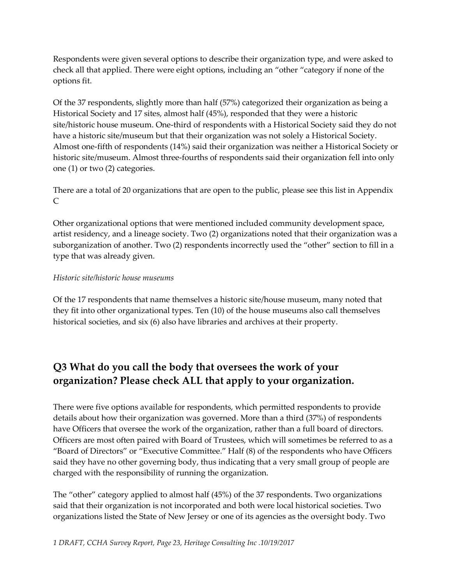Respondents were given several options to describe their organization type, and were asked to check all that applied. There were eight options, including an "other "category if none of the options fit.

Of the 37 respondents, slightly more than half (57%) categorized their organization as being a Historical Society and 17 sites, almost half (45%), responded that they were a historic site/historic house museum. One-third of respondents with a Historical Society said they do not have a historic site/museum but that their organization was not solely a Historical Society. Almost one-fifth of respondents (14%) said their organization was neither a Historical Society or historic site/museum. Almost three-fourths of respondents said their organization fell into only one (1) or two (2) categories.

There are a total of 20 organizations that are open to the public, please see this list in Appendix C

Other organizational options that were mentioned included community development space, artist residency, and a lineage society. Two (2) organizations noted that their organization was a suborganization of another. Two (2) respondents incorrectly used the "other" section to fill in a type that was already given.

### *Historic site/historic house museums*

Of the 17 respondents that name themselves a historic site/house museum, many noted that they fit into other organizational types. Ten (10) of the house museums also call themselves historical societies, and six (6) also have libraries and archives at their property.

# **Q3 What do you call the body that oversees the work of your organization? Please check ALL that apply to your organization.**

There were five options available for respondents, which permitted respondents to provide details about how their organization was governed. More than a third (37%) of respondents have Officers that oversee the work of the organization, rather than a full board of directors. Officers are most often paired with Board of Trustees, which will sometimes be referred to as a "Board of Directors" or "Executive Committee." Half (8) of the respondents who have Officers said they have no other governing body, thus indicating that a very small group of people are charged with the responsibility of running the organization.

The "other" category applied to almost half (45%) of the 37 respondents. Two organizations said that their organization is not incorporated and both were local historical societies. Two organizations listed the State of New Jersey or one of its agencies as the oversight body. Two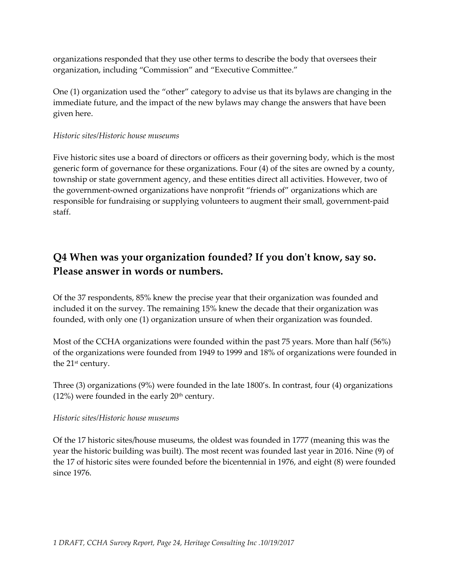organizations responded that they use other terms to describe the body that oversees their organization, including "Commission" and "Executive Committee."

One (1) organization used the "other" category to advise us that its bylaws are changing in the immediate future, and the impact of the new bylaws may change the answers that have been given here.

#### *Historic sites/Historic house museums*

Five historic sites use a board of directors or officers as their governing body, which is the most generic form of governance for these organizations. Four (4) of the sites are owned by a county, township or state government agency, and these entities direct all activities. However, two of the government-owned organizations have nonprofit "friends of" organizations which are responsible for fundraising or supplying volunteers to augment their small, government-paid staff.

### **Q4 When was your organization founded? If you don't know, say so. Please answer in words or numbers.**

Of the 37 respondents, 85% knew the precise year that their organization was founded and included it on the survey. The remaining 15% knew the decade that their organization was founded, with only one (1) organization unsure of when their organization was founded.

Most of the CCHA organizations were founded within the past 75 years. More than half (56%) of the organizations were founded from 1949 to 1999 and 18% of organizations were founded in the 21<sup>st</sup> century.

Three (3) organizations (9%) were founded in the late 1800's. In contrast, four (4) organizations  $(12%)$  were founded in the early  $20<sup>th</sup>$  century.

### *Historic sites/Historic house museums*

Of the 17 historic sites/house museums, the oldest was founded in 1777 (meaning this was the year the historic building was built). The most recent was founded last year in 2016. Nine (9) of the 17 of historic sites were founded before the bicentennial in 1976, and eight (8) were founded since 1976.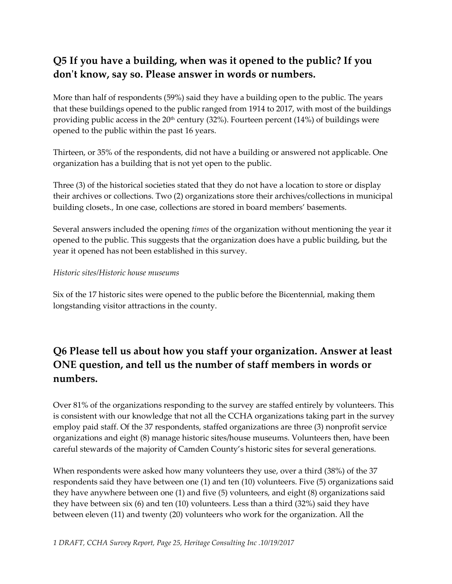# **Q5 If you have a building, when was it opened to the public? If you don't know, say so. Please answer in words or numbers.**

More than half of respondents (59%) said they have a building open to the public. The years that these buildings opened to the public ranged from 1914 to 2017, with most of the buildings providing public access in the  $20<sup>th</sup>$  century (32%). Fourteen percent (14%) of buildings were opened to the public within the past 16 years.

Thirteen, or 35% of the respondents, did not have a building or answered not applicable. One organization has a building that is not yet open to the public.

Three (3) of the historical societies stated that they do not have a location to store or display their archives or collections. Two (2) organizations store their archives/collections in municipal building closets., In one case, collections are stored in board members' basements.

Several answers included the opening *times* of the organization without mentioning the year it opened to the public. This suggests that the organization does have a public building, but the year it opened has not been established in this survey.

### *Historic sites/Historic house museums*

Six of the 17 historic sites were opened to the public before the Bicentennial, making them longstanding visitor attractions in the county.

# **Q6 Please tell us about how you staff your organization. Answer at least ONE question, and tell us the number of staff members in words or numbers.**

Over 81% of the organizations responding to the survey are staffed entirely by volunteers. This is consistent with our knowledge that not all the CCHA organizations taking part in the survey employ paid staff. Of the 37 respondents, staffed organizations are three (3) nonprofit service organizations and eight (8) manage historic sites/house museums. Volunteers then, have been careful stewards of the majority of Camden County's historic sites for several generations.

When respondents were asked how many volunteers they use, over a third (38%) of the 37 respondents said they have between one (1) and ten (10) volunteers. Five (5) organizations said they have anywhere between one (1) and five (5) volunteers, and eight (8) organizations said they have between six (6) and ten (10) volunteers. Less than a third (32%) said they have between eleven (11) and twenty (20) volunteers who work for the organization. All the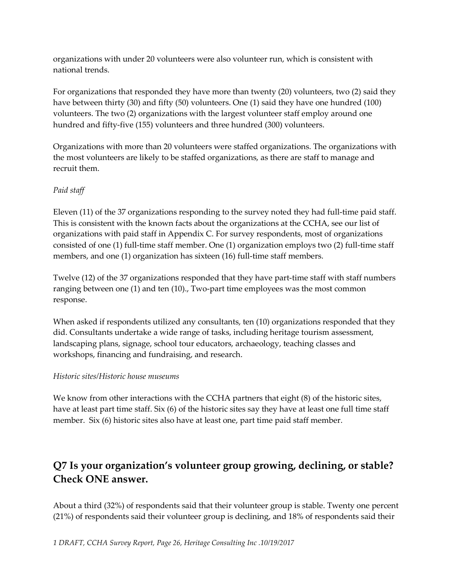organizations with under 20 volunteers were also volunteer run, which is consistent with national trends.

For organizations that responded they have more than twenty (20) volunteers, two (2) said they have between thirty (30) and fifty (50) volunteers. One (1) said they have one hundred (100) volunteers. The two (2) organizations with the largest volunteer staff employ around one hundred and fifty-five (155) volunteers and three hundred (300) volunteers.

Organizations with more than 20 volunteers were staffed organizations. The organizations with the most volunteers are likely to be staffed organizations, as there are staff to manage and recruit them.

### *Paid staff*

Eleven (11) of the 37 organizations responding to the survey noted they had full-time paid staff. This is consistent with the known facts about the organizations at the CCHA, see our list of organizations with paid staff in Appendix C. For survey respondents, most of organizations consisted of one (1) full-time staff member. One (1) organization employs two (2) full-time staff members, and one (1) organization has sixteen (16) full-time staff members.

Twelve (12) of the 37 organizations responded that they have part-time staff with staff numbers ranging between one (1) and ten (10)., Two-part time employees was the most common response.

When asked if respondents utilized any consultants, ten (10) organizations responded that they did. Consultants undertake a wide range of tasks, including heritage tourism assessment, landscaping plans, signage, school tour educators, archaeology, teaching classes and workshops, financing and fundraising, and research.

### *Historic sites/Historic house museums*

We know from other interactions with the CCHA partners that eight (8) of the historic sites, have at least part time staff. Six (6) of the historic sites say they have at least one full time staff member. Six (6) historic sites also have at least one, part time paid staff member.

# **Q7 Is your organization's volunteer group growing, declining, or stable? Check ONE answer.**

About a third (32%) of respondents said that their volunteer group is stable. Twenty one percent (21%) of respondents said their volunteer group is declining, and 18% of respondents said their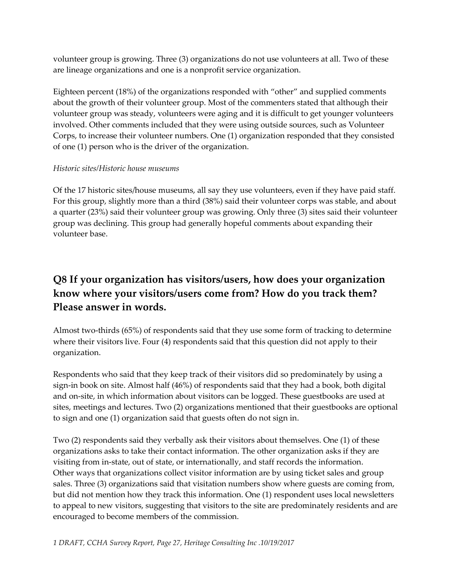volunteer group is growing. Three (3) organizations do not use volunteers at all. Two of these are lineage organizations and one is a nonprofit service organization.

Eighteen percent (18%) of the organizations responded with "other" and supplied comments about the growth of their volunteer group. Most of the commenters stated that although their volunteer group was steady, volunteers were aging and it is difficult to get younger volunteers involved. Other comments included that they were using outside sources, such as Volunteer Corps, to increase their volunteer numbers. One (1) organization responded that they consisted of one (1) person who is the driver of the organization.

### *Historic sites/Historic house museums*

Of the 17 historic sites/house museums, all say they use volunteers, even if they have paid staff. For this group, slightly more than a third (38%) said their volunteer corps was stable, and about a quarter (23%) said their volunteer group was growing. Only three (3) sites said their volunteer group was declining. This group had generally hopeful comments about expanding their volunteer base.

# **Q8 If your organization has visitors/users, how does your organization know where your visitors/users come from? How do you track them? Please answer in words.**

Almost two-thirds (65%) of respondents said that they use some form of tracking to determine where their visitors live. Four (4) respondents said that this question did not apply to their organization.

Respondents who said that they keep track of their visitors did so predominately by using a sign-in book on site. Almost half (46%) of respondents said that they had a book, both digital and on-site, in which information about visitors can be logged. These guestbooks are used at sites, meetings and lectures. Two (2) organizations mentioned that their guestbooks are optional to sign and one (1) organization said that guests often do not sign in.

Two (2) respondents said they verbally ask their visitors about themselves. One (1) of these organizations asks to take their contact information. The other organization asks if they are visiting from in-state, out of state, or internationally, and staff records the information. Other ways that organizations collect visitor information are by using ticket sales and group sales. Three (3) organizations said that visitation numbers show where guests are coming from, but did not mention how they track this information. One (1) respondent uses local newsletters to appeal to new visitors, suggesting that visitors to the site are predominately residents and are encouraged to become members of the commission.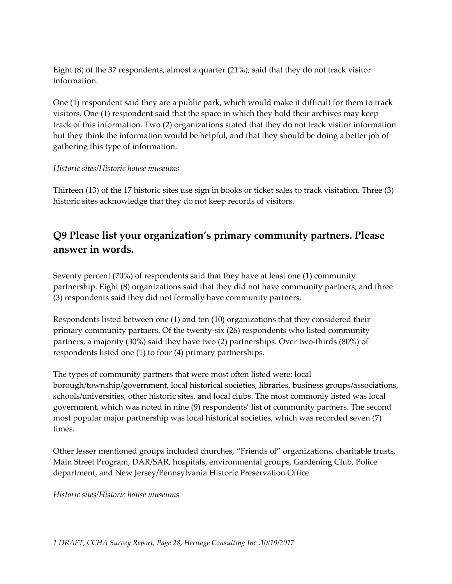Eight (8) of the 37 respondents, almost a quarter (21%), said that they do not track visitor information.

One (1) respondent said they are a public park, which would make it difficult for them to track visitors. One (1) respondent said that the space in which they hold their archives may keep track of this information. Two (2) organizations stated that they do not track visitor information but they think the information would be helpful, and that they should be doing a better job of gathering this type of information.

### *Historic sites/Historic house museums*

Thirteen (13) of the 17 historic sites use sign in books or ticket sales to track visitation. Three (3) historic sites acknowledge that they do not keep records of visitors.

### **Q9 Please list your organization's primary community partners. Please answer in words.**

Seventy percent (70%) of respondents said that they have at least one (1) community partnership. Eight (8) organizations said that they did not have community partners, and three (3) respondents said they did not formally have community partners.

Respondents listed between one (1) and ten (10) organizations that they considered their primary community partners. Of the twenty-six (26) respondents who listed community partners, a majority (30%) said they have two (2) partnerships. Over two-thirds (80%) of respondents listed one (1) to four (4) primary partnerships.

The types of community partners that were most often listed were: local borough/township/government, local historical societies, libraries, business groups/associations, schools/universities, other historic sites, and local clubs. The most commonly listed was local government, which was noted in nine (9) respondents' list of community partners. The second most popular major partnership was local historical societies, which was recorded seven (7) times.

Other lesser mentioned groups included churches, "Friends of" organizations, charitable trusts, Main Street Program, DAR/SAR, hospitals, environmental groups, Gardening Club, Police department, and New Jersey/Pennsylvania Historic Preservation Office.

*Historic sites/Historic house museums*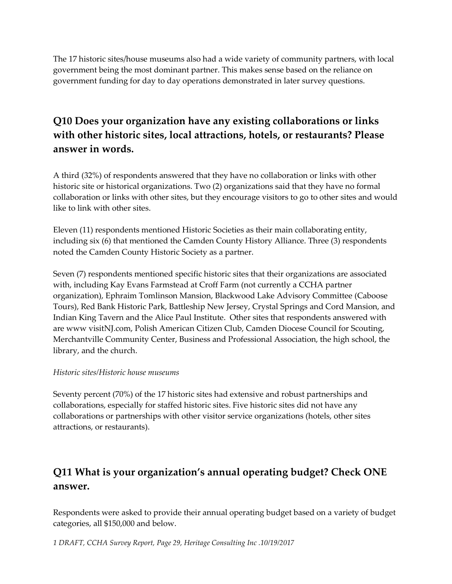The 17 historic sites/house museums also had a wide variety of community partners, with local government being the most dominant partner. This makes sense based on the reliance on government funding for day to day operations demonstrated in later survey questions.

# **Q10 Does your organization have any existing collaborations or links with other historic sites, local attractions, hotels, or restaurants? Please answer in words.**

A third (32%) of respondents answered that they have no collaboration or links with other historic site or historical organizations. Two (2) organizations said that they have no formal collaboration or links with other sites, but they encourage visitors to go to other sites and would like to link with other sites.

Eleven (11) respondents mentioned Historic Societies as their main collaborating entity, including six (6) that mentioned the Camden County History Alliance. Three (3) respondents noted the Camden County Historic Society as a partner.

Seven (7) respondents mentioned specific historic sites that their organizations are associated with, including Kay Evans Farmstead at Croff Farm (not currently a CCHA partner organization), Ephraim Tomlinson Mansion, Blackwood Lake Advisory Committee (Caboose Tours), Red Bank Historic Park, Battleship New Jersey, Crystal Springs and Cord Mansion, and Indian King Tavern and the Alice Paul Institute. Other sites that respondents answered with are www visitNJ.com, Polish American Citizen Club, Camden Diocese Council for Scouting, Merchantville Community Center, Business and Professional Association, the high school, the library, and the church.

### *Historic sites/Historic house museums*

Seventy percent (70%) of the 17 historic sites had extensive and robust partnerships and collaborations, especially for staffed historic sites. Five historic sites did not have any collaborations or partnerships with other visitor service organizations (hotels, other sites attractions, or restaurants).

# **Q11 What is your organization's annual operating budget? Check ONE answer.**

Respondents were asked to provide their annual operating budget based on a variety of budget categories, all \$150,000 and below.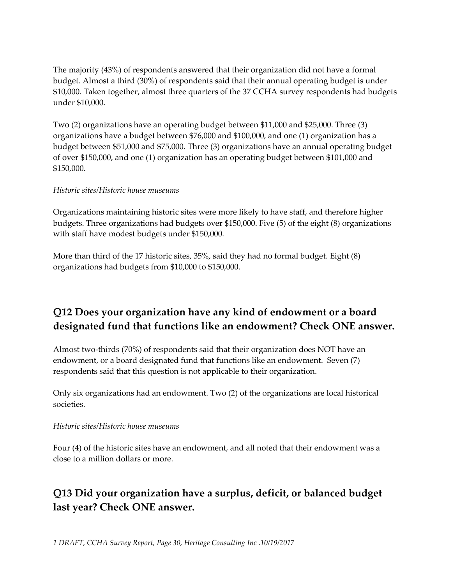The majority (43%) of respondents answered that their organization did not have a formal budget. Almost a third (30%) of respondents said that their annual operating budget is under \$10,000. Taken together, almost three quarters of the 37 CCHA survey respondents had budgets under \$10,000.

Two (2) organizations have an operating budget between \$11,000 and \$25,000. Three (3) organizations have a budget between \$76,000 and \$100,000, and one (1) organization has a budget between \$51,000 and \$75,000. Three (3) organizations have an annual operating budget of over \$150,000, and one (1) organization has an operating budget between \$101,000 and \$150,000.

### *Historic sites/Historic house museums*

Organizations maintaining historic sites were more likely to have staff, and therefore higher budgets. Three organizations had budgets over \$150,000. Five (5) of the eight (8) organizations with staff have modest budgets under \$150,000.

More than third of the 17 historic sites, 35%, said they had no formal budget. Eight (8) organizations had budgets from \$10,000 to \$150,000.

### **Q12 Does your organization have any kind of endowment or a board designated fund that functions like an endowment? Check ONE answer.**

Almost two-thirds (70%) of respondents said that their organization does NOT have an endowment, or a board designated fund that functions like an endowment. Seven (7) respondents said that this question is not applicable to their organization.

Only six organizations had an endowment. Two (2) of the organizations are local historical societies.

### *Historic sites/Historic house museums*

Four (4) of the historic sites have an endowment, and all noted that their endowment was a close to a million dollars or more.

# **Q13 Did your organization have a surplus, deficit, or balanced budget last year? Check ONE answer.**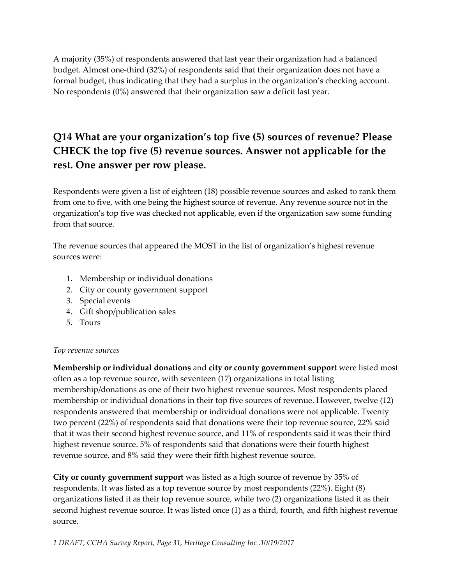A majority (35%) of respondents answered that last year their organization had a balanced budget. Almost one-third (32%) of respondents said that their organization does not have a formal budget, thus indicating that they had a surplus in the organization's checking account. No respondents (0%) answered that their organization saw a deficit last year.

# **Q14 What are your organization's top five (5) sources of revenue? Please CHECK the top five (5) revenue sources. Answer not applicable for the rest. One answer per row please.**

Respondents were given a list of eighteen (18) possible revenue sources and asked to rank them from one to five, with one being the highest source of revenue. Any revenue source not in the organization's top five was checked not applicable, even if the organization saw some funding from that source.

The revenue sources that appeared the MOST in the list of organization's highest revenue sources were:

- 1. Membership or individual donations
- 2. City or county government support
- 3. Special events
- 4. Gift shop/publication sales
- 5. Tours

### *Top revenue sources*

**Membership or individual donations** and **city or county government support** were listed most often as a top revenue source, with seventeen (17) organizations in total listing membership/donations as one of their two highest revenue sources. Most respondents placed membership or individual donations in their top five sources of revenue. However, twelve (12) respondents answered that membership or individual donations were not applicable. Twenty two percent (22%) of respondents said that donations were their top revenue source, 22% said that it was their second highest revenue source, and 11% of respondents said it was their third highest revenue source. 5% of respondents said that donations were their fourth highest revenue source, and 8% said they were their fifth highest revenue source.

**City or county government support** was listed as a high source of revenue by 35% of respondents. It was listed as a top revenue source by most respondents (22%). Eight (8) organizations listed it as their top revenue source, while two (2) organizations listed it as their second highest revenue source. It was listed once (1) as a third, fourth, and fifth highest revenue source.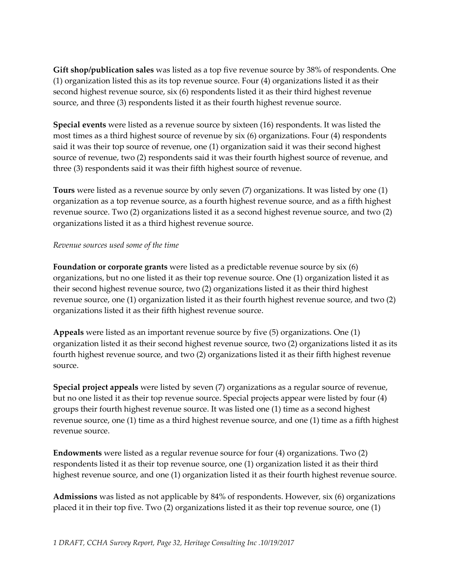**Gift shop/publication sales** was listed as a top five revenue source by 38% of respondents. One (1) organization listed this as its top revenue source. Four (4) organizations listed it as their second highest revenue source, six (6) respondents listed it as their third highest revenue source, and three (3) respondents listed it as their fourth highest revenue source.

**Special events** were listed as a revenue source by sixteen (16) respondents. It was listed the most times as a third highest source of revenue by six (6) organizations. Four (4) respondents said it was their top source of revenue, one (1) organization said it was their second highest source of revenue, two (2) respondents said it was their fourth highest source of revenue, and three (3) respondents said it was their fifth highest source of revenue.

**Tours** were listed as a revenue source by only seven (7) organizations. It was listed by one (1) organization as a top revenue source, as a fourth highest revenue source, and as a fifth highest revenue source. Two (2) organizations listed it as a second highest revenue source, and two (2) organizations listed it as a third highest revenue source.

#### *Revenue sources used some of the time*

**Foundation or corporate grants** were listed as a predictable revenue source by six (6) organizations, but no one listed it as their top revenue source. One (1) organization listed it as their second highest revenue source, two (2) organizations listed it as their third highest revenue source, one (1) organization listed it as their fourth highest revenue source, and two (2) organizations listed it as their fifth highest revenue source.

**Appeals** were listed as an important revenue source by five (5) organizations. One (1) organization listed it as their second highest revenue source, two (2) organizations listed it as its fourth highest revenue source, and two (2) organizations listed it as their fifth highest revenue source.

**Special project appeals** were listed by seven (7) organizations as a regular source of revenue, but no one listed it as their top revenue source. Special projects appear were listed by four (4) groups their fourth highest revenue source. It was listed one (1) time as a second highest revenue source, one (1) time as a third highest revenue source, and one (1) time as a fifth highest revenue source.

**Endowments** were listed as a regular revenue source for four (4) organizations. Two (2) respondents listed it as their top revenue source, one (1) organization listed it as their third highest revenue source, and one (1) organization listed it as their fourth highest revenue source.

**Admissions** was listed as not applicable by 84% of respondents. However, six (6) organizations placed it in their top five. Two (2) organizations listed it as their top revenue source, one (1)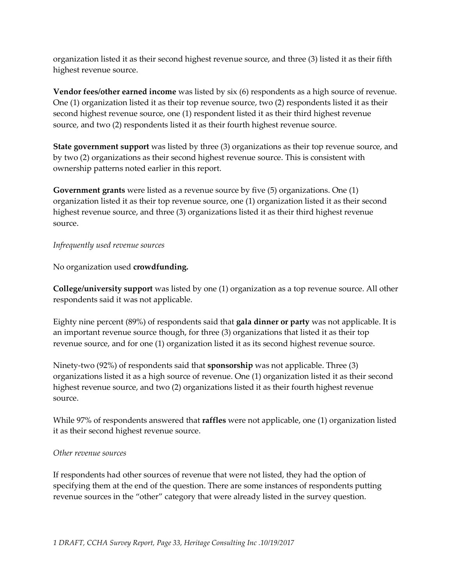organization listed it as their second highest revenue source, and three (3) listed it as their fifth highest revenue source.

**Vendor fees/other earned income** was listed by six (6) respondents as a high source of revenue. One (1) organization listed it as their top revenue source, two (2) respondents listed it as their second highest revenue source, one (1) respondent listed it as their third highest revenue source, and two (2) respondents listed it as their fourth highest revenue source.

**State government support** was listed by three (3) organizations as their top revenue source, and by two (2) organizations as their second highest revenue source. This is consistent with ownership patterns noted earlier in this report.

**Government grants** were listed as a revenue source by five (5) organizations. One (1) organization listed it as their top revenue source, one (1) organization listed it as their second highest revenue source, and three (3) organizations listed it as their third highest revenue source.

### *Infrequently used revenue sources*

No organization used **crowdfunding.**

**College/university support** was listed by one (1) organization as a top revenue source. All other respondents said it was not applicable.

Eighty nine percent (89%) of respondents said that **gala dinner or party** was not applicable. It is an important revenue source though, for three (3) organizations that listed it as their top revenue source, and for one (1) organization listed it as its second highest revenue source.

Ninety-two (92%) of respondents said that **sponsorship** was not applicable. Three (3) organizations listed it as a high source of revenue. One (1) organization listed it as their second highest revenue source, and two (2) organizations listed it as their fourth highest revenue source.

While 97% of respondents answered that **raffles** were not applicable, one (1) organization listed it as their second highest revenue source.

### *Other revenue sources*

If respondents had other sources of revenue that were not listed, they had the option of specifying them at the end of the question. There are some instances of respondents putting revenue sources in the "other" category that were already listed in the survey question.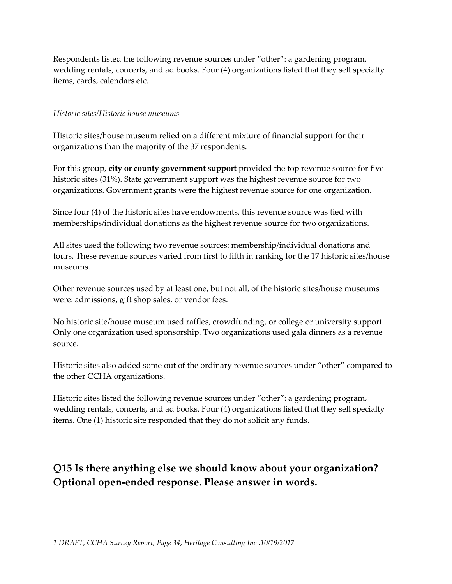Respondents listed the following revenue sources under "other": a gardening program, wedding rentals, concerts, and ad books. Four (4) organizations listed that they sell specialty items, cards, calendars etc.

#### *Historic sites/Historic house museums*

Historic sites/house museum relied on a different mixture of financial support for their organizations than the majority of the 37 respondents.

For this group, **city or county government support** provided the top revenue source for five historic sites (31%). State government support was the highest revenue source for two organizations. Government grants were the highest revenue source for one organization.

Since four (4) of the historic sites have endowments, this revenue source was tied with memberships/individual donations as the highest revenue source for two organizations.

All sites used the following two revenue sources: membership/individual donations and tours. These revenue sources varied from first to fifth in ranking for the 17 historic sites/house museums.

Other revenue sources used by at least one, but not all, of the historic sites/house museums were: admissions, gift shop sales, or vendor fees.

No historic site/house museum used raffles, crowdfunding, or college or university support. Only one organization used sponsorship. Two organizations used gala dinners as a revenue source.

Historic sites also added some out of the ordinary revenue sources under "other" compared to the other CCHA organizations.

Historic sites listed the following revenue sources under "other": a gardening program, wedding rentals, concerts, and ad books. Four (4) organizations listed that they sell specialty items. One (1) historic site responded that they do not solicit any funds.

# **Q15 Is there anything else we should know about your organization? Optional open-ended response. Please answer in words.**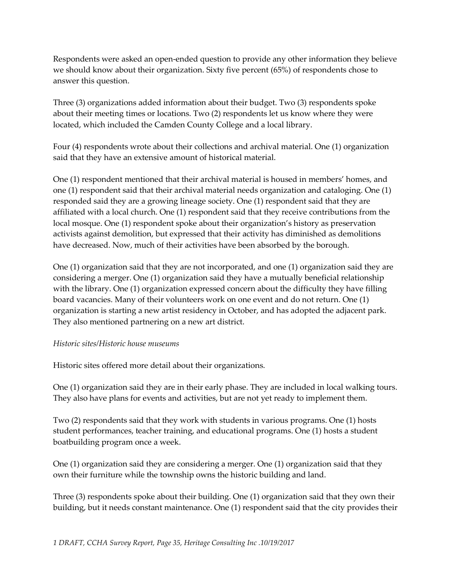Respondents were asked an open-ended question to provide any other information they believe we should know about their organization. Sixty five percent (65%) of respondents chose to answer this question.

Three (3) organizations added information about their budget. Two (3) respondents spoke about their meeting times or locations. Two (2) respondents let us know where they were located, which included the Camden County College and a local library.

Four (4) respondents wrote about their collections and archival material. One (1) organization said that they have an extensive amount of historical material.

One (1) respondent mentioned that their archival material is housed in members' homes, and one (1) respondent said that their archival material needs organization and cataloging. One (1) responded said they are a growing lineage society. One (1) respondent said that they are affiliated with a local church. One (1) respondent said that they receive contributions from the local mosque. One (1) respondent spoke about their organization's history as preservation activists against demolition, but expressed that their activity has diminished as demolitions have decreased. Now, much of their activities have been absorbed by the borough.

One (1) organization said that they are not incorporated, and one (1) organization said they are considering a merger. One (1) organization said they have a mutually beneficial relationship with the library. One (1) organization expressed concern about the difficulty they have filling board vacancies. Many of their volunteers work on one event and do not return. One (1) organization is starting a new artist residency in October, and has adopted the adjacent park. They also mentioned partnering on a new art district.

### *Historic sites/Historic house museums*

Historic sites offered more detail about their organizations.

One (1) organization said they are in their early phase. They are included in local walking tours. They also have plans for events and activities, but are not yet ready to implement them.

Two (2) respondents said that they work with students in various programs. One (1) hosts student performances, teacher training, and educational programs. One (1) hosts a student boatbuilding program once a week.

One (1) organization said they are considering a merger. One (1) organization said that they own their furniture while the township owns the historic building and land.

Three (3) respondents spoke about their building. One (1) organization said that they own their building, but it needs constant maintenance. One (1) respondent said that the city provides their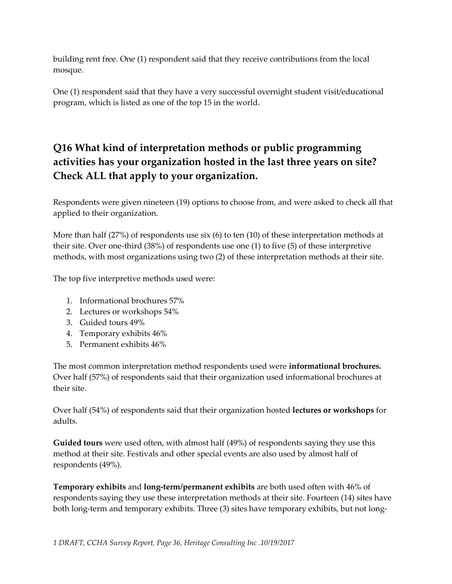building rent free. One (1) respondent said that they receive contributions from the local mosque.

One (1) respondent said that they have a very successful overnight student visit/educational program, which is listed as one of the top 15 in the world.

# **Q16 What kind of interpretation methods or public programming activities has your organization hosted in the last three years on site? Check ALL that apply to your organization.**

Respondents were given nineteen (19) options to choose from, and were asked to check all that applied to their organization.

More than half (27%) of respondents use six (6) to ten (10) of these interpretation methods at their site. Over one-third (38%) of respondents use one (1) to five (5) of these interpretive methods, with most organizations using two (2) of these interpretation methods at their site.

The top five interpretive methods used were:

- 1. Informational brochures 57%
- 2. Lectures or workshops 54%
- 3. Guided tours 49%
- 4. Temporary exhibits 46%
- 5. Permanent exhibits 46%

The most common interpretation method respondents used were **informational brochures.** Over half (57%) of respondents said that their organization used informational brochures at their site.

Over half (54%) of respondents said that their organization hosted **lectures or workshops** for adults.

**Guided tours** were used often, with almost half (49%) of respondents saying they use this method at their site. Festivals and other special events are also used by almost half of respondents (49%).

**Temporary exhibits** and **long-term/permanent exhibits** are both used often with 46% of respondents saying they use these interpretation methods at their site. Fourteen (14) sites have both long-term and temporary exhibits. Three (3) sites have temporary exhibits, but not long-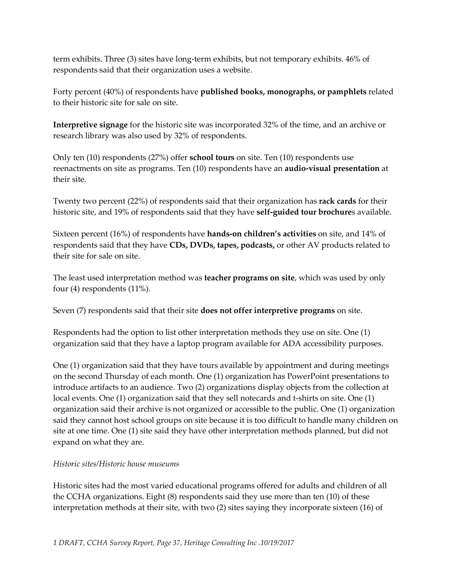term exhibits. Three (3) sites have long-term exhibits, but not temporary exhibits. 46% of respondents said that their organization uses a website.

Forty percent (40%) of respondents have **published books, monographs, or pamphlets** related to their historic site for sale on site.

**Interpretive signage** for the historic site was incorporated 32% of the time, and an archive or research library was also used by 32% of respondents.

Only ten (10) respondents (27%) offer **school tours** on site. Ten (10) respondents use reenactments on site as programs. Ten (10) respondents have an **audio-visual presentation** at their site.

Twenty two percent (22%) of respondents said that their organization has **rack cards** for their historic site, and 19% of respondents said that they have **self-guided tour brochure**s available.

Sixteen percent (16%) of respondents have **hands-on children's activities** on site, and 14% of respondents said that they have **CDs, DVDs, tapes, podcasts,** or other AV products related to their site for sale on site.

The least used interpretation method was **teacher programs on site**, which was used by only four (4) respondents (11%).

Seven (7) respondents said that their site **does not offer interpretive programs** on site.

Respondents had the option to list other interpretation methods they use on site. One (1) organization said that they have a laptop program available for ADA accessibility purposes.

One (1) organization said that they have tours available by appointment and during meetings on the second Thursday of each month. One (1) organization has PowerPoint presentations to introduce artifacts to an audience. Two (2) organizations display objects from the collection at local events. One (1) organization said that they sell notecards and t-shirts on site. One (1) organization said their archive is not organized or accessible to the public. One (1) organization said they cannot host school groups on site because it is too difficult to handle many children on site at one time. One (1) site said they have other interpretation methods planned, but did not expand on what they are.

### *Historic sites/Historic house museums*

Historic sites had the most varied educational programs offered for adults and children of all the CCHA organizations. Eight (8) respondents said they use more than ten (10) of these interpretation methods at their site, with two (2) sites saying they incorporate sixteen (16) of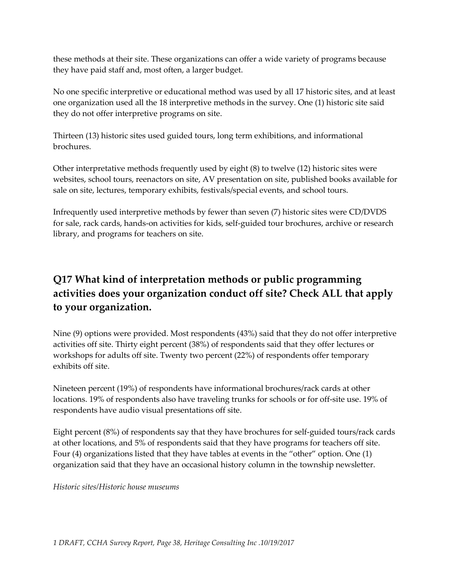these methods at their site. These organizations can offer a wide variety of programs because they have paid staff and, most often, a larger budget.

No one specific interpretive or educational method was used by all 17 historic sites, and at least one organization used all the 18 interpretive methods in the survey. One (1) historic site said they do not offer interpretive programs on site.

Thirteen (13) historic sites used guided tours, long term exhibitions, and informational brochures.

Other interpretative methods frequently used by eight (8) to twelve (12) historic sites were websites, school tours, reenactors on site, AV presentation on site, published books available for sale on site, lectures, temporary exhibits, festivals/special events, and school tours.

Infrequently used interpretive methods by fewer than seven (7) historic sites were CD/DVDS for sale, rack cards, hands-on activities for kids, self-guided tour brochures, archive or research library, and programs for teachers on site.

# **Q17 What kind of interpretation methods or public programming activities does your organization conduct off site? Check ALL that apply to your organization.**

Nine (9) options were provided. Most respondents (43%) said that they do not offer interpretive activities off site. Thirty eight percent (38%) of respondents said that they offer lectures or workshops for adults off site. Twenty two percent (22%) of respondents offer temporary exhibits off site.

Nineteen percent (19%) of respondents have informational brochures/rack cards at other locations. 19% of respondents also have traveling trunks for schools or for off-site use. 19% of respondents have audio visual presentations off site.

Eight percent (8%) of respondents say that they have brochures for self-guided tours/rack cards at other locations, and 5% of respondents said that they have programs for teachers off site. Four (4) organizations listed that they have tables at events in the "other" option. One (1) organization said that they have an occasional history column in the township newsletter.

*Historic sites/Historic house museums*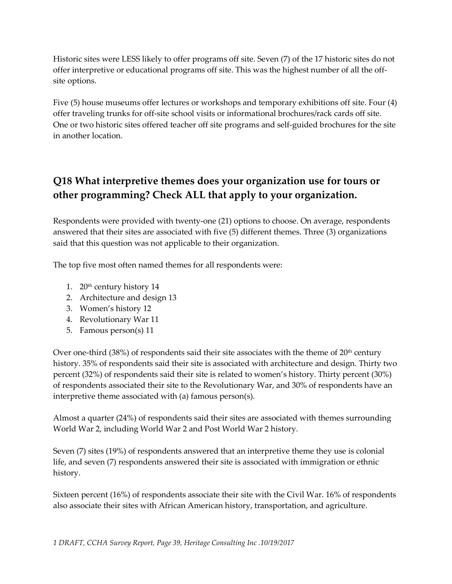Historic sites were LESS likely to offer programs off site. Seven (7) of the 17 historic sites do not offer interpretive or educational programs off site. This was the highest number of all the offsite options.

Five (5) house museums offer lectures or workshops and temporary exhibitions off site. Four (4) offer traveling trunks for off-site school visits or informational brochures/rack cards off site. One or two historic sites offered teacher off site programs and self-guided brochures for the site in another location.

## **Q18 What interpretive themes does your organization use for tours or other programming? Check ALL that apply to your organization.**

Respondents were provided with twenty-one (21) options to choose. On average, respondents answered that their sites are associated with five (5) different themes. Three (3) organizations said that this question was not applicable to their organization.

The top five most often named themes for all respondents were:

- 1.  $20<sup>th</sup>$  century history 14
- 2. Architecture and design 13
- 3. Women's history 12
- 4. Revolutionary War 11
- 5. Famous person(s) 11

Over one-third  $(38%)$  of respondents said their site associates with the theme of  $20<sup>th</sup>$  century history. 35% of respondents said their site is associated with architecture and design. Thirty two percent (32%) of respondents said their site is related to women's history. Thirty percent (30%) of respondents associated their site to the Revolutionary War, and 30% of respondents have an interpretive theme associated with (a) famous person(s).

Almost a quarter (24%) of respondents said their sites are associated with themes surrounding World War 2, including World War 2 and Post World War 2 history.

Seven (7) sites (19%) of respondents answered that an interpretive theme they use is colonial life, and seven (7) respondents answered their site is associated with immigration or ethnic history.

Sixteen percent (16%) of respondents associate their site with the Civil War. 16% of respondents also associate their sites with African American history, transportation, and agriculture.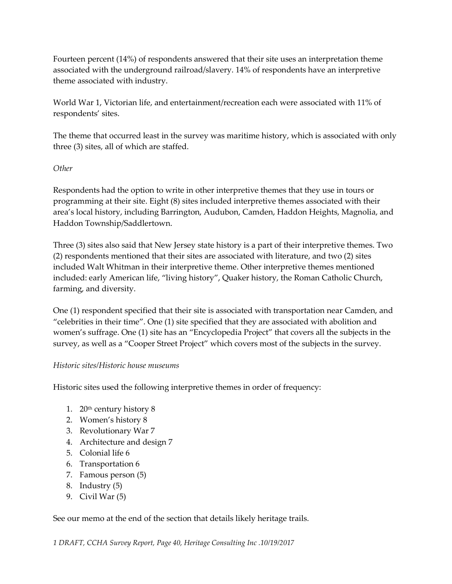Fourteen percent (14%) of respondents answered that their site uses an interpretation theme associated with the underground railroad/slavery. 14% of respondents have an interpretive theme associated with industry.

World War 1, Victorian life, and entertainment/recreation each were associated with 11% of respondents' sites.

The theme that occurred least in the survey was maritime history, which is associated with only three (3) sites, all of which are staffed.

### *Other*

Respondents had the option to write in other interpretive themes that they use in tours or programming at their site. Eight (8) sites included interpretive themes associated with their area's local history, including Barrington, Audubon, Camden, Haddon Heights, Magnolia, and Haddon Township/Saddlertown.

Three (3) sites also said that New Jersey state history is a part of their interpretive themes. Two (2) respondents mentioned that their sites are associated with literature, and two (2) sites included Walt Whitman in their interpretive theme. Other interpretive themes mentioned included: early American life, "living history", Quaker history, the Roman Catholic Church, farming, and diversity.

One (1) respondent specified that their site is associated with transportation near Camden, and "celebrities in their time". One (1) site specified that they are associated with abolition and women's suffrage. One (1) site has an "Encyclopedia Project" that covers all the subjects in the survey, as well as a "Cooper Street Project" which covers most of the subjects in the survey.

### *Historic sites/Historic house museums*

Historic sites used the following interpretive themes in order of frequency:

- 1.  $20<sup>th</sup>$  century history 8
- 2. Women's history 8
- 3. Revolutionary War 7
- 4. Architecture and design 7
- 5. Colonial life 6
- 6. Transportation 6
- 7. Famous person (5)
- 8. Industry (5)
- 9. Civil War (5)

### See our memo at the end of the section that details likely heritage trails.

*1 DRAFT, CCHA Survey Report, Page 40, Heritage Consulting Inc .10/19/2017*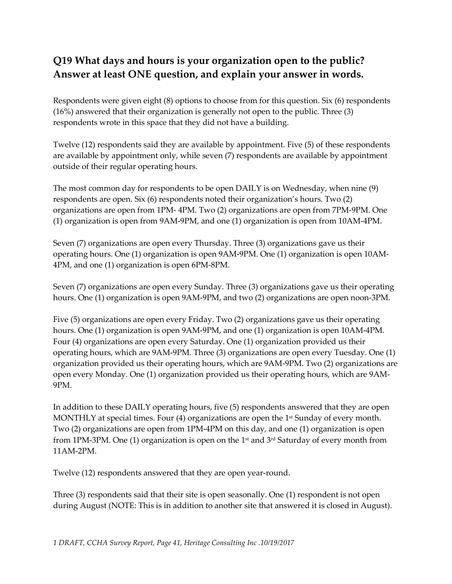# **Q19 What days and hours is your organization open to the public? Answer at least ONE question, and explain your answer in words.**

Respondents were given eight (8) options to choose from for this question. Six (6) respondents (16%) answered that their organization is generally not open to the public. Three (3) respondents wrote in this space that they did not have a building.

Twelve (12) respondents said they are available by appointment. Five (5) of these respondents are available by appointment only, while seven (7) respondents are available by appointment outside of their regular operating hours.

The most common day for respondents to be open DAILY is on Wednesday, when nine (9) respondents are open. Six (6) respondents noted their organization's hours. Two (2) organizations are open from 1PM- 4PM. Two (2) organizations are open from 7PM-9PM. One (1) organization is open from 9AM-9PM, and one (1) organization is open from 10AM-4PM.

Seven (7) organizations are open every Thursday. Three (3) organizations gave us their operating hours. One (1) organization is open 9AM-9PM. One (1) organization is open 10AM-4PM, and one (1) organization is open 6PM-8PM.

Seven (7) organizations are open every Sunday. Three (3) organizations gave us their operating hours. One (1) organization is open 9AM-9PM, and two (2) organizations are open noon-3PM.

Five (5) organizations are open every Friday. Two (2) organizations gave us their operating hours. One (1) organization is open 9AM-9PM, and one (1) organization is open 10AM-4PM. Four (4) organizations are open every Saturday. One (1) organization provided us their operating hours, which are 9AM-9PM. Three (3) organizations are open every Tuesday. One (1) organization provided us their operating hours, which are 9AM-9PM. Two (2) organizations are open every Monday. One (1) organization provided us their operating hours, which are 9AM-9PM.

In addition to these DAILY operating hours, five (5) respondents answered that they are open MONTHLY at special times. Four  $(4)$  organizations are open the 1<sup>st</sup> Sunday of every month. Two (2) organizations are open from 1PM-4PM on this day, and one (1) organization is open from 1PM-3PM. One (1) organization is open on the 1<sup>st</sup> and 3<sup>rd</sup> Saturday of every month from 11AM-2PM.

Twelve (12) respondents answered that they are open year-round.

Three (3) respondents said that their site is open seasonally. One (1) respondent is not open during August (NOTE: This is in addition to another site that answered it is closed in August).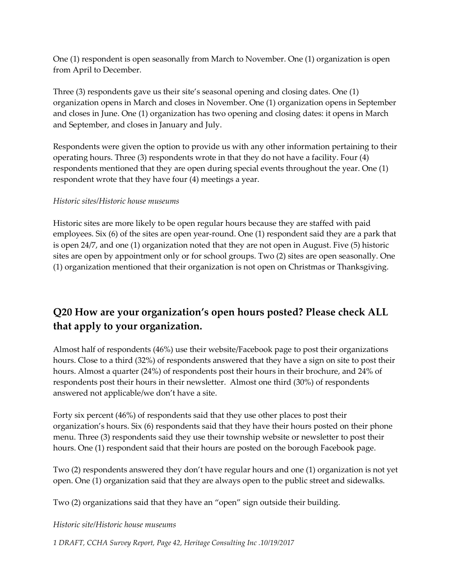One (1) respondent is open seasonally from March to November. One (1) organization is open from April to December.

Three (3) respondents gave us their site's seasonal opening and closing dates. One (1) organization opens in March and closes in November. One (1) organization opens in September and closes in June. One (1) organization has two opening and closing dates: it opens in March and September, and closes in January and July.

Respondents were given the option to provide us with any other information pertaining to their operating hours. Three (3) respondents wrote in that they do not have a facility. Four (4) respondents mentioned that they are open during special events throughout the year. One (1) respondent wrote that they have four (4) meetings a year.

### *Historic sites/Historic house museums*

Historic sites are more likely to be open regular hours because they are staffed with paid employees. Six (6) of the sites are open year-round. One (1) respondent said they are a park that is open 24/7, and one (1) organization noted that they are not open in August. Five (5) historic sites are open by appointment only or for school groups. Two (2) sites are open seasonally. One (1) organization mentioned that their organization is not open on Christmas or Thanksgiving.

# **Q20 How are your organization's open hours posted? Please check ALL that apply to your organization.**

Almost half of respondents (46%) use their website/Facebook page to post their organizations hours. Close to a third (32%) of respondents answered that they have a sign on site to post their hours. Almost a quarter (24%) of respondents post their hours in their brochure, and 24% of respondents post their hours in their newsletter. Almost one third (30%) of respondents answered not applicable/we don't have a site.

Forty six percent (46%) of respondents said that they use other places to post their organization's hours. Six (6) respondents said that they have their hours posted on their phone menu. Three (3) respondents said they use their township website or newsletter to post their hours. One (1) respondent said that their hours are posted on the borough Facebook page.

Two (2) respondents answered they don't have regular hours and one (1) organization is not yet open. One (1) organization said that they are always open to the public street and sidewalks.

Two (2) organizations said that they have an "open" sign outside their building.

*Historic site/Historic house museums*

*1 DRAFT, CCHA Survey Report, Page 42, Heritage Consulting Inc .10/19/2017*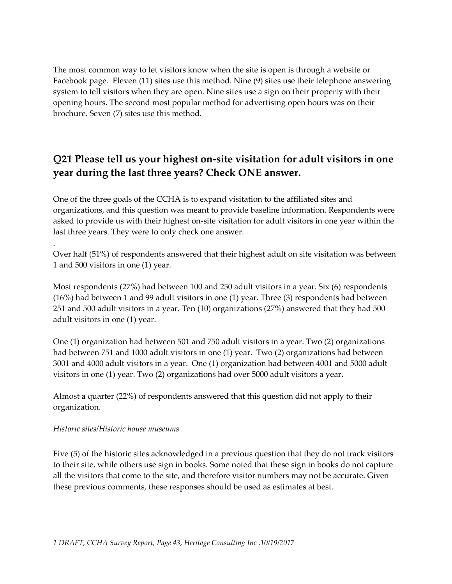The most common way to let visitors know when the site is open is through a website or Facebook page. Eleven (11) sites use this method. Nine (9) sites use their telephone answering system to tell visitors when they are open. Nine sites use a sign on their property with their opening hours. The second most popular method for advertising open hours was on their brochure. Seven (7) sites use this method.

# **Q21 Please tell us your highest on-site visitation for adult visitors in one year during the last three years? Check ONE answer.**

One of the three goals of the CCHA is to expand visitation to the affiliated sites and organizations, and this question was meant to provide baseline information. Respondents were asked to provide us with their highest on-site visitation for adult visitors in one year within the last three years. They were to only check one answer.

Over half (51%) of respondents answered that their highest adult on site visitation was between 1 and 500 visitors in one (1) year.

Most respondents (27%) had between 100 and 250 adult visitors in a year. Six (6) respondents (16%) had between 1 and 99 adult visitors in one (1) year. Three (3) respondents had between 251 and 500 adult visitors in a year. Ten (10) organizations (27%) answered that they had 500 adult visitors in one (1) year.

One (1) organization had between 501 and 750 adult visitors in a year. Two (2) organizations had between 751 and 1000 adult visitors in one (1) year. Two (2) organizations had between 3001 and 4000 adult visitors in a year. One (1) organization had between 4001 and 5000 adult visitors in one (1) year. Two (2) organizations had over 5000 adult visitors a year.

Almost a quarter (22%) of respondents answered that this question did not apply to their organization.

### *Historic sites/Historic house museums*

.

Five (5) of the historic sites acknowledged in a previous question that they do not track visitors to their site, while others use sign in books. Some noted that these sign in books do not capture all the visitors that come to the site, and therefore visitor numbers may not be accurate. Given these previous comments, these responses should be used as estimates at best.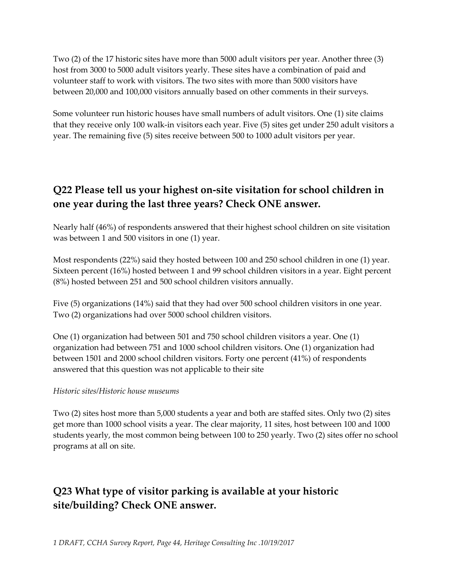Two (2) of the 17 historic sites have more than 5000 adult visitors per year. Another three (3) host from 3000 to 5000 adult visitors yearly. These sites have a combination of paid and volunteer staff to work with visitors. The two sites with more than 5000 visitors have between 20,000 and 100,000 visitors annually based on other comments in their surveys.

Some volunteer run historic houses have small numbers of adult visitors. One (1) site claims that they receive only 100 walk-in visitors each year. Five (5) sites get under 250 adult visitors a year. The remaining five (5) sites receive between 500 to 1000 adult visitors per year.

## **Q22 Please tell us your highest on-site visitation for school children in one year during the last three years? Check ONE answer.**

Nearly half (46%) of respondents answered that their highest school children on site visitation was between 1 and 500 visitors in one (1) year.

Most respondents (22%) said they hosted between 100 and 250 school children in one (1) year. Sixteen percent (16%) hosted between 1 and 99 school children visitors in a year. Eight percent (8%) hosted between 251 and 500 school children visitors annually.

Five (5) organizations (14%) said that they had over 500 school children visitors in one year. Two (2) organizations had over 5000 school children visitors.

One (1) organization had between 501 and 750 school children visitors a year. One (1) organization had between 751 and 1000 school children visitors. One (1) organization had between 1501 and 2000 school children visitors. Forty one percent (41%) of respondents answered that this question was not applicable to their site

### *Historic sites/Historic house museums*

Two (2) sites host more than 5,000 students a year and both are staffed sites. Only two (2) sites get more than 1000 school visits a year. The clear majority, 11 sites, host between 100 and 1000 students yearly, the most common being between 100 to 250 yearly. Two (2) sites offer no school programs at all on site.

# **Q23 What type of visitor parking is available at your historic site/building? Check ONE answer.**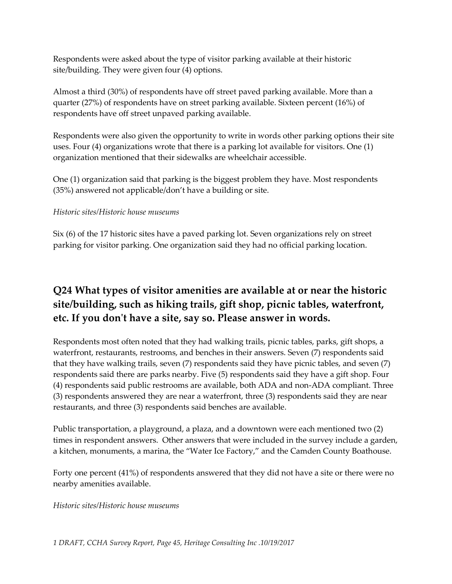Respondents were asked about the type of visitor parking available at their historic site/building. They were given four (4) options.

Almost a third (30%) of respondents have off street paved parking available. More than a quarter (27%) of respondents have on street parking available. Sixteen percent (16%) of respondents have off street unpaved parking available.

Respondents were also given the opportunity to write in words other parking options their site uses. Four (4) organizations wrote that there is a parking lot available for visitors. One (1) organization mentioned that their sidewalks are wheelchair accessible.

One (1) organization said that parking is the biggest problem they have. Most respondents (35%) answered not applicable/don't have a building or site.

### *Historic sites/Historic house museums*

Six (6) of the 17 historic sites have a paved parking lot. Seven organizations rely on street parking for visitor parking. One organization said they had no official parking location.

# **Q24 What types of visitor amenities are available at or near the historic site/building, such as hiking trails, gift shop, picnic tables, waterfront, etc. If you don't have a site, say so. Please answer in words.**

Respondents most often noted that they had walking trails, picnic tables, parks, gift shops, a waterfront, restaurants, restrooms, and benches in their answers. Seven (7) respondents said that they have walking trails, seven (7) respondents said they have picnic tables, and seven (7) respondents said there are parks nearby. Five (5) respondents said they have a gift shop. Four (4) respondents said public restrooms are available, both ADA and non-ADA compliant. Three (3) respondents answered they are near a waterfront, three (3) respondents said they are near restaurants, and three (3) respondents said benches are available.

Public transportation, a playground, a plaza, and a downtown were each mentioned two (2) times in respondent answers. Other answers that were included in the survey include a garden, a kitchen, monuments, a marina, the "Water Ice Factory," and the Camden County Boathouse.

Forty one percent (41%) of respondents answered that they did not have a site or there were no nearby amenities available.

*Historic sites/Historic house museums*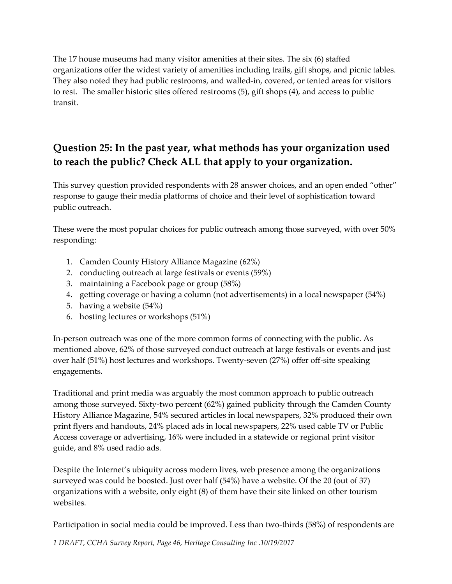The 17 house museums had many visitor amenities at their sites. The six (6) staffed organizations offer the widest variety of amenities including trails, gift shops, and picnic tables. They also noted they had public restrooms, and walled-in, covered, or tented areas for visitors to rest. The smaller historic sites offered restrooms (5), gift shops (4), and access to public transit.

# **Question 25: In the past year, what methods has your organization used to reach the public? Check ALL that apply to your organization.**

This survey question provided respondents with 28 answer choices, and an open ended "other" response to gauge their media platforms of choice and their level of sophistication toward public outreach.

These were the most popular choices for public outreach among those surveyed, with over 50% responding:

- 1. Camden County History Alliance Magazine (62%)
- 2. conducting outreach at large festivals or events (59%)
- 3. maintaining a Facebook page or group (58%)
- 4. getting coverage or having a column (not advertisements) in a local newspaper (54%)
- 5. having a website (54%)
- 6. hosting lectures or workshops (51%)

In-person outreach was one of the more common forms of connecting with the public. As mentioned above, 62% of those surveyed conduct outreach at large festivals or events and just over half (51%) host lectures and workshops. Twenty-seven (27%) offer off-site speaking engagements.

Traditional and print media was arguably the most common approach to public outreach among those surveyed. Sixty-two percent (62%) gained publicity through the Camden County History Alliance Magazine, 54% secured articles in local newspapers, 32% produced their own print flyers and handouts, 24% placed ads in local newspapers, 22% used cable TV or Public Access coverage or advertising, 16% were included in a statewide or regional print visitor guide, and 8% used radio ads.

Despite the Internet's ubiquity across modern lives, web presence among the organizations surveyed was could be boosted. Just over half (54%) have a website. Of the 20 (out of 37) organizations with a website, only eight (8) of them have their site linked on other tourism websites.

Participation in social media could be improved. Less than two-thirds (58%) of respondents are

*1 DRAFT, CCHA Survey Report, Page 46, Heritage Consulting Inc .10/19/2017*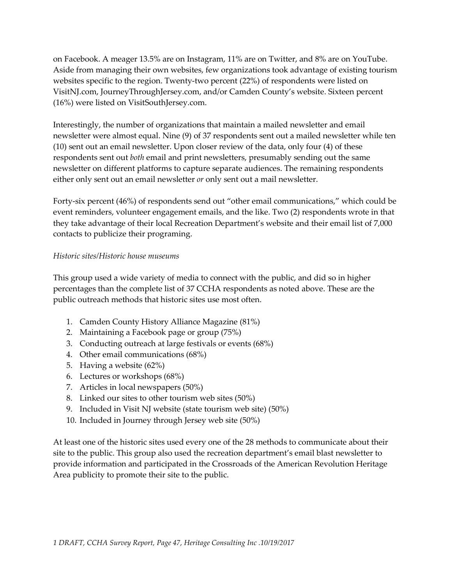on Facebook. A meager 13.5% are on Instagram, 11% are on Twitter, and 8% are on YouTube. Aside from managing their own websites, few organizations took advantage of existing tourism websites specific to the region. Twenty-two percent (22%) of respondents were listed on VisitNJ.com, JourneyThroughJersey.com, and/or Camden County's website. Sixteen percent (16%) were listed on VisitSouthJersey.com.

Interestingly, the number of organizations that maintain a mailed newsletter and email newsletter were almost equal. Nine (9) of 37 respondents sent out a mailed newsletter while ten (10) sent out an email newsletter. Upon closer review of the data, only four (4) of these respondents sent out *both* email and print newsletters, presumably sending out the same newsletter on different platforms to capture separate audiences. The remaining respondents either only sent out an email newsletter *or* only sent out a mail newsletter.

Forty-six percent (46%) of respondents send out "other email communications," which could be event reminders, volunteer engagement emails, and the like. Two (2) respondents wrote in that they take advantage of their local Recreation Department's website and their email list of 7,000 contacts to publicize their programing.

### *Historic sites/Historic house museums*

This group used a wide variety of media to connect with the public, and did so in higher percentages than the complete list of 37 CCHA respondents as noted above. These are the public outreach methods that historic sites use most often.

- 1. Camden County History Alliance Magazine (81%)
- 2. Maintaining a Facebook page or group (75%)
- 3. Conducting outreach at large festivals or events (68%)
- 4. Other email communications (68%)
- 5. Having a website (62%)
- 6. Lectures or workshops (68%)
- 7. Articles in local newspapers (50%)
- 8. Linked our sites to other tourism web sites (50%)
- 9. Included in Visit NJ website (state tourism web site) (50%)
- 10. Included in Journey through Jersey web site (50%)

At least one of the historic sites used every one of the 28 methods to communicate about their site to the public. This group also used the recreation department's email blast newsletter to provide information and participated in the Crossroads of the American Revolution Heritage Area publicity to promote their site to the public.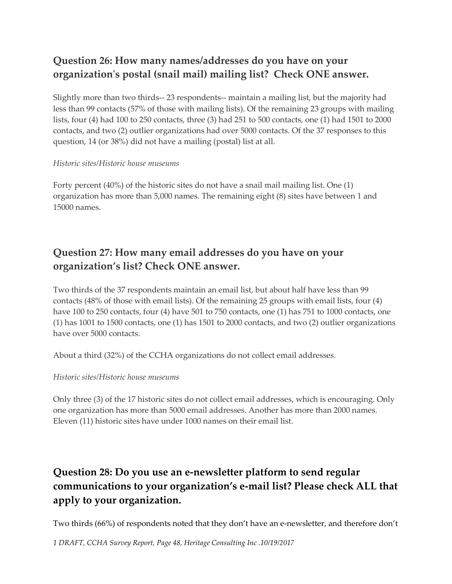# **Question 26: How many names/addresses do you have on your organization's postal (snail mail) mailing list? Check ONE answer.**

Slightly more than two thirds-- 23 respondents-- maintain a mailing list, but the majority had less than 99 contacts (57% of those with mailing lists). Of the remaining 23 groups with mailing lists, four (4) had 100 to 250 contacts, three (3) had 251 to 500 contacts, one (1) had 1501 to 2000 contacts, and two (2) outlier organizations had over 5000 contacts. Of the 37 responses to this question, 14 (or 38%) did not have a mailing (postal) list at all.

#### *Historic sites/Historic house museums*

Forty percent (40%) of the historic sites do not have a snail mail mailing list. One (1) organization has more than 5,000 names. The remaining eight (8) sites have between 1 and 15000 names.

## **Question 27: How many email addresses do you have on your organization's list? Check ONE answer.**

Two thirds of the 37 respondents maintain an email list, but about half have less than 99 contacts (48% of those with email lists). Of the remaining 25 groups with email lists, four (4) have 100 to 250 contacts, four (4) have 501 to 750 contacts, one (1) has 751 to 1000 contacts, one (1) has 1001 to 1500 contacts, one (1) has 1501 to 2000 contacts, and two (2) outlier organizations have over 5000 contacts.

About a third (32%) of the CCHA organizations do not collect email addresses.

### *Historic sites/Historic house museums*

Only three (3) of the 17 historic sites do not collect email addresses, which is encouraging. Only one organization has more than 5000 email addresses. Another has more than 2000 names. Eleven (11) historic sites have under 1000 names on their email list.

# **Question 28: Do you use an e-newsletter platform to send regular communications to your organization's e-mail list? Please check ALL that apply to your organization.**

Two thirds (66%) of respondents noted that they don't have an e-newsletter, and therefore don't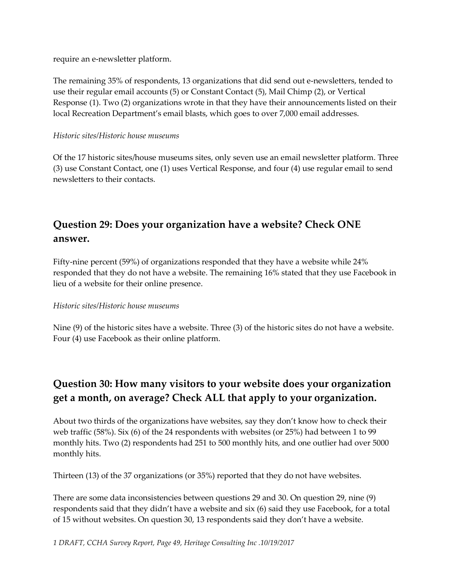require an e-newsletter platform.

The remaining 35% of respondents, 13 organizations that did send out e-newsletters, tended to use their regular email accounts (5) or Constant Contact (5), Mail Chimp (2), or Vertical Response (1). Two (2) organizations wrote in that they have their announcements listed on their local Recreation Department's email blasts, which goes to over 7,000 email addresses.

### *Historic sites/Historic house museums*

Of the 17 historic sites/house museums sites, only seven use an email newsletter platform. Three (3) use Constant Contact, one (1) uses Vertical Response, and four (4) use regular email to send newsletters to their contacts.

# **Question 29: Does your organization have a website? Check ONE answer.**

Fifty-nine percent (59%) of organizations responded that they have a website while 24% responded that they do not have a website. The remaining 16% stated that they use Facebook in lieu of a website for their online presence.

### *Historic sites/Historic house museums*

Nine (9) of the historic sites have a website. Three (3) of the historic sites do not have a website. Four (4) use Facebook as their online platform.

# **Question 30: How many visitors to your website does your organization get a month, on average? Check ALL that apply to your organization.**

About two thirds of the organizations have websites, say they don't know how to check their web traffic (58%). Six (6) of the 24 respondents with websites (or 25%) had between 1 to 99 monthly hits. Two (2) respondents had 251 to 500 monthly hits, and one outlier had over 5000 monthly hits.

Thirteen (13) of the 37 organizations (or 35%) reported that they do not have websites.

There are some data inconsistencies between questions 29 and 30. On question 29, nine (9) respondents said that they didn't have a website and six (6) said they use Facebook, for a total of 15 without websites. On question 30, 13 respondents said they don't have a website.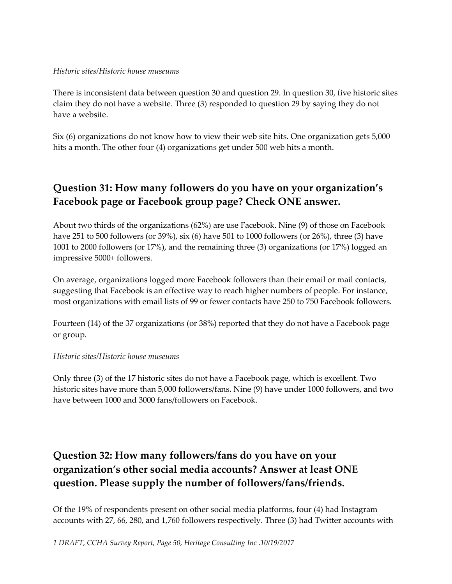### *Historic sites/Historic house museums*

There is inconsistent data between question 30 and question 29. In question 30, five historic sites claim they do not have a website. Three (3) responded to question 29 by saying they do not have a website.

Six (6) organizations do not know how to view their web site hits. One organization gets 5,000 hits a month. The other four (4) organizations get under 500 web hits a month.

# **Question 31: How many followers do you have on your organization's Facebook page or Facebook group page? Check ONE answer.**

About two thirds of the organizations (62%) are use Facebook. Nine (9) of those on Facebook have 251 to 500 followers (or 39%), six (6) have 501 to 1000 followers (or 26%), three (3) have 1001 to 2000 followers (or 17%), and the remaining three (3) organizations (or 17%) logged an impressive 5000+ followers.

On average, organizations logged more Facebook followers than their email or mail contacts, suggesting that Facebook is an effective way to reach higher numbers of people. For instance, most organizations with email lists of 99 or fewer contacts have 250 to 750 Facebook followers.

Fourteen (14) of the 37 organizations (or 38%) reported that they do not have a Facebook page or group.

### *Historic sites/Historic house museums*

Only three (3) of the 17 historic sites do not have a Facebook page, which is excellent. Two historic sites have more than 5,000 followers/fans. Nine (9) have under 1000 followers, and two have between 1000 and 3000 fans/followers on Facebook.

# **Question 32: How many followers/fans do you have on your organization's other social media accounts? Answer at least ONE question. Please supply the number of followers/fans/friends.**

Of the 19% of respondents present on other social media platforms, four (4) had Instagram accounts with 27, 66, 280, and 1,760 followers respectively. Three (3) had Twitter accounts with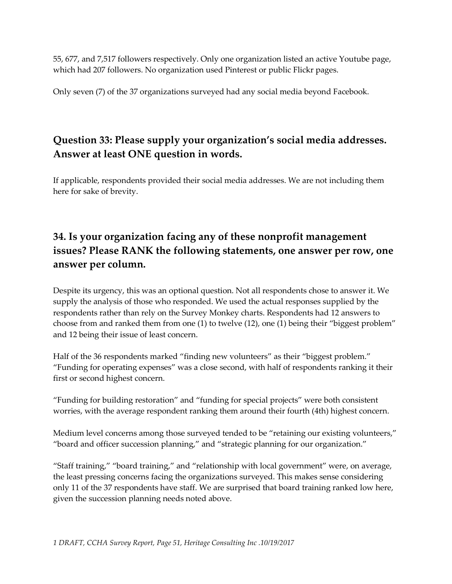55, 677, and 7,517 followers respectively. Only one organization listed an active Youtube page, which had 207 followers. No organization used Pinterest or public Flickr pages.

Only seven (7) of the 37 organizations surveyed had any social media beyond Facebook.

# **Question 33: Please supply your organization's social media addresses. Answer at least ONE question in words.**

If applicable, respondents provided their social media addresses. We are not including them here for sake of brevity.

# **34. Is your organization facing any of these nonprofit management issues? Please RANK the following statements, one answer per row, one answer per column.**

Despite its urgency, this was an optional question. Not all respondents chose to answer it. We supply the analysis of those who responded. We used the actual responses supplied by the respondents rather than rely on the Survey Monkey charts. Respondents had 12 answers to choose from and ranked them from one (1) to twelve (12), one (1) being their "biggest problem" and 12 being their issue of least concern.

Half of the 36 respondents marked "finding new volunteers" as their "biggest problem." "Funding for operating expenses" was a close second, with half of respondents ranking it their first or second highest concern.

"Funding for building restoration" and "funding for special projects" were both consistent worries, with the average respondent ranking them around their fourth (4th) highest concern.

Medium level concerns among those surveyed tended to be "retaining our existing volunteers," "board and officer succession planning," and "strategic planning for our organization."

"Staff training," "board training," and "relationship with local government" were, on average, the least pressing concerns facing the organizations surveyed. This makes sense considering only 11 of the 37 respondents have staff. We are surprised that board training ranked low here, given the succession planning needs noted above.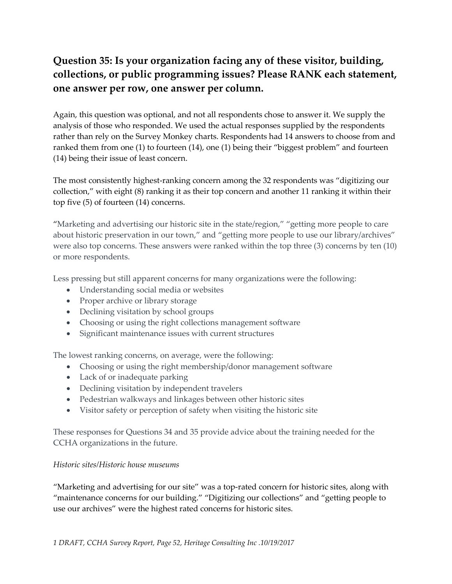# **Question 35: Is your organization facing any of these visitor, building, collections, or public programming issues? Please RANK each statement, one answer per row, one answer per column.**

Again, this question was optional, and not all respondents chose to answer it. We supply the analysis of those who responded. We used the actual responses supplied by the respondents rather than rely on the Survey Monkey charts. Respondents had 14 answers to choose from and ranked them from one (1) to fourteen (14), one (1) being their "biggest problem" and fourteen (14) being their issue of least concern.

The most consistently highest-ranking concern among the 32 respondents was "digitizing our collection," with eight (8) ranking it as their top concern and another 11 ranking it within their top five (5) of fourteen (14) concerns.

"Marketing and advertising our historic site in the state/region," "getting more people to care about historic preservation in our town," and "getting more people to use our library/archives" were also top concerns. These answers were ranked within the top three (3) concerns by ten (10) or more respondents.

Less pressing but still apparent concerns for many organizations were the following:

- Understanding social media or websites
- Proper archive or library storage
- Declining visitation by school groups
- Choosing or using the right collections management software
- Significant maintenance issues with current structures

The lowest ranking concerns, on average, were the following:

- Choosing or using the right membership/donor management software
- Lack of or inadequate parking
- Declining visitation by independent travelers
- Pedestrian walkways and linkages between other historic sites
- Visitor safety or perception of safety when visiting the historic site

These responses for Questions 34 and 35 provide advice about the training needed for the CCHA organizations in the future.

### *Historic sites/Historic house museums*

"Marketing and advertising for our site" was a top-rated concern for historic sites, along with "maintenance concerns for our building." "Digitizing our collections" and "getting people to use our archives" were the highest rated concerns for historic sites.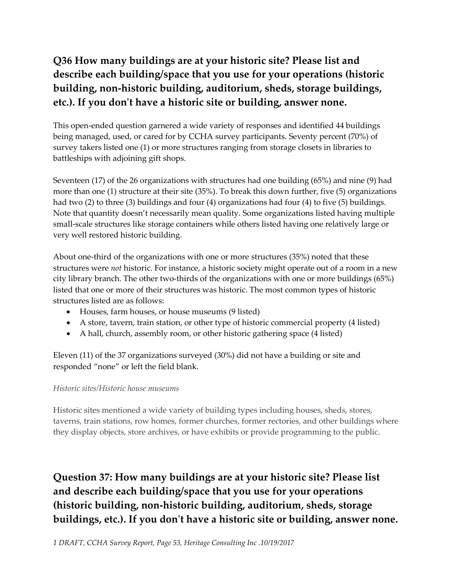# **Q36 How many buildings are at your historic site? Please list and describe each building/space that you use for your operations (historic building, non-historic building, auditorium, sheds, storage buildings, etc.). If you don't have a historic site or building, answer none.**

This open-ended question garnered a wide variety of responses and identified 44 buildings being managed, used, or cared for by CCHA survey participants. Seventy percent (70%) of survey takers listed one (1) or more structures ranging from storage closets in libraries to battleships with adjoining gift shops.

Seventeen (17) of the 26 organizations with structures had one building (65%) and nine (9) had more than one (1) structure at their site (35%). To break this down further, five (5) organizations had two (2) to three (3) buildings and four (4) organizations had four (4) to five (5) buildings. Note that quantity doesn't necessarily mean quality. Some organizations listed having multiple small-scale structures like storage containers while others listed having one relatively large or very well restored historic building.

About one-third of the organizations with one or more structures (35%) noted that these structures were *not* historic. For instance, a historic society might operate out of a room in a new city library branch. The other two-thirds of the organizations with one or more buildings (65%) listed that one or more of their structures was historic. The most common types of historic structures listed are as follows:

- Houses, farm houses, or house museums (9 listed)
- A store, tavern, train station, or other type of historic commercial property (4 listed)
- A hall, church, assembly room, or other historic gathering space (4 listed)

Eleven (11) of the 37 organizations surveyed (30%) did not have a building or site and responded "none" or left the field blank.

### *Historic sites/Historic house museums*

Historic sites mentioned a wide variety of building types including houses, sheds, stores, taverns, train stations, row homes, former churches, former rectories, and other buildings where they display objects, store archives, or have exhibits or provide programming to the public.

# **Question 37: How many buildings are at your historic site? Please list and describe each building/space that you use for your operations (historic building, non-historic building, auditorium, sheds, storage buildings, etc.). If you don't have a historic site or building, answer none.**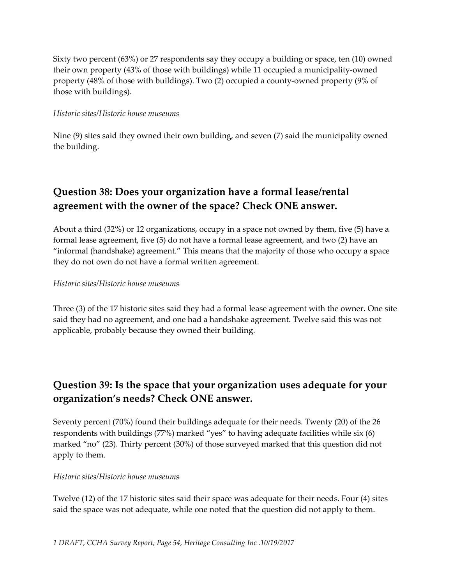Sixty two percent (63%) or 27 respondents say they occupy a building or space, ten (10) owned their own property (43% of those with buildings) while 11 occupied a municipality-owned property (48% of those with buildings). Two (2) occupied a county-owned property (9% of those with buildings).

### *Historic sites/Historic house museums*

Nine (9) sites said they owned their own building, and seven (7) said the municipality owned the building.

## **Question 38: Does your organization have a formal lease/rental agreement with the owner of the space? Check ONE answer.**

About a third (32%) or 12 organizations, occupy in a space not owned by them, five (5) have a formal lease agreement, five (5) do not have a formal lease agreement, and two (2) have an "informal (handshake) agreement." This means that the majority of those who occupy a space they do not own do not have a formal written agreement.

### *Historic sites/Historic house museums*

Three (3) of the 17 historic sites said they had a formal lease agreement with the owner. One site said they had no agreement, and one had a handshake agreement. Twelve said this was not applicable, probably because they owned their building.

## **Question 39: Is the space that your organization uses adequate for your organization's needs? Check ONE answer.**

Seventy percent (70%) found their buildings adequate for their needs. Twenty (20) of the 26 respondents with buildings (77%) marked "yes" to having adequate facilities while six (6) marked "no" (23). Thirty percent (30%) of those surveyed marked that this question did not apply to them.

### *Historic sites/Historic house museums*

Twelve (12) of the 17 historic sites said their space was adequate for their needs. Four (4) sites said the space was not adequate, while one noted that the question did not apply to them.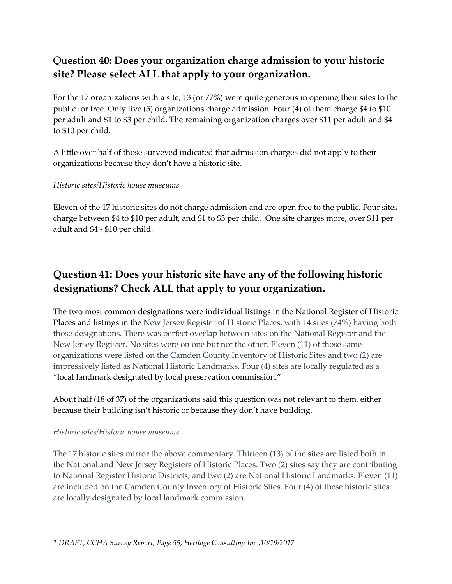# Qu**estion 40: Does your organization charge admission to your historic site? Please select ALL that apply to your organization.**

For the 17 organizations with a site, 13 (or 77%) were quite generous in opening their sites to the public for free. Only five (5) organizations charge admission. Four (4) of them charge \$4 to \$10 per adult and \$1 to \$3 per child. The remaining organization charges over \$11 per adult and \$4 to \$10 per child.

A little over half of those surveyed indicated that admission charges did not apply to their organizations because they don't have a historic site.

### *Historic sites/Historic house museums*

Eleven of the 17 historic sites do not charge admission and are open free to the public. Four sites charge between \$4 to \$10 per adult, and \$1 to \$3 per child. One site charges more, over \$11 per adult and \$4 - \$10 per child.

# **Question 41: Does your historic site have any of the following historic designations? Check ALL that apply to your organization.**

The two most common designations were individual listings in the National Register of Historic Places and listings in the New Jersey Register of Historic Places, with 14 sites (74%) having both those designations. There was perfect overlap between sites on the National Register and the New Jersey Register. No sites were on one but not the other. Eleven (11) of those same organizations were listed on the Camden County Inventory of Historic Sites and two (2) are impressively listed as National Historic Landmarks. Four (4) sites are locally regulated as a "local landmark designated by local preservation commission."

About half (18 of 37) of the organizations said this question was not relevant to them, either because their building isn't historic or because they don't have building.

### *Historic sites/Historic house museums*

The 17 historic sites mirror the above commentary. Thirteen (13) of the sites are listed both in the National and New Jersey Registers of Historic Places. Two (2) sites say they are contributing to National Register Historic Districts, and two (2) are National Historic Landmarks. Eleven (11) are included on the Camden County Inventory of Historic Sites. Four (4) of these historic sites are locally designated by local landmark commission.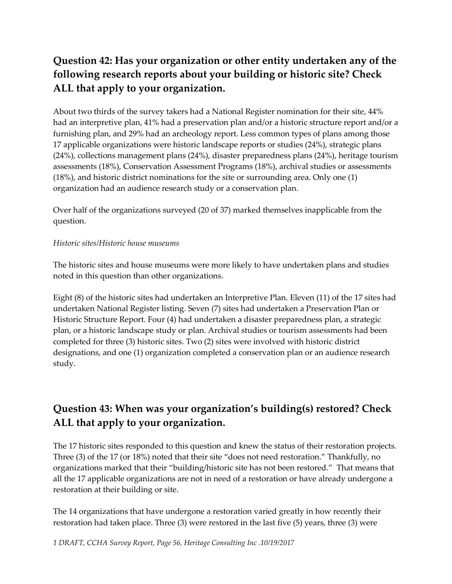# **Question 42: Has your organization or other entity undertaken any of the following research reports about your building or historic site? Check ALL that apply to your organization.**

About two thirds of the survey takers had a National Register nomination for their site, 44% had an interpretive plan, 41% had a preservation plan and/or a historic structure report and/or a furnishing plan, and 29% had an archeology report. Less common types of plans among those 17 applicable organizations were historic landscape reports or studies (24%), strategic plans (24%), collections management plans (24%), disaster preparedness plans (24%), heritage tourism assessments (18%), Conservation Assessment Programs (18%), archival studies or assessments (18%), and historic district nominations for the site or surrounding area. Only one (1) organization had an audience research study or a conservation plan.

Over half of the organizations surveyed (20 of 37) marked themselves inapplicable from the question.

### *Historic sites/Historic house museums*

The historic sites and house museums were more likely to have undertaken plans and studies noted in this question than other organizations.

Eight (8) of the historic sites had undertaken an Interpretive Plan. Eleven (11) of the 17 sites had undertaken National Register listing. Seven (7) sites had undertaken a Preservation Plan or Historic Structure Report. Four (4) had undertaken a disaster preparedness plan, a strategic plan, or a historic landscape study or plan. Archival studies or tourism assessments had been completed for three (3) historic sites. Two (2) sites were involved with historic district designations, and one (1) organization completed a conservation plan or an audience research study.

# **Question 43: When was your organization's building(s) restored? Check ALL that apply to your organization.**

The 17 historic sites responded to this question and knew the status of their restoration projects. Three (3) of the 17 (or 18%) noted that their site "does not need restoration." Thankfully, no organizations marked that their "building/historic site has not been restored." That means that all the 17 applicable organizations are not in need of a restoration or have already undergone a restoration at their building or site.

The 14 organizations that have undergone a restoration varied greatly in how recently their restoration had taken place. Three (3) were restored in the last five (5) years, three (3) were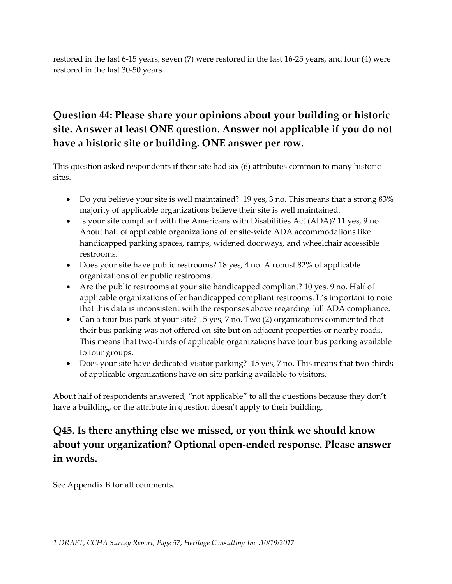restored in the last 6-15 years, seven (7) were restored in the last 16-25 years, and four (4) were restored in the last 30-50 years.

# **Question 44: Please share your opinions about your building or historic site. Answer at least ONE question. Answer not applicable if you do not have a historic site or building. ONE answer per row.**

This question asked respondents if their site had six (6) attributes common to many historic sites.

- Do you believe your site is well maintained? 19 yes, 3 no. This means that a strong 83% majority of applicable organizations believe their site is well maintained.
- Is your site compliant with the Americans with Disabilities Act (ADA)? 11 yes, 9 no. About half of applicable organizations offer site-wide ADA accommodations like handicapped parking spaces, ramps, widened doorways, and wheelchair accessible restrooms.
- Does your site have public restrooms? 18 yes, 4 no. A robust 82% of applicable organizations offer public restrooms.
- Are the public restrooms at your site handicapped compliant? 10 yes, 9 no. Half of applicable organizations offer handicapped compliant restrooms. It's important to note that this data is inconsistent with the responses above regarding full ADA compliance.
- Can a tour bus park at your site? 15 yes, 7 no. Two (2) organizations commented that their bus parking was not offered on-site but on adjacent properties or nearby roads. This means that two-thirds of applicable organizations have tour bus parking available to tour groups.
- Does your site have dedicated visitor parking? 15 yes, 7 no. This means that two-thirds of applicable organizations have on-site parking available to visitors.

About half of respondents answered, "not applicable" to all the questions because they don't have a building, or the attribute in question doesn't apply to their building.

# **Q45. Is there anything else we missed, or you think we should know about your organization? Optional open-ended response. Please answer in words.**

See Appendix B for all comments.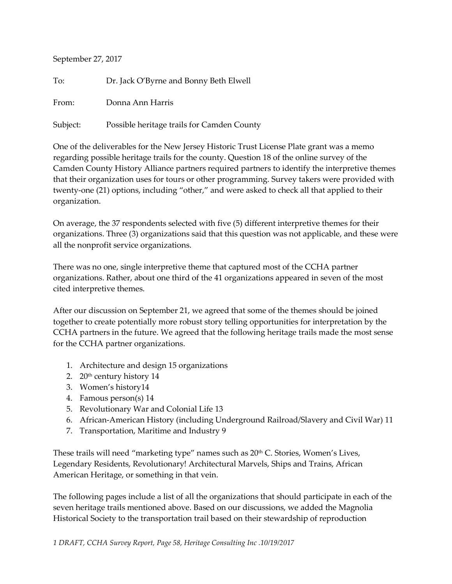September 27, 2017

To: Dr. Jack O'Byrne and Bonny Beth Elwell From: Donna Ann Harris Subject: Possible heritage trails for Camden County

One of the deliverables for the New Jersey Historic Trust License Plate grant was a memo regarding possible heritage trails for the county. Question 18 of the online survey of the Camden County History Alliance partners required partners to identify the interpretive themes that their organization uses for tours or other programming. Survey takers were provided with twenty-one (21) options, including "other," and were asked to check all that applied to their organization.

On average, the 37 respondents selected with five (5) different interpretive themes for their organizations. Three (3) organizations said that this question was not applicable, and these were all the nonprofit service organizations.

There was no one, single interpretive theme that captured most of the CCHA partner organizations. Rather, about one third of the 41 organizations appeared in seven of the most cited interpretive themes.

After our discussion on September 21, we agreed that some of the themes should be joined together to create potentially more robust story telling opportunities for interpretation by the CCHA partners in the future. We agreed that the following heritage trails made the most sense for the CCHA partner organizations.

- 1. Architecture and design 15 organizations
- 2. 20<sup>th</sup> century history 14
- 3. Women's history14
- 4. Famous person(s) 14
- 5. Revolutionary War and Colonial Life 13
- 6. African-American History (including Underground Railroad/Slavery and Civil War) 11
- 7. Transportation, Maritime and Industry 9

These trails will need "marketing type" names such as  $20<sup>th</sup>$  C. Stories, Women's Lives, Legendary Residents, Revolutionary! Architectural Marvels, Ships and Trains, African American Heritage, or something in that vein.

The following pages include a list of all the organizations that should participate in each of the seven heritage trails mentioned above. Based on our discussions, we added the Magnolia Historical Society to the transportation trail based on their stewardship of reproduction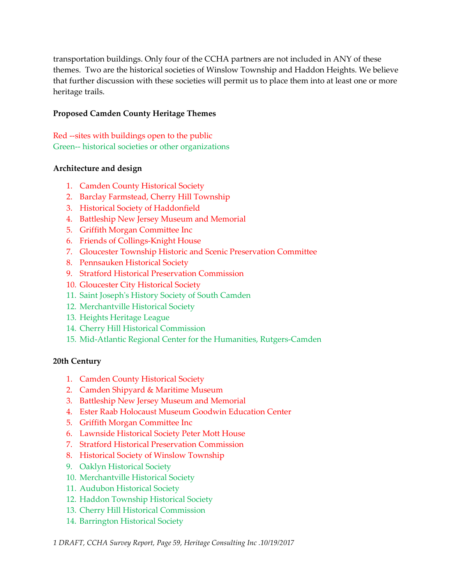transportation buildings. Only four of the CCHA partners are not included in ANY of these themes. Two are the historical societies of Winslow Township and Haddon Heights. We believe that further discussion with these societies will permit us to place them into at least one or more heritage trails.

### **Proposed Camden County Heritage Themes**

Red --sites with buildings open to the public Green-- historical societies or other organizations

### **Architecture and design**

- 1. Camden County Historical Society
- 2. Barclay Farmstead, Cherry Hill Township
- 3. Historical Society of Haddonfield
- 4. Battleship New Jersey Museum and Memorial
- 5. Griffith Morgan Committee Inc
- 6. Friends of Collings-Knight House
- 7. Gloucester Township Historic and Scenic Preservation Committee
- 8. Pennsauken Historical Society
- 9. Stratford Historical Preservation Commission
- 10. Gloucester City Historical Society
- 11. Saint Joseph's History Society of South Camden
- 12. Merchantville Historical Society
- 13. Heights Heritage League
- 14. Cherry Hill Historical Commission
- 15. Mid-Atlantic Regional Center for the Humanities, Rutgers-Camden

### **20th Century**

- 1. Camden County Historical Society
- 2. Camden Shipyard & Maritime Museum
- 3. Battleship New Jersey Museum and Memorial
- 4. Ester Raab Holocaust Museum Goodwin Education Center
- 5. Griffith Morgan Committee Inc
- 6. Lawnside Historical Society Peter Mott House
- 7. Stratford Historical Preservation Commission
- 8. Historical Society of Winslow Township
- 9. Oaklyn Historical Society
- 10. Merchantville Historical Society
- 11. Audubon Historical Society
- 12. Haddon Township Historical Society
- 13. Cherry Hill Historical Commission
- 14. Barrington Historical Society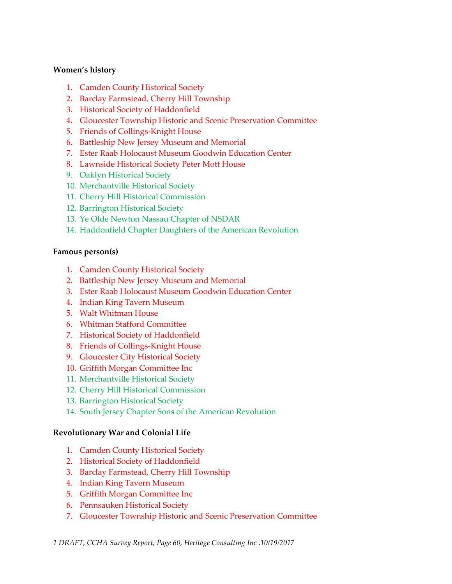### **Women's history**

- 1. Camden County Historical Society
- 2. Barclay Farmstead, Cherry Hill Township
- 3. Historical Society of Haddonfield
- 4. Gloucester Township Historic and Scenic Preservation Committee
- 5. Friends of Collings-Knight House
- 6. Battleship New Jersey Museum and Memorial
- 7. Ester Raab Holocaust Museum Goodwin Education Center
- 8. Lawnside Historical Society Peter Mott House
- 9. Oaklyn Historical Society
- 10. Merchantville Historical Society
- 11. Cherry Hill Historical Commission
- 12. Barrington Historical Society
- 13. Ye Olde Newton Nassau Chapter of NSDAR
- 14. Haddonfield Chapter Daughters of the American Revolution

#### **Famous person(s)**

- 1. Camden County Historical Society
- 2. Battleship New Jersey Museum and Memorial
- 3. Ester Raab Holocaust Museum Goodwin Education Center
- 4. Indian King Tavern Museum
- 5. Walt Whitman House
- 6. Whitman Stafford Committee
- 7. Historical Society of Haddonfield
- 8. Friends of Collings-Knight House
- 9. Gloucester City Historical Society
- 10. Griffith Morgan Committee Inc
- 11. Merchantville Historical Society
- 12. Cherry Hill Historical Commission
- 13. Barrington Historical Society
- 14. South Jersey Chapter Sons of the American Revolution

### **Revolutionary War and Colonial Life**

- 1. Camden County Historical Society
- 2. Historical Society of Haddonfield
- 3. Barclay Farmstead, Cherry Hill Township
- 4. Indian King Tavern Museum
- 5. Griffith Morgan Committee Inc
- 6. Pennsauken Historical Society
- 7. Gloucester Township Historic and Scenic Preservation Committee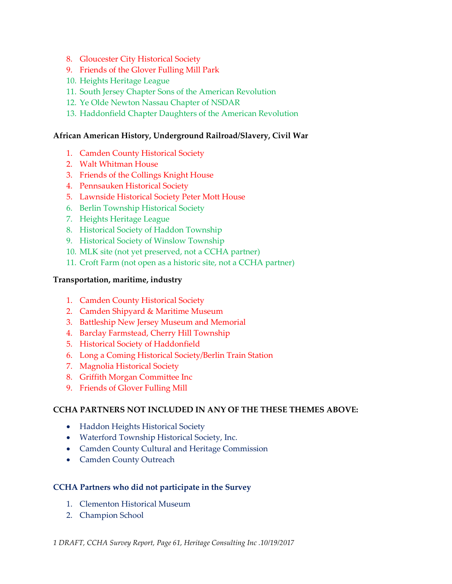- 8. Gloucester City Historical Society
- 9. Friends of the Glover Fulling Mill Park
- 10. Heights Heritage League
- 11. South Jersey Chapter Sons of the American Revolution
- 12. Ye Olde Newton Nassau Chapter of NSDAR
- 13. Haddonfield Chapter Daughters of the American Revolution

### **African American History, Underground Railroad/Slavery, Civil War**

- 1. Camden County Historical Society
- 2. Walt Whitman House
- 3. Friends of the Collings Knight House
- 4. Pennsauken Historical Society
- 5. Lawnside Historical Society Peter Mott House
- 6. Berlin Township Historical Society
- 7. Heights Heritage League
- 8. Historical Society of Haddon Township
- 9. Historical Society of Winslow Township
- 10. MLK site (not yet preserved, not a CCHA partner)
- 11. Croft Farm (not open as a historic site, not a CCHA partner)

#### **Transportation, maritime, industry**

- 1. Camden County Historical Society
- 2. Camden Shipyard & Maritime Museum
- 3. Battleship New Jersey Museum and Memorial
- 4. Barclay Farmstead, Cherry Hill Township
- 5. Historical Society of Haddonfield
- 6. Long a Coming Historical Society/Berlin Train Station
- 7. Magnolia Historical Society
- 8. Griffith Morgan Committee Inc
- 9. Friends of Glover Fulling Mill

### **CCHA PARTNERS NOT INCLUDED IN ANY OF THE THESE THEMES ABOVE:**

- Haddon Heights Historical Society
- Waterford Township Historical Society, Inc.
- Camden County Cultural and Heritage Commission
- Camden County Outreach

### **CCHA Partners who did not participate in the Survey**

- 1. Clementon Historical Museum
- 2. Champion School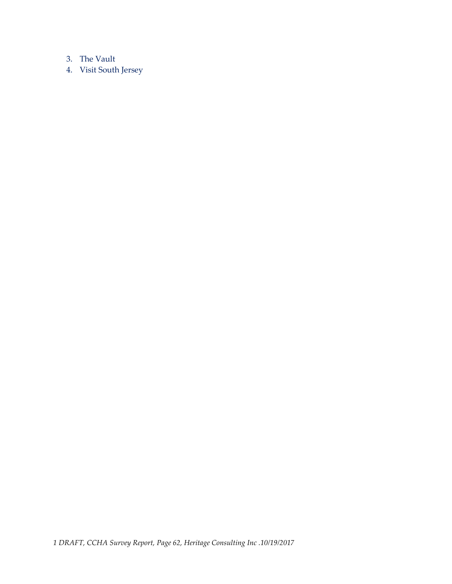### 3. The Vault

4. Visit South Jersey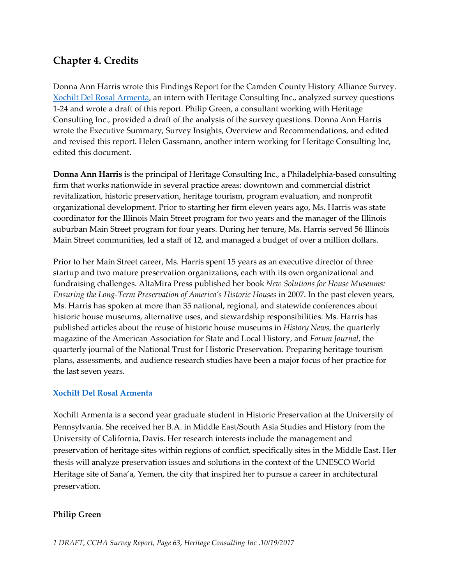## **Chapter 4. Credits**

Donna Ann Harris wrote this Findings Report for the Camden County History Alliance Survey. [Xochilt Del Rosal Armenta,](https://mailxchange.1and1.com/appsuite/?tl=y) an intern with Heritage Consulting Inc., analyzed survey questions 1-24 and wrote a draft of this report. Philip Green, a consultant working with Heritage Consulting Inc., provided a draft of the analysis of the survey questions. Donna Ann Harris wrote the Executive Summary, Survey Insights, Overview and Recommendations, and edited and revised this report. Helen Gassmann, another intern working for Heritage Consulting Inc, edited this document.

**Donna Ann Harris** is the principal of Heritage Consulting Inc., a Philadelphia-based consulting firm that works nationwide in several practice areas: downtown and commercial district revitalization, historic preservation, heritage tourism, program evaluation, and nonprofit organizational development. Prior to starting her firm eleven years ago, Ms. Harris was state coordinator for the Illinois Main Street program for two years and the manager of the Illinois suburban Main Street program for four years. During her tenure, Ms. Harris served 56 Illinois Main Street communities, led a staff of 12, and managed a budget of over a million dollars.

Prior to her Main Street career, Ms. Harris spent 15 years as an executive director of three startup and two mature preservation organizations, each with its own organizational and fundraising challenges. AltaMira Press published her book *New Solutions for House Museums: Ensuring the Long-Term Preservation of America's Historic Houses* in 2007. In the past eleven years, Ms. Harris has spoken at more than 35 national, regional, and statewide conferences about historic house museums, alternative uses, and stewardship responsibilities. Ms. Harris has published articles about the reuse of historic house museums in *History News*, the quarterly magazine of the American Association for State and Local History, and *Forum Journal*, the quarterly journal of the National Trust for Historic Preservation. Preparing heritage tourism plans, assessments, and audience research studies have been a major focus of her practice for the last seven years.

### **[Xochilt Del Rosal Armenta](https://mailxchange.1and1.com/appsuite/?tl=y)**

Xochilt Armenta is a second year graduate student in Historic Preservation at the University of Pennsylvania. She received her B.A. in Middle East/South Asia Studies and History from the University of California, Davis. Her research interests include the management and preservation of heritage sites within regions of conflict, specifically sites in the Middle East. Her thesis will analyze preservation issues and solutions in the context of the UNESCO World Heritage site of Sana'a, Yemen, the city that inspired her to pursue a career in architectural preservation.

### **Philip Green**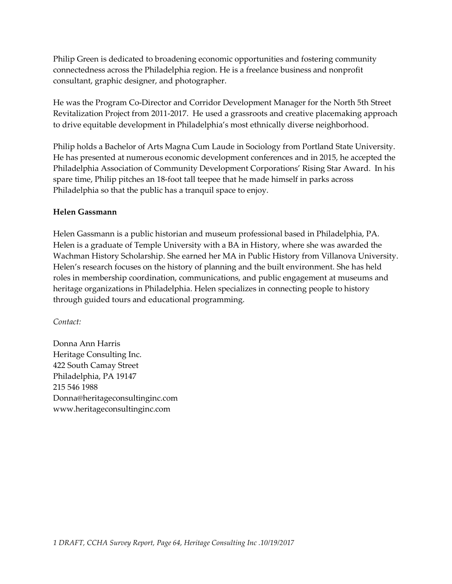Philip Green is dedicated to broadening economic opportunities and fostering community connectedness across the Philadelphia region. He is a freelance business and nonprofit consultant, graphic designer, and photographer.

He was the Program Co-Director and Corridor Development Manager for the North 5th Street Revitalization Project from 2011-2017. He used a grassroots and creative placemaking approach to drive equitable development in Philadelphia's most ethnically diverse neighborhood.

Philip holds a Bachelor of Arts Magna Cum Laude in Sociology from Portland State University. He has presented at numerous economic development conferences and in 2015, he accepted the Philadelphia Association of Community Development Corporations' Rising Star Award. In his spare time, Philip pitches an 18-foot tall teepee that he made himself in parks across Philadelphia so that the public has a tranquil space to enjoy.

### **Helen Gassmann**

Helen Gassmann is a public historian and museum professional based in Philadelphia, PA. Helen is a graduate of Temple University with a BA in History, where she was awarded the Wachman History Scholarship. She earned her MA in Public History from Villanova University. Helen's research focuses on the history of planning and the built environment. She has held roles in membership coordination, communications, and public engagement at museums and heritage organizations in Philadelphia. Helen specializes in connecting people to history through guided tours and educational programming.

### *Contact:*

Donna Ann Harris Heritage Consulting Inc. 422 South Camay Street Philadelphia, PA 19147 215 546 1988 Donna@heritageconsultinginc.com www.heritageconsultinginc.com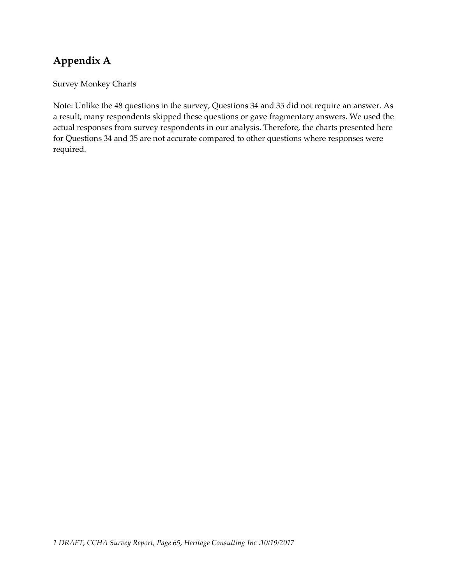# **Appendix A**

Survey Monkey Charts

Note: Unlike the 48 questions in the survey, Questions 34 and 35 did not require an answer. As a result, many respondents skipped these questions or gave fragmentary answers. We used the actual responses from survey respondents in our analysis. Therefore, the charts presented here for Questions 34 and 35 are not accurate compared to other questions where responses were required.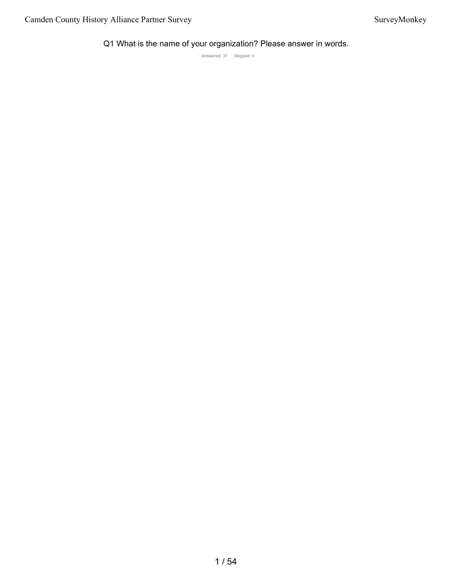Q1 What is the name of your organization? Please answer in words.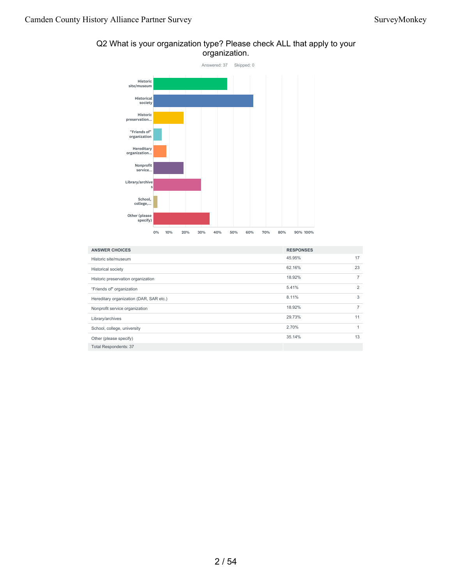

### Q2 What is your organization type? Please check ALL that apply to your organization.

| <b>ANSWER CHOICES</b>                   | <b>RESPONSES</b> |                |
|-----------------------------------------|------------------|----------------|
| Historic site/museum                    | 45.95%           | 17             |
| <b>Historical society</b>               | 62.16%           | 23             |
| Historic preservation organization      | 18.92%           | $\overline{7}$ |
| "Friends of" organization               | 5.41%            | 2              |
| Hereditary organization (DAR, SAR etc.) | 8.11%            | 3              |
| Nonprofit service organization          | 18.92%           | $\overline{7}$ |
| Library/archives                        | 29.73%           | 11             |
| School, college, university             | 2.70%            | $\mathbf{1}$   |
| Other (please specify)                  | 35.14%           | 13             |
| <b>Total Respondents: 37</b>            |                  |                |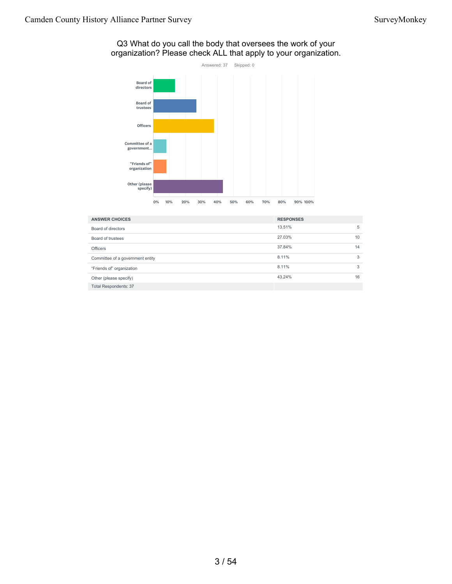#### Q3 What do you call the body that oversees the work of your organization? Please check ALL that apply to your organization.



| <b>ANSWER CHOICES</b>            | <b>RESPONSES</b> |    |
|----------------------------------|------------------|----|
| Board of directors               | 13.51%           | 5  |
| Board of trustees                | 27.03%           | 10 |
| <b>Officers</b>                  | 37.84%           | 14 |
| Committee of a government entity | 8.11%            | 3  |
| "Friends of" organization        | 8.11%            | 3  |
| Other (please specify)           | 43.24%           | 16 |
| <b>Total Respondents: 37</b>     |                  |    |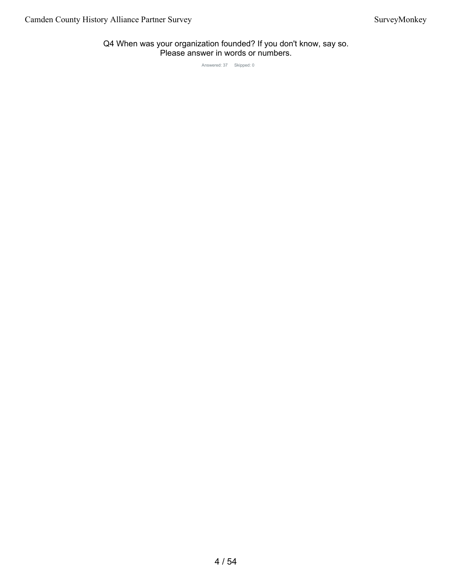#### Q4 When was your organization founded? If you don't know, say so. Please answer in words or numbers.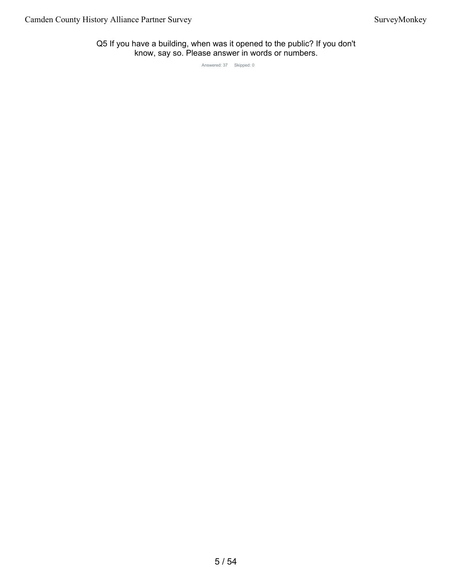Q5 If you have a building, when was it opened to the public? If you don't know, say so. Please answer in words or numbers.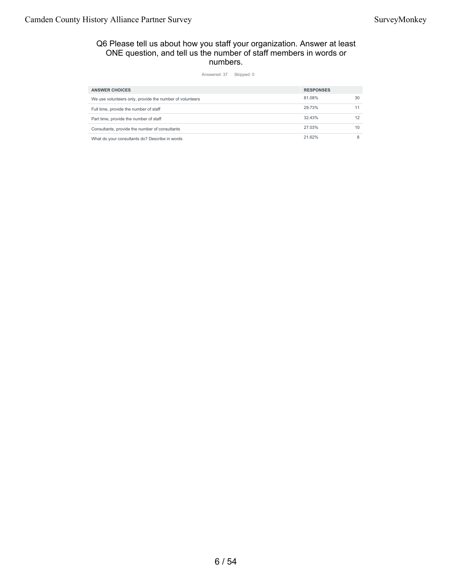#### Q6 Please tell us about how you staff your organization. Answer at least ONE question, and tell us the number of staff members in words or numbers.

| <b>ANSWER CHOICES</b><br><b>RESPONSES</b><br>81.08%<br>30<br>We use volunteers only, provide the number of volunteers<br>29.73%<br>11<br>Full time, provide the number of staff<br>32.43%<br>12<br>Part time, provide the number of staff<br>27.03%<br>10<br>Consultants, provide the number of consultants<br>21.62%<br>8<br>What do your consultants do? Describe in words |  |  |
|------------------------------------------------------------------------------------------------------------------------------------------------------------------------------------------------------------------------------------------------------------------------------------------------------------------------------------------------------------------------------|--|--|
|                                                                                                                                                                                                                                                                                                                                                                              |  |  |
|                                                                                                                                                                                                                                                                                                                                                                              |  |  |
|                                                                                                                                                                                                                                                                                                                                                                              |  |  |
|                                                                                                                                                                                                                                                                                                                                                                              |  |  |
|                                                                                                                                                                                                                                                                                                                                                                              |  |  |
|                                                                                                                                                                                                                                                                                                                                                                              |  |  |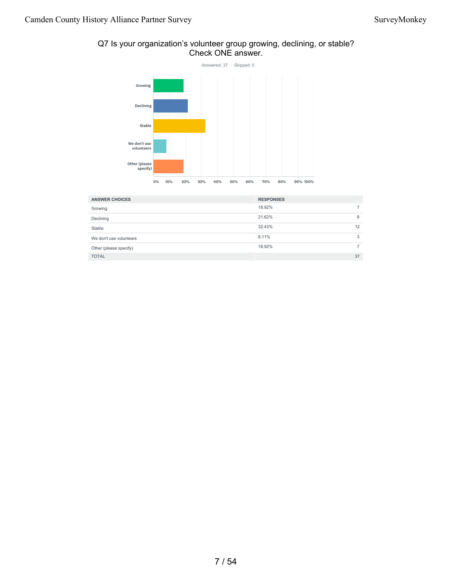#### Q7 Is your organization's volunteer group growing, declining, or stable? Check ONE answer.



| <b>ANSWER CHOICES</b>   | <b>RESPONSES</b> |    |
|-------------------------|------------------|----|
| Growing                 | 18.92%           |    |
| Declining               | 21.62%           | 8  |
| Stable                  | 32.43%           | 12 |
| We don't use volunteers | 8.11%            | 3  |
| Other (please specify)  | 18.92%           |    |
| <b>TOTAL</b>            |                  | 37 |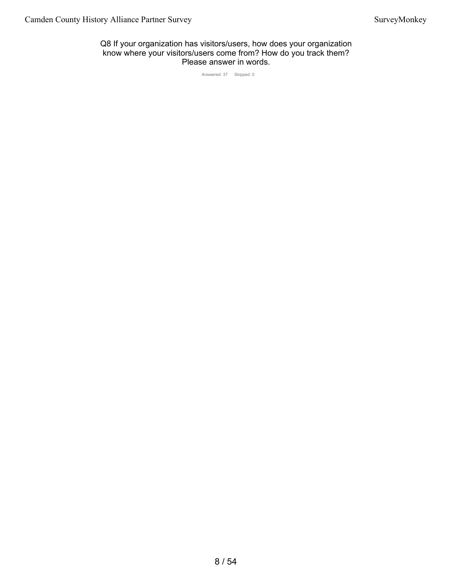Q8 If your organization has visitors/users, how does your organization know where your visitors/users come from? How do you track them? Please answer in words.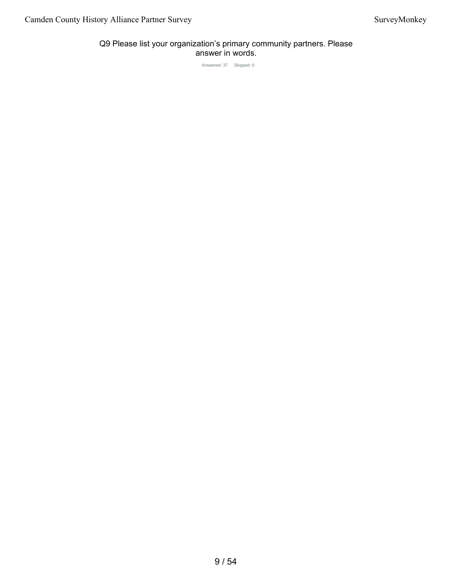## Q9 Please list your organization's primary community partners. Please answer in words.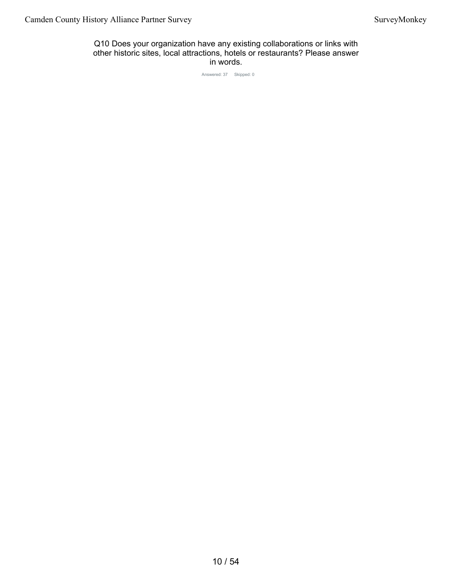Q10 Does your organization have any existing collaborations or links with other historic sites, local attractions, hotels or restaurants? Please answer in words.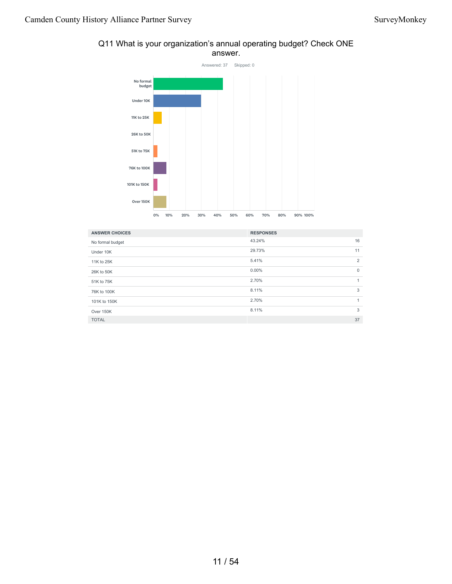

## Q11 What is your organization's annual operating budget? Check ONE answer.

| <b>ANSWER CHOICES</b> | <b>RESPONSES</b> |              |
|-----------------------|------------------|--------------|
| No formal budget      | 43.24%           | 16           |
| Under 10K             | 29.73%           | 11           |
| 11K to 25K            | 5.41%            | 2            |
| 26K to 50K            | $0.00\%$         | $\mathbf{0}$ |
| 51K to 75K            | 2.70%            | 1            |
| 76K to 100K           | 8.11%            | 3            |
| 101K to 150K          | 2.70%            | 1            |
| Over 150K             | 8.11%            | 3            |
| <b>TOTAL</b>          |                  | 37           |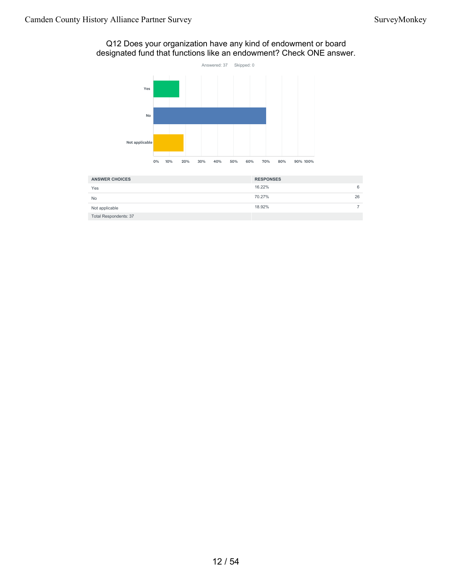## Q12 Does your organization have any kind of endowment or board designated fund that functions like an endowment? Check ONE answer.



| <b>ANSWER CHOICES</b> | <b>RESPONSES</b> |
|-----------------------|------------------|
| Yes                   | 16.22%<br>6      |
| No                    | 70.27%<br>26     |
| Not applicable        | 18.92%           |
| Total Respondents: 37 |                  |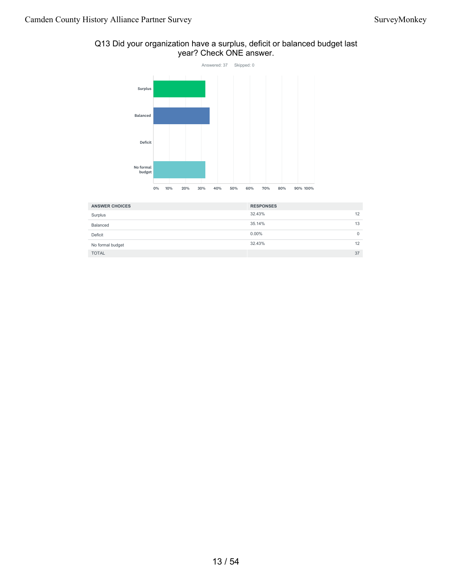## Q13 Did your organization have a surplus, deficit or balanced budget last year? Check ONE answer.



| <b>ANSWER CHOICES</b> | <b>RESPONSES</b> |          |
|-----------------------|------------------|----------|
| Surplus               | 32.43%           | 12       |
| Balanced              | 35.14%           | 13       |
| Deficit               | $0.00\%$         | $\Omega$ |
| No formal budget      | 32.43%           | 12       |
| <b>TOTAL</b>          |                  | 37       |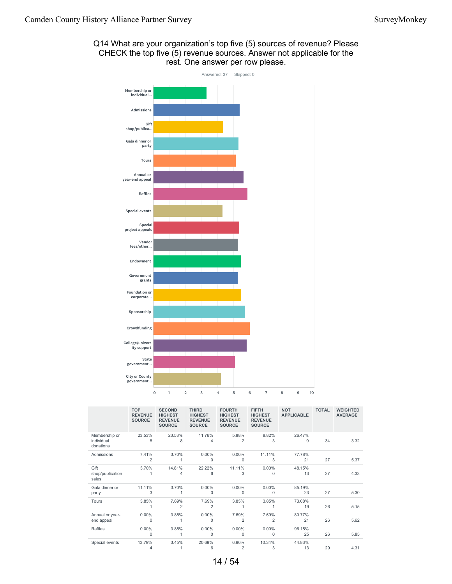



|                                          | <b>TOP</b><br><b>REVENUE</b><br><b>SOURCE</b> | <b>SECOND</b><br><b>HIGHEST</b><br><b>REVENUE</b><br><b>SOURCE</b> | <b>THIRD</b><br><b>HIGHEST</b><br><b>REVENUE</b><br><b>SOURCE</b> | <b>FOURTH</b><br><b>HIGHEST</b><br><b>REVENUE</b><br><b>SOURCE</b> | <b>FIFTH</b><br><b>HIGHEST</b><br><b>REVENUE</b><br><b>SOURCE</b> | <b>NOT</b><br><b>APPLICABLE</b> | <b>TOTAL</b> | <b>WEIGHTED</b><br><b>AVERAGE</b> |
|------------------------------------------|-----------------------------------------------|--------------------------------------------------------------------|-------------------------------------------------------------------|--------------------------------------------------------------------|-------------------------------------------------------------------|---------------------------------|--------------|-----------------------------------|
| Membership or<br>individual<br>donations | 23.53%<br>8                                   | 23.53%<br>8                                                        | 11.76%<br>4                                                       | 5.88%<br>2                                                         | 8.82%<br>3                                                        | 26.47%<br>9                     | 34           | 3.32                              |
| Admissions                               | 7.41%                                         | 3.70%                                                              | 0.00%                                                             | 0.00%                                                              | 11.11%                                                            | 77.78%                          |              |                                   |
|                                          | 2                                             |                                                                    | 0                                                                 | 0                                                                  | 3                                                                 | 21                              | 27           | 5.37                              |
| Gift                                     | 3.70%                                         | 14.81%                                                             | 22.22%                                                            | 11.11%                                                             | $0.00\%$                                                          | 48.15%                          |              |                                   |
| shop/publication<br>sales                | 1                                             | 4                                                                  | 6                                                                 | 3                                                                  | 0                                                                 | 13                              | 27           | 4.33                              |
| Gala dinner or                           | 11.11%                                        | 3.70%                                                              | $0.00\%$                                                          | $0.00\%$                                                           | $0.00\%$                                                          | 85.19%                          |              |                                   |
| party                                    | 3                                             | 1                                                                  | 0                                                                 | 0                                                                  | $\mathbf 0$                                                       | 23                              | 27           | 5.30                              |
| Tours                                    | 3.85%                                         | 7.69%                                                              | 7.69%                                                             | 3.85%                                                              | 3.85%                                                             | 73.08%                          |              |                                   |
|                                          | 1                                             | 2                                                                  | 2                                                                 | 1                                                                  | 1                                                                 | 19                              | 26           | 5.15                              |
| Annual or year-                          | $0.00\%$                                      | 3.85%                                                              | $0.00\%$                                                          | 7.69%                                                              | 7.69%                                                             | 80.77%                          |              |                                   |
| end appeal                               | 0                                             | 1                                                                  | 0                                                                 | 2                                                                  | 2                                                                 | 21                              | 26           | 5.62                              |
| Raffles                                  | $0.00\%$                                      | 3.85%                                                              | 0.00%                                                             | $0.00\%$                                                           | 0.00%                                                             | 96.15%                          |              |                                   |
|                                          | 0                                             |                                                                    | $\Omega$                                                          | 0                                                                  | $\mathbf{0}$                                                      | 25                              | 26           | 5.85                              |
| Special events                           | 13.79%                                        | 3.45%                                                              | 20.69%                                                            | 6.90%                                                              | 10.34%                                                            | 44.83%                          |              |                                   |
|                                          | 4                                             |                                                                    | 6                                                                 | 2                                                                  | 3                                                                 | 13                              | 29           | 4.31                              |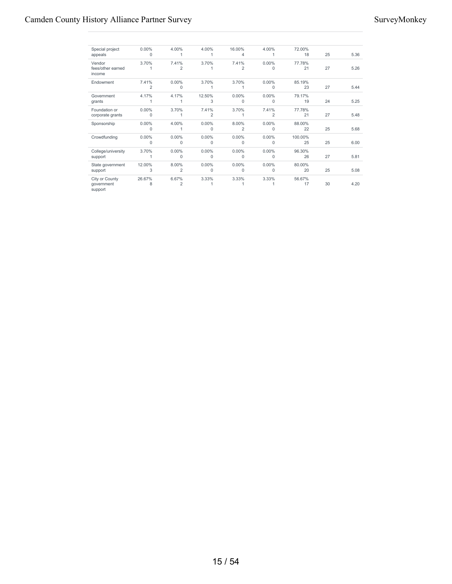| Special project             | $0.00\%$ | 4.00%          | 4.00%          | 16.00%         | 4.00%    | 72.00%  |    |      |
|-----------------------------|----------|----------------|----------------|----------------|----------|---------|----|------|
| appeals                     | $\Omega$ |                |                | 4              |          | 18      | 25 | 5.36 |
| Vendor                      | 3.70%    | 7.41%          | 3.70%          | 7.41%          | $0.00\%$ | 77.78%  |    |      |
| fees/other earned<br>income |          | $\overline{2}$ |                | 2              | $\Omega$ | 21      | 27 | 5.26 |
| Endowment                   | 7.41%    | $0.00\%$       | 3.70%          | 3.70%          | 0.00%    | 85.19%  |    |      |
|                             | 2        | $\Omega$       |                |                | $\Omega$ | 23      | 27 | 5.44 |
| Government                  | 4.17%    | 4.17%          | 12.50%         | 0.00%          | 0.00%    | 79.17%  |    |      |
| grants                      | 1        |                | 3              | $\Omega$       | $\Omega$ | 19      | 24 | 5.25 |
| Foundation or               | $0.00\%$ | 3.70%          | 7.41%          | 3.70%          | 7.41%    | 77.78%  |    |      |
| corporate grants            | $\Omega$ |                | $\overline{2}$ |                | 2        | 21      | 27 | 5.48 |
| Sponsorship                 | $0.00\%$ | 4.00%          | $0.00\%$       | 8.00%          | $0.00\%$ | 88.00%  |    |      |
|                             | 0        |                | 0              | $\overline{2}$ | 0        | 22      | 25 | 5.68 |
| Crowdfunding                | $0.00\%$ | $0.00\%$       | $0.00\%$       | 0.00%          | 0.00%    | 100.00% |    |      |
|                             | 0        | $\Omega$       | $\Omega$       | $\Omega$       | $\Omega$ | 25      | 25 | 6.00 |
| College/university          | 3.70%    | $0.00\%$       | $0.00\%$       | 0.00%          | 0.00%    | 96.30%  |    |      |
| support                     |          | $\Omega$       | 0              | 0              | 0        | 26      | 27 | 5.81 |
| State government            | 12.00%   | 8.00%          | $0.00\%$       | 0.00%          | 0.00%    | 80.00%  |    |      |
| support                     | 3        | 2              | 0              | 0              | $\Omega$ | 20      | 25 | 5.08 |
| City or County              | 26.67%   | 6.67%          | 3.33%          | 3.33%          | 3.33%    | 56.67%  |    |      |
| government<br>support       | 8        | 2              |                |                |          | 17      | 30 | 4.20 |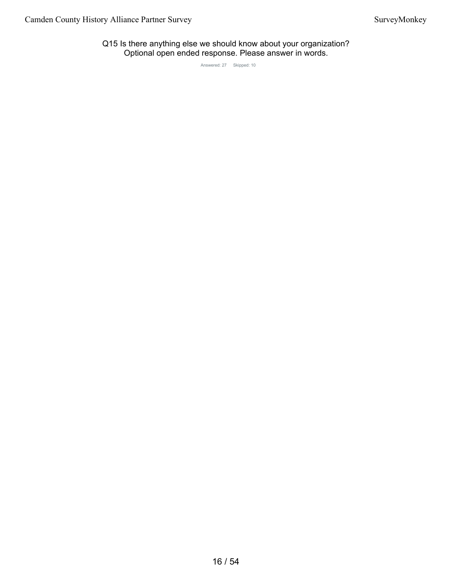Q15 Is there anything else we should know about your organization? Optional open ended response. Please answer in words.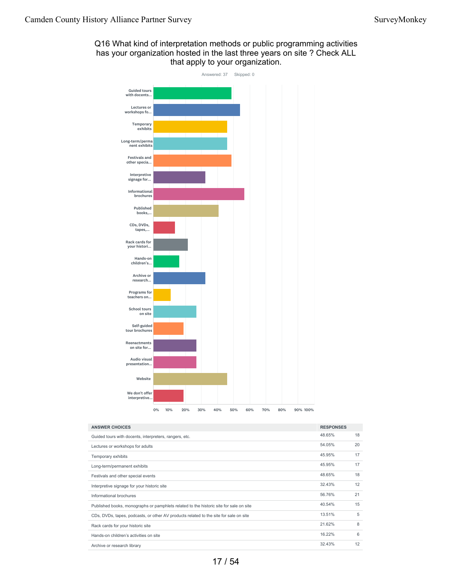## Q16 What kind of interpretation methods or public programming activities has your organization hosted in the last three years on site ? Check ALL that apply to your organization.



| <b>ANSWER CHOICES</b>                                                                  | <b>RESPONSES</b> |    |
|----------------------------------------------------------------------------------------|------------------|----|
| Guided tours with docents, interpreters, rangers, etc.                                 | 48.65%           | 18 |
| Lectures or workshops for adults                                                       | 54.05%           | 20 |
| Temporary exhibits                                                                     | 45.95%           | 17 |
| Long-term/permanent exhibits                                                           | 45.95%           | 17 |
| Festivals and other special events                                                     | 48.65%           | 18 |
| Interpretive signage for your historic site                                            | 32.43%           | 12 |
| Informational brochures                                                                | 56.76%           | 21 |
| Published books, monographs or pamphlets related to the historic site for sale on site | 40.54%           | 15 |
| CDs, DVDs, tapes, podcasts, or other AV products related to the site for sale on site  | 13.51%           | 5  |
| Rack cards for your historic site                                                      | 21.62%           | 8  |
| Hands-on children's activities on site                                                 | 16.22%           | 6  |
| Archive or research library                                                            | 32.43%           | 12 |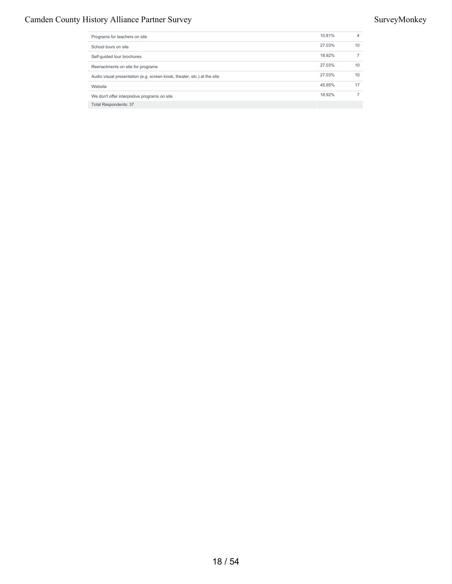## Camden County History Alliance Partner Survey Survey Survey Survey Survey Survey Survey Survey Survey Survey Survey Survey Survey Survey Survey Survey Survey Survey Survey Survey Survey Survey Survey Survey Survey Survey S

| Programs for teachers on site                                            | 10.81% | 4  |
|--------------------------------------------------------------------------|--------|----|
| School tours on site                                                     | 27.03% | 10 |
| Self-guided tour brochures                                               | 18.92% |    |
| Reenactments on site for programs                                        | 27.03% | 10 |
| Audio visual presentation (e.g. screen kiosk, theater, etc.) at the site | 27.03% | 10 |
| Website                                                                  | 45.95% | 17 |
| We don't offer interpretive programs on site                             | 18.92% |    |
| <b>Total Respondents: 37</b>                                             |        |    |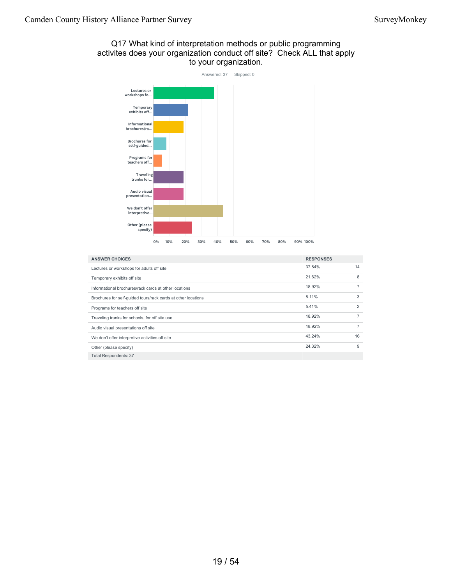## Q17 What kind of interpretation methods or public programming activites does your organization conduct off site? Check ALL that apply to your organization.



| <b>ANSWER CHOICES</b>                                         | <b>RESPONSES</b> |                |
|---------------------------------------------------------------|------------------|----------------|
| Lectures or workshops for adults off site                     | 37.84%           | 14             |
| Temporary exhibits off site                                   | 21.62%           | 8              |
| Informational brochures/rack cards at other locations         | 18.92%           |                |
| Brochures for self-quided tours/rack cards at other locations | 8.11%            | 3              |
| Programs for teachers off site                                | 5.41%            | $\overline{2}$ |
| Traveling trunks for schools, for off site use                | 18.92%           | 7              |
| Audio visual presentations off site                           | 18.92%           | 7              |
| We don't offer interpretive activities off site               | 43.24%           | 16             |
| Other (please specify)                                        | 24.32%           | 9              |
| <b>Total Respondents: 37</b>                                  |                  |                |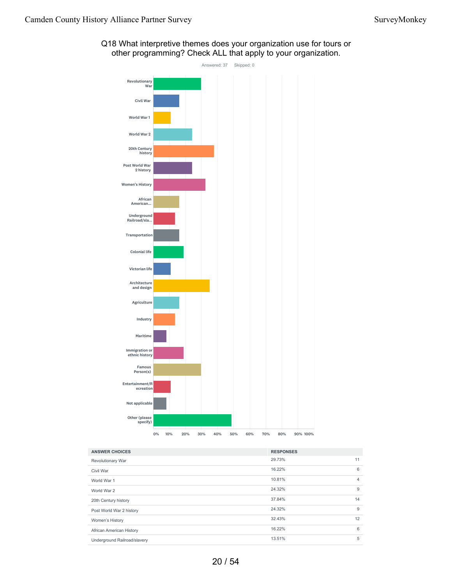

Q18 What interpretive themes does your organization use for tours or other programming? Check ALL that apply to your organization.

| <b>ANSWER CHOICES</b>        | <b>RESPONSES</b> |                |
|------------------------------|------------------|----------------|
| <b>Revolutionary War</b>     | 29.73%           | 11             |
| Civil War                    | 16.22%           | 6              |
| World War 1                  | 10.81%           | $\overline{4}$ |
| World War 2                  | 24.32%           | 9              |
| 20th Century history         | 37.84%           | 14             |
| Post World War 2 history     | 24.32%           | 9              |
| Women's History              | 32.43%           | 12             |
| African American History     | 16.22%           | 6              |
| Underground Railroad/slavery | 13.51%           | 5              |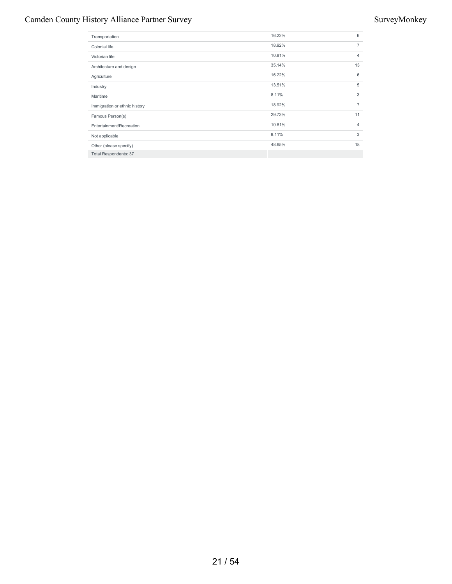## Camden County History Alliance Partner Survey Survey Survey Survey Survey Survey Survey Survey Survey Survey Survey Survey Survey Survey Survey Survey Survey Survey Survey Survey Survey Survey Survey Survey Survey Survey S

| Transportation                | 16.22% | 6              |
|-------------------------------|--------|----------------|
| Colonial life                 | 18.92% | $\overline{7}$ |
| Victorian life                | 10.81% | 4              |
| Architecture and design       | 35.14% | 13             |
| Agriculture                   | 16.22% | 6              |
| Industry                      | 13.51% | 5              |
| Maritime                      | 8.11%  | 3              |
| Immigration or ethnic history | 18.92% | $\overline{7}$ |
| Famous Person(s)              | 29.73% | 11             |
| Entertainment/Recreation      | 10.81% | $\overline{4}$ |
| Not applicable                | 8.11%  | 3              |
| Other (please specify)        | 48.65% | 18             |
| <b>Total Respondents: 37</b>  |        |                |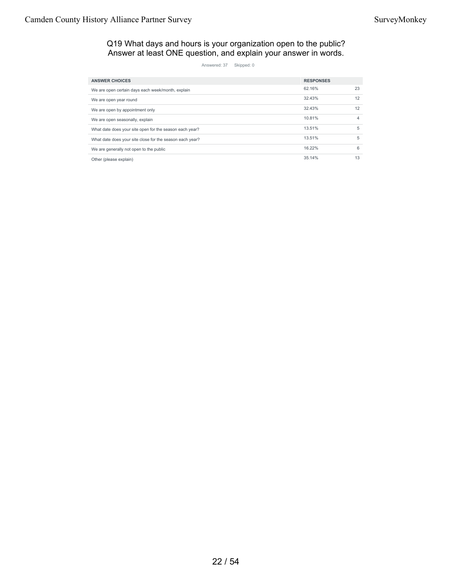Q19 What days and hours is your organization open to the public? Answer at least ONE question, and explain your answer in words.

| <b>ANSWER CHOICES</b>                                    | <b>RESPONSES</b> |    |
|----------------------------------------------------------|------------------|----|
| We are open certain days each week/month, explain        | 62.16%           | 23 |
| We are open year round                                   | 32.43%           | 12 |
| We are open by appointment only                          | 32.43%           | 12 |
| We are open seasonally, explain                          | 10.81%           | 4  |
| What date does your site open for the season each year?  | 13.51%           | 5  |
| What date does your site close for the season each year? | 13.51%           | 5  |
| We are generally not open to the public                  | 16.22%           | 6  |
| Other (please explain)                                   | 35.14%           | 13 |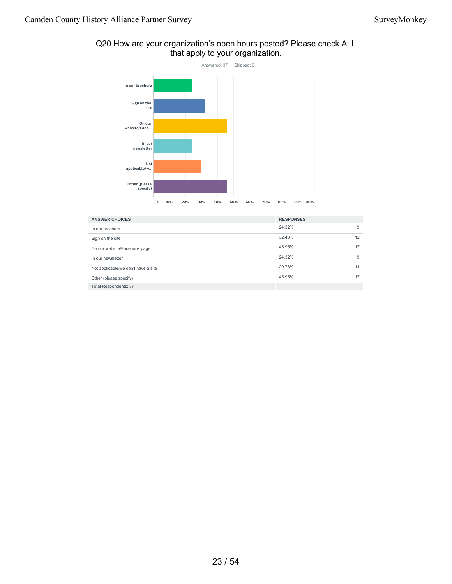

## Q20 How are your organization's open hours posted? Please check ALL that apply to your organization.

| <b>ANSWER CHOICES</b>               | <b>RESPONSES</b> |    |
|-------------------------------------|------------------|----|
| In our brochure                     | 24.32%           | 9  |
| Sign on the site                    | 32.43%           | 12 |
| On our website/Facebook page        | 45.95%           | 17 |
| In our newsletter                   | 24.32%           | 9  |
| Not applicable/we don't have a site | 29.73%           | 11 |
| Other (please specify)              | 45.95%           | 17 |
| <b>Total Respondents: 37</b>        |                  |    |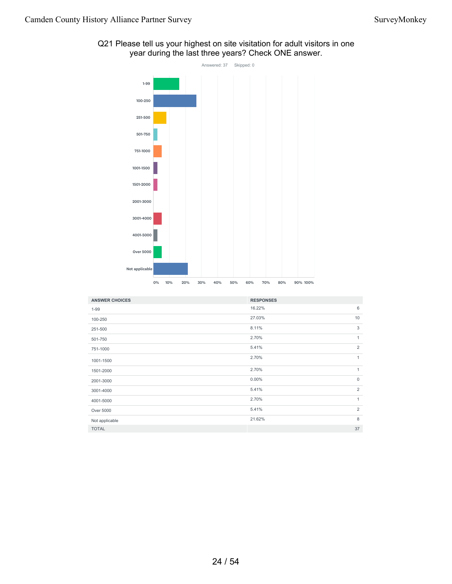## Q21 Please tell us your highest on site visitation for adult visitors in one year during the last three years? Check ONE answer.



| <b>ANSWER CHOICES</b> | <b>RESPONSES</b> |                |
|-----------------------|------------------|----------------|
| $1 - 99$              | 16.22%           | 6              |
| 100-250               | 27.03%           | 10             |
| 251-500               | 8.11%            | 3              |
| 501-750               | 2.70%            | $\mathbf{1}$   |
| 751-1000              | 5.41%            | $\overline{2}$ |
| 1001-1500             | 2.70%            | $\mathbf{1}$   |
| 1501-2000             | 2.70%            | $\mathbf{1}$   |
| 2001-3000             | $0.00\%$         | $\mathbf{0}$   |
| 3001-4000             | 5.41%            | $\overline{2}$ |
| 4001-5000             | 2.70%            | $\mathbf{1}$   |
| Over 5000             | 5.41%            | $\overline{2}$ |
| Not applicable        | 21.62%           | 8              |
| <b>TOTAL</b>          |                  | 37             |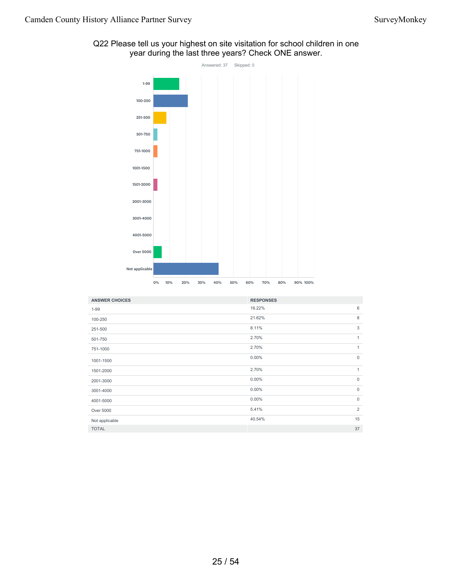## Q22 Please tell us your highest on site visitation for school children in one year during the last three years? Check ONE answer.



| <b>ANSWER CHOICES</b> | <b>RESPONSES</b> |                |
|-----------------------|------------------|----------------|
| $1 - 99$              | 16.22%           | 6              |
| 100-250               | 21.62%           | 8              |
| 251-500               | 8.11%            | 3              |
| 501-750               | 2.70%            | $\mathbf{1}$   |
| 751-1000              | 2.70%            | 1              |
| 1001-1500             | 0.00%            | $\mathbf{0}$   |
| 1501-2000             | 2.70%            | 1              |
| 2001-3000             | 0.00%            | $\mathbf{0}$   |
| 3001-4000             | $0.00\%$         | $\mathbf 0$    |
| 4001-5000             | 0.00%            | $\mathbf 0$    |
| Over 5000             | 5.41%            | $\overline{2}$ |
| Not applicable        | 40.54%           | 15             |
| <b>TOTAL</b>          |                  | 37             |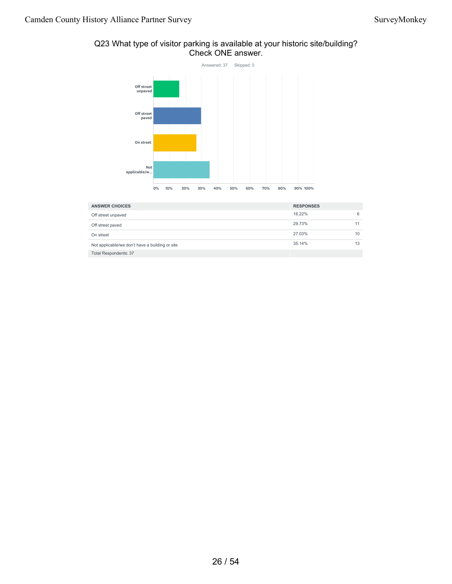## Q23 What type of visitor parking is available at your historic site/building? Check ONE answer.



| <b>ANSWER CHOICES</b>                           | <b>RESPONSES</b> |    |
|-------------------------------------------------|------------------|----|
| Off street unpaved                              | 16.22%           | 6  |
| Off street paved                                | 29.73%           |    |
| On street                                       | 27.03%           | 10 |
| Not applicable/we don't have a building or site | 35.14%           | 13 |
| <b>Total Respondents: 37</b>                    |                  |    |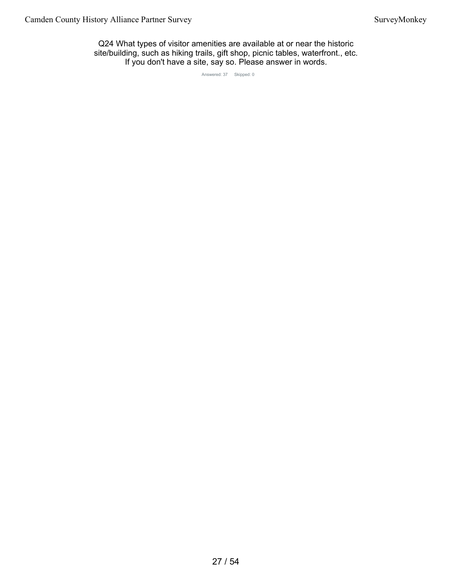Q24 What types of visitor amenities are available at or near the historic site/building, such as hiking trails, gift shop, picnic tables, waterfront., etc. If you don't have a site, say so. Please answer in words.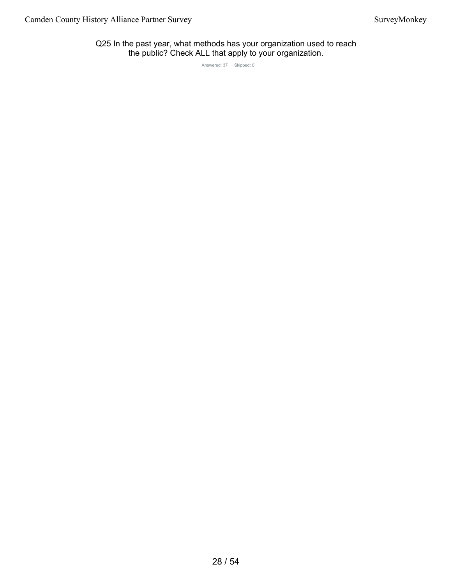Q25 In the past year, what methods has your organization used to reach the public? Check ALL that apply to your organization.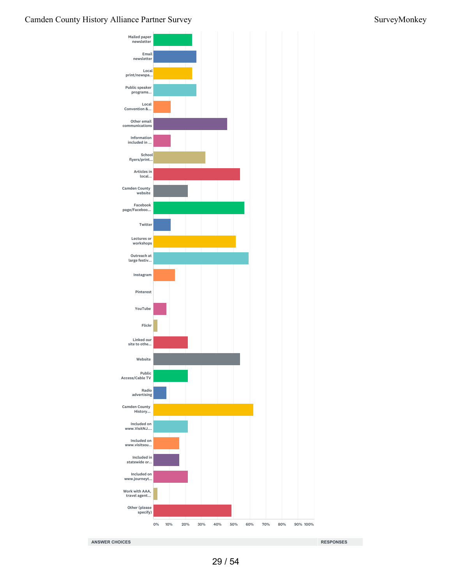## Camden County History Alliance Partner Survey Survey Survey Survey Survey Survey Survey Survey Survey Survey Survey Survey Survey Survey Survey Survey Survey Survey Survey Survey Survey Survey Survey Survey Survey Survey S

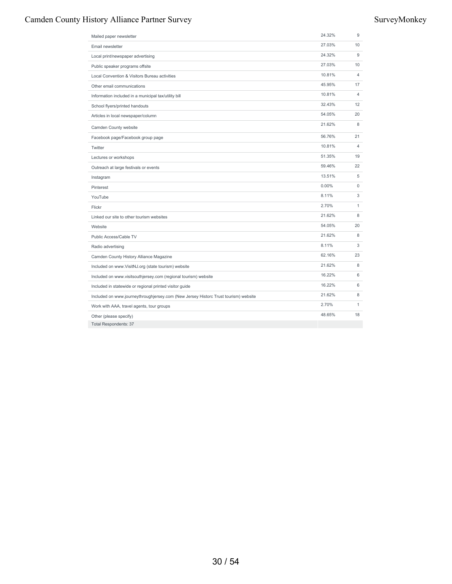## Camden County History Alliance Partner Survey Survey Survey Survey Survey Survey Survey Survey Survey Survey Survey Survey Survey Survey Survey Survey Survey Survey Survey Survey Survey Survey Survey Survey Survey Survey S

| Mailed paper newsletter                                                             | 24.32% | 9              |
|-------------------------------------------------------------------------------------|--------|----------------|
| Email newsletter                                                                    | 27.03% | 10             |
| Local print/newspaper advertising                                                   | 24.32% | 9              |
| Public speaker programs offsite                                                     | 27.03% | 10             |
| Local Convention & Visitors Bureau activities                                       | 10.81% | $\overline{4}$ |
| Other email communications                                                          | 45.95% | 17             |
| Information included in a municipal tax/utility bill                                | 10.81% | 4              |
| School flyers/printed handouts                                                      | 32.43% | 12             |
| Articles in local newspaper/column                                                  | 54.05% | 20             |
| Camden County website                                                               | 21.62% | 8              |
| Facebook page/Facebook group page                                                   | 56.76% | 21             |
| Twitter                                                                             | 10.81% | 4              |
| Lectures or workshops                                                               | 51.35% | 19             |
| Outreach at large festivals or events                                               | 59.46% | 22             |
| Instagram                                                                           | 13.51% | 5              |
| Pinterest                                                                           | 0.00%  | $\mathsf 0$    |
| YouTube                                                                             | 8.11%  | 3              |
| Flickr                                                                              | 2.70%  | $\mathbf{1}$   |
| Linked our site to other tourism websites                                           | 21.62% | 8              |
| Website                                                                             | 54.05% | 20             |
| Public Access/Cable TV                                                              | 21.62% | 8              |
| Radio advertising                                                                   | 8.11%  | 3              |
| Camden County History Alliance Magazine                                             | 62.16% | 23             |
| Included on www.VisitNJ.org (state tourism) website                                 | 21.62% | 8              |
| Included on www.visitsouthjersey.com (regional tourism) website                     | 16.22% | 6              |
| Included in statewide or regional printed visitor guide                             | 16.22% | 6              |
| Included on www.journeythroughjersey.com (New Jersey Historc Trust tourism) website | 21.62% | 8              |
| Work with AAA, travel agents, tour groups                                           | 2.70%  | 1              |
| Other (please specify)                                                              | 48.65% | 18             |
| <b>Total Respondents: 37</b>                                                        |        |                |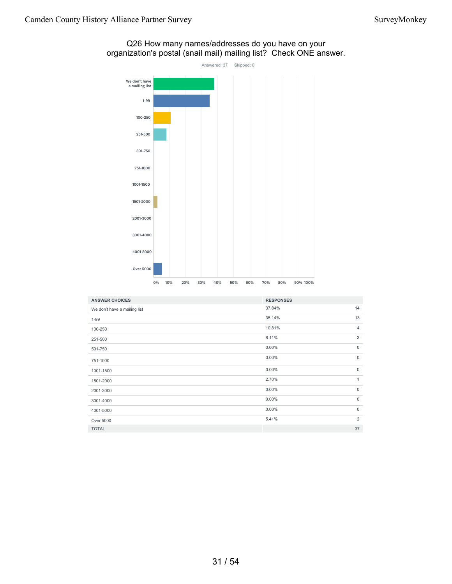

## Q26 How many names/addresses do you have on your organization's postal (snail mail) mailing list? Check ONE answer.

| <b>ANSWER CHOICES</b>        | <b>RESPONSES</b> |                |
|------------------------------|------------------|----------------|
|                              |                  |                |
| We don't have a mailing list | 37.84%           | 14             |
| $1 - 99$                     | 35.14%           | 13             |
| 100-250                      | 10.81%           | $\overline{4}$ |
| 251-500                      | 8.11%            | 3              |
| 501-750                      | $0.00\%$         | $\mathbf 0$    |
| 751-1000                     | 0.00%            | $\mathbf 0$    |
| 1001-1500                    | $0.00\%$         | $\mathbf 0$    |
| 1501-2000                    | 2.70%            | $\mathbf{1}$   |
| 2001-3000                    | 0.00%            | $\mathbf 0$    |
| 3001-4000                    | 0.00%            | $\mathsf{0}$   |
| 4001-5000                    | 0.00%            | $\mathbf 0$    |
| Over 5000                    | 5.41%            | 2              |
| <b>TOTAL</b>                 |                  | 37             |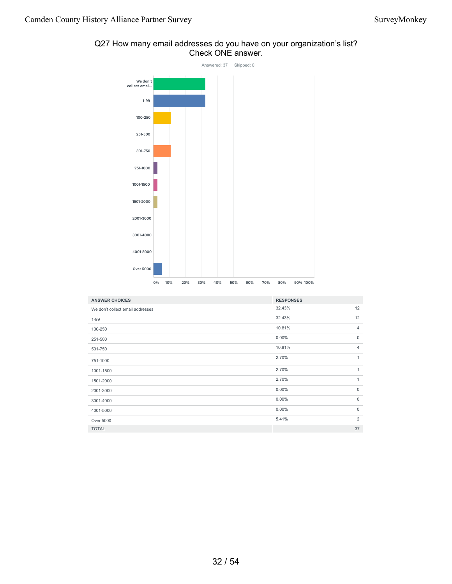

## Q27 How many email addresses do you have on your organization's list? Check ONE answer.

| <b>ANSWER CHOICES</b>            | <b>RESPONSES</b> |                |
|----------------------------------|------------------|----------------|
| We don't collect email addresses | 32.43%           | 12             |
| $1 - 99$                         | 32.43%           | 12             |
| 100-250                          | 10.81%           | 4              |
| 251-500                          | $0.00\%$         | $\mathbf 0$    |
| 501-750                          | 10.81%           | 4              |
| 751-1000                         | 2.70%            | $\mathbf{1}$   |
| 1001-1500                        | 2.70%            | $\mathbf{1}$   |
| 1501-2000                        | 2.70%            | $\mathbf{1}$   |
| 2001-3000                        | $0.00\%$         | $\mathbf 0$    |
| 3001-4000                        | $0.00\%$         | $\mathbf 0$    |
| 4001-5000                        | $0.00\%$         | $\mathbf 0$    |
| Over 5000                        | 5.41%            | $\overline{2}$ |
| <b>TOTAL</b>                     |                  | 37             |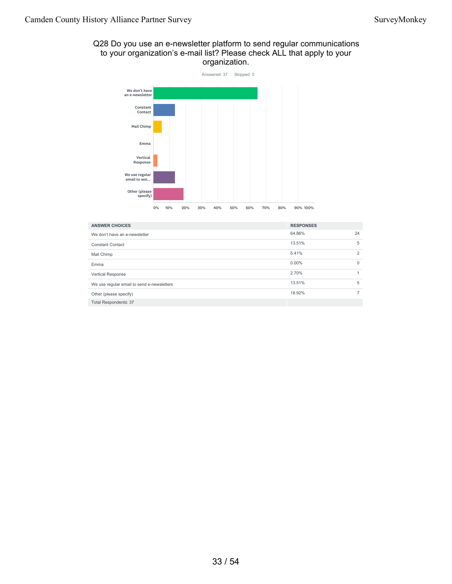## Q28 Do you use an e-newsletter platform to send regular communications to your organization's e-mail list? Please check ALL that apply to your organization.



| <b>ANSWER CHOICES</b>                      | <b>RESPONSES</b> |    |
|--------------------------------------------|------------------|----|
| We don't have an e-newsletter              | 64.86%           | 24 |
| <b>Constant Contact</b>                    | 13.51%           | 5  |
| Mail Chimp                                 | 5.41%            | 2  |
| Emma                                       | $0.00\%$         | 0  |
| Vertical Response                          | 2.70%            | 4  |
| We use regular email to send e-newsletters | 13.51%           | 5  |
| Other (please specify)                     | 18.92%           |    |
| <b>Total Respondents: 37</b>               |                  |    |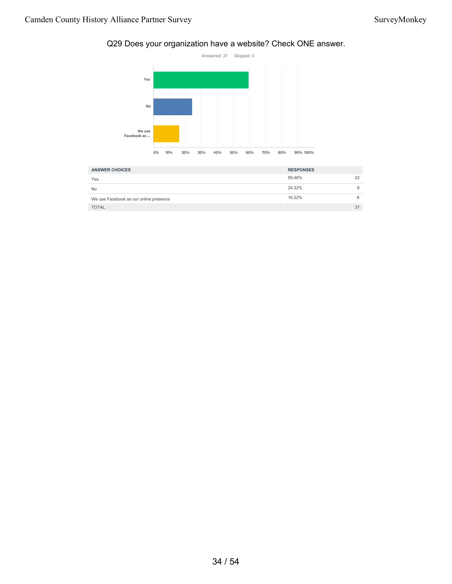## Q29 Does your organization have a website? Check ONE answer.



| <b>ANSWER CHOICES</b>                  | <b>RESPONSES</b> |    |
|----------------------------------------|------------------|----|
| Yes                                    | 59.46%           | 22 |
| <b>No</b>                              | 24.32%           |    |
| We use Facebook as our online presence | 16.22%           |    |
| <b>TOTAL</b>                           |                  | 37 |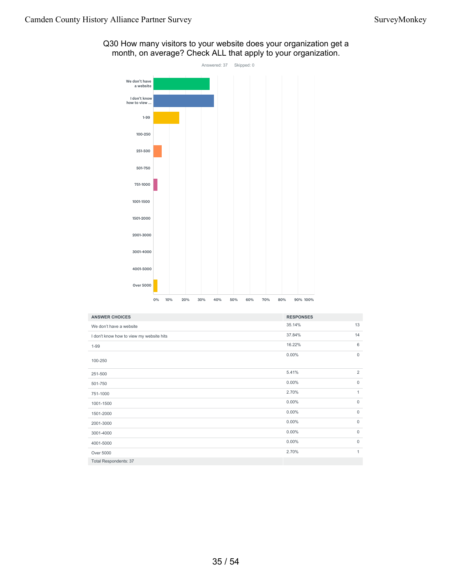

Q30 How many visitors to your website does your organization get a month, on average? Check ALL that apply to your organization.

| <b>ANSWER CHOICES</b>                    | <b>RESPONSES</b> |                |
|------------------------------------------|------------------|----------------|
| We don't have a website                  | 35.14%           | 13             |
| I don't know how to view my website hits | 37.84%           | 14             |
| $1 - 99$                                 | 16.22%           | 6              |
| 100-250                                  | $0.00\%$         | $\mathbf 0$    |
| 251-500                                  | 5.41%            | $\overline{2}$ |
| 501-750                                  | $0.00\%$         | $\mathbf 0$    |
| 751-1000                                 | 2.70%            | $\mathbf{1}$   |
| 1001-1500                                | $0.00\%$         | $\mathbf 0$    |
| 1501-2000                                | $0.00\%$         | $\mathbf 0$    |
| 2001-3000                                | $0.00\%$         | $\mathbf 0$    |
| 3001-4000                                | $0.00\%$         | $\mathbf 0$    |
| 4001-5000                                | $0.00\%$         | $\mathbf 0$    |
| Over 5000                                | 2.70%            | $\mathbf{1}$   |
| <b>Total Respondents: 37</b>             |                  |                |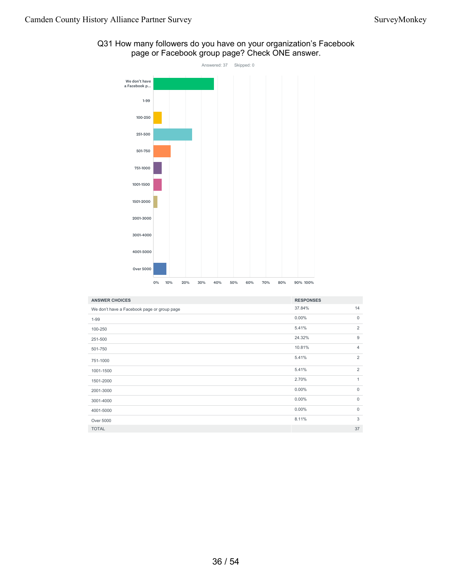# Answered: 37 Skipped: 0 We don't have a Facebook p... 1-99 100-250 251-500 501-750 751-1000 1001-1500 1501-2000 2001-3000 3001-4000 4001-5000 Over 5000 0% 10% 20% 30% 40% 50% 60% 70% 80% 90% 100%

|                                                | Q31 How many followers do you have on your organization's Facebook |
|------------------------------------------------|--------------------------------------------------------------------|
| page or Facebook group page? Check ONE answer. |                                                                    |

| <b>ANSWER CHOICES</b>                       | <b>RESPONSES</b> |                |
|---------------------------------------------|------------------|----------------|
| We don't have a Facebook page or group page | 37.84%           | 14             |
| $1 - 99$                                    | $0.00\%$         | $\mathbf 0$    |
| 100-250                                     | 5.41%            | $\overline{2}$ |
| 251-500                                     | 24.32%           | 9              |
| 501-750                                     | 10.81%           | 4              |
| 751-1000                                    | 5.41%            | 2              |
| 1001-1500                                   | 5.41%            | $\overline{2}$ |
| 1501-2000                                   | 2.70%            | $\mathbf{1}$   |
| 2001-3000                                   | $0.00\%$         | $\mathbf 0$    |
| 3001-4000                                   | 0.00%            | $\mathbf 0$    |
| 4001-5000                                   | 0.00%            | $\mathbf 0$    |
| Over 5000                                   | 8.11%            | 3              |
| <b>TOTAL</b>                                |                  | 37             |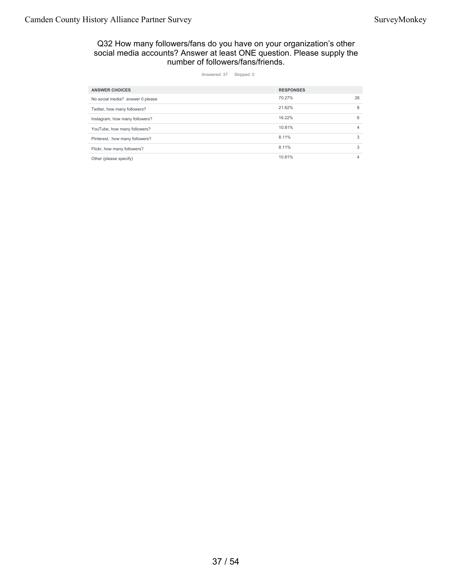## Q32 How many followers/fans do you have on your organization's other social media accounts? Answer at least ONE question. Please supply the number of followers/fans/friends.

| <b>ANSWER CHOICES</b>            | <b>RESPONSES</b> |                |
|----------------------------------|------------------|----------------|
| No social media? answer 0 please | 70.27%           | 26             |
| Twitter, how many followers?     | 21.62%           | 8              |
| Instagram, how many followers?   | 16.22%           | 6              |
| YouTube, how many followers?     | 10.81%           | $\overline{4}$ |
| Pinterest, how many followers?   | 8.11%            | 3              |
| Flickr, how many followers?      | 8.11%            | 3              |
| Other (please specify)           | 10.81%           | 4              |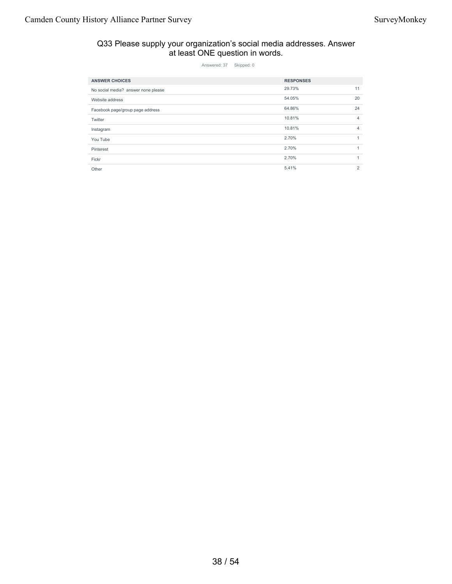## Q33 Please supply your organization's social media addresses. Answer at least ONE question in words.

| <b>ANSWER CHOICES</b>               | <b>RESPONSES</b> |                |
|-------------------------------------|------------------|----------------|
| No social media? answer none please | 29.73%           | 11             |
| Website address                     | 54.05%           | 20             |
| Facebook page/group page address    | 64.86%           | 24             |
| Twitter                             | 10.81%           | $\overline{4}$ |
| Instagram                           | 10.81%           | $\overline{4}$ |
| You Tube                            | 2.70%            | $\mathbf{1}$   |
| Pinterest                           | 2.70%            | $\mathbf{1}$   |
| Fickr                               | 2.70%            | $\mathbf{1}$   |
| Other                               | 5.41%            | 2              |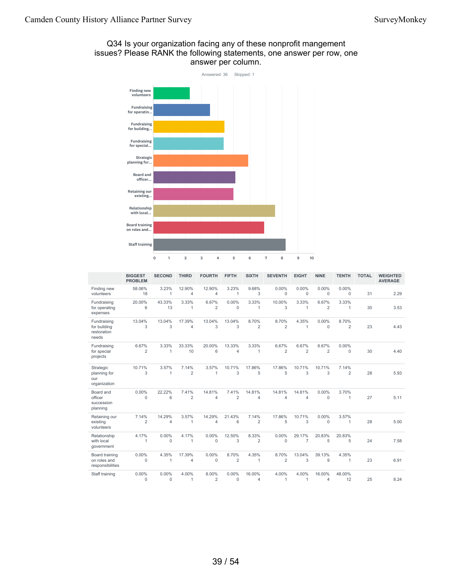## Q34 Is your organization facing any of these nonprofit mangement issues? Please RANK the following statements, one answer per row, one answer per column.



|                                                     | <b>BIGGEST</b><br><b>PROBLEM</b> | <b>SECOND</b>        | <b>THIRD</b>             | <b>FOURTH</b>            | <b>FIFTH</b>             | <b>SIXTH</b>             | <b>SEVENTH</b>           | <b>EIGHT</b>             | <b>NINE</b>              | <b>TENTH</b>             | <b>TOTAL</b> | <b>WEIGHTED</b><br><b>AVERAGE</b> |
|-----------------------------------------------------|----------------------------------|----------------------|--------------------------|--------------------------|--------------------------|--------------------------|--------------------------|--------------------------|--------------------------|--------------------------|--------------|-----------------------------------|
| Finding new<br>volunteers                           | 58.06%<br>18                     | 3.23%<br>1           | 12.90%<br>$\overline{4}$ | 12.90%<br>4              | 3.23%<br>$\mathbf{1}$    | 9.68%<br>3               | 0.00%<br>$\mathbf{0}$    | 0.00%<br>$\mathbf 0$     | 0.00%<br>$\mathbf{0}$    | $0.00\%$<br>$\mathbf{0}$ | 31           | 2.29                              |
| Fundraising<br>for operating<br>expenses            | 20.00%<br>6                      | 43.33%<br>13         | 3.33%<br>1               | 6.67%<br>$\overline{2}$  | 0.00%<br>$\Omega$        | 3.33%<br>1               | 10.00%<br>3              | 3.33%<br>$\mathbf{1}$    | 6.67%<br>$\overline{2}$  | 3.33%<br>1               | 30           | 3.53                              |
| Fundraising<br>for building<br>restoration<br>needs | 13.04%<br>3                      | 13.04%<br>3          | 17.39%<br>$\overline{4}$ | 13.04%<br>3              | 13.04%<br>3              | 8.70%<br>$\overline{2}$  | 8.70%<br>$\overline{2}$  | 4.35%<br>$\mathbf{1}$    | 0.00%<br>$\mathbf 0$     | 8.70%<br>$\overline{2}$  | 23           | 4.43                              |
| Fundraising<br>for special<br>projects              | 6.67%<br>$\overline{2}$          | 3.33%<br>1           | 33.33%<br>10             | 20.00%<br>6              | 13.33%<br>$\overline{4}$ | 3.33%<br>1               | 6.67%<br>$\overline{2}$  | 6.67%<br>$\overline{2}$  | 6.67%<br>$\overline{2}$  | $0.00\%$<br>$\Omega$     | 30           | 4.40                              |
| Strategic<br>planning for<br>our<br>organization    | 10.71%<br>3                      | 3.57%<br>1           | 7.14%<br>$\overline{2}$  | 3.57%<br>1               | 10.71%<br>3              | 17.86%<br>5              | 17.86%<br>5              | 10.71%<br>3              | 10.71%<br>3              | 7.14%<br>$\overline{2}$  | 28           | 5.93                              |
| Board and<br>officer<br>succession<br>planning      | 0.00%<br>0                       | 22.22%<br>6          | 7.41%<br>$\overline{2}$  | 14.81%<br>$\overline{4}$ | 7.41%<br>$\overline{2}$  | 14.81%<br>$\overline{4}$ | 14.81%<br>$\overline{4}$ | 14.81%<br>$\overline{4}$ | 0.00%<br>$\mathbf 0$     | 3.70%<br>1               | 27           | 5.11                              |
| Retaining our<br>existing<br>volunteers             | 7.14%<br>$\overline{2}$          | 14.29%<br>4          | 3.57%<br>1               | 14.29%<br>4              | 21.43%<br>6              | 7.14%<br>$\overline{2}$  | 17.86%<br>5              | 10.71%<br>3              | 0.00%<br>$\mathbf 0$     | 3.57%<br>1               | 28           | 5.00                              |
| Relationship<br>with local<br>government            | 4.17%<br>1                       | $0.00\%$<br>0        | 4.17%<br>1               | 0.00%<br>0               | 12.50%<br>3              | 8.33%<br>2               | $0.00\%$<br>$\mathbf{0}$ | 29.17%<br>$\overline{7}$ | 20.83%<br>5              | 20.83%<br>5              | 24           | 7.58                              |
| Board training<br>on roles and<br>responsibilities  | 0.00%<br>0                       | 4.35%<br>1           | 17.39%<br>$\overline{4}$ | 0.00%<br>$\mathbf 0$     | 8.70%<br>$\overline{2}$  | 4.35%<br>1               | 8.70%<br>$\overline{2}$  | 13.04%<br>3              | 39.13%<br>9              | 4.35%<br>1               | 23           | 6.91                              |
| Staff training                                      | 0.00%<br>$\Omega$                | $0.00\%$<br>$\Omega$ | 4.00%<br>$\mathbf{1}$    | 8.00%<br>$\overline{2}$  | 0.00%<br>$\Omega$        | 16.00%<br>$\overline{4}$ | 4.00%<br>1               | 4.00%<br>$\mathbf{1}$    | 16.00%<br>$\overline{4}$ | 48.00%<br>12             | 25           | 8.24                              |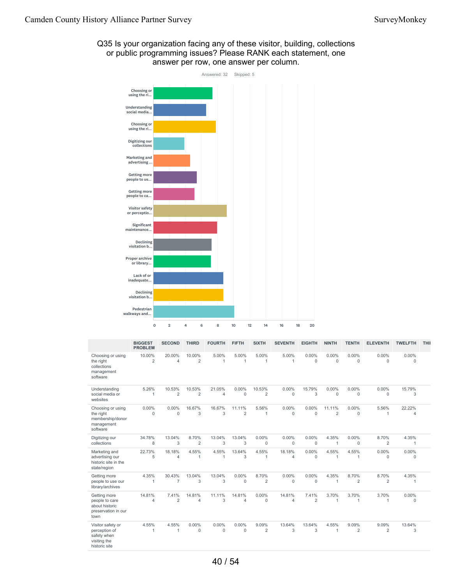

## Q35 Is your organization facing any of these visitor, building, collections or public programming issues? Please RANK each statement, one answer per row, one answer per column.

|                                                                                    | <b>BIGGEST</b><br><b>PROBLEM</b> | <b>SECOND</b>            | <b>THIRD</b>             | <b>FOURTH</b>         | <b>FIFTH</b>             | <b>SIXTH</b>             | <b>SEVENTH</b>           | <b>EIGHTH</b>                | <b>NINTH</b>             | <b>TENTH</b>            | <b>ELEVENTH</b>         | <b>TWELFTH</b>           | THII |
|------------------------------------------------------------------------------------|----------------------------------|--------------------------|--------------------------|-----------------------|--------------------------|--------------------------|--------------------------|------------------------------|--------------------------|-------------------------|-------------------------|--------------------------|------|
| Choosing or using<br>the right<br>collections<br>management<br>software            | 10.00%<br>$\overline{2}$         | 20.00%<br>4              | 10.00%<br>$\overline{2}$ | 5.00%<br>$\mathbf{1}$ | 5.00%<br>1               | 5.00%                    | 5.00%<br>$\mathbf{1}$    | 0.00%<br>$\mathbf 0$         | 0.00%<br>$\Omega$        | 0.00%<br>0              | 0.00%<br>$\Omega$       | 0.00%<br>$\mathbf 0$     |      |
| Understanding<br>social media or<br>websites                                       | 5.26%<br>1                       | 10.53%<br>$\overline{2}$ | 10.53%<br>$\overline{2}$ | 21.05%<br>4           | 0.00%<br>$\mathbf{0}$    | 10.53%<br>$\overline{2}$ | 0.00%<br>$\mathbf 0$     | 15.79%<br>3                  | 0.00%<br>$\mathbf 0$     | 0.00%<br>$\mathbf{0}$   | 0.00%<br>$\mathbf 0$    | 15.79%<br>3              |      |
| Choosing or using<br>the right<br>membership/donor<br>management<br>software       | 0.00%<br>$\Omega$                | 0.00%<br>$\mathbf{0}$    | 16.67%<br>3              | 16.67%<br>3           | 11.11%<br>$\overline{2}$ | 5.56%<br>1               | 0.00%<br>$\mathbf{0}$    | 0.00%<br>$\mathbf 0$         | 11.11%<br>$\overline{2}$ | 0.00%<br>0              | 5.56%<br>$\mathbf{1}$   | 22.22%<br>$\overline{4}$ |      |
| Digitizing our<br>collections                                                      | 34.78%<br>8                      | 13.04%<br>3              | 8.70%<br>$\overline{2}$  | 13.04%<br>3           | 13.04%<br>3              | 0.00%<br>$\mathbf 0$     | 0.00%<br>$\mathbf 0$     | 0.00%<br>$\mathsf{O}\xspace$ | 4.35%<br>1               | 0.00%<br>$\mathbf 0$    | 8.70%<br>2              | 4.35%<br>$\mathbf{1}$    |      |
| Marketing and<br>advertising our<br>historic site in the<br>state/region           | 22.73%<br>5                      | 18.18%<br>$\overline{4}$ | 4.55%<br>$\overline{1}$  | 4.55%<br>$\mathbf{1}$ | 13.64%<br>3              | 4.55%<br>1               | 18.18%<br>$\overline{4}$ | 0.00%<br>$\mathbf 0$         | 4.55%<br>1               | 4.55%<br>1              | 0.00%<br>$\mathbf 0$    | 0.00%<br>$\mathbf 0$     |      |
| Getting more<br>people to use our<br>library/archives                              | 4.35%<br>1                       | 30.43%<br>$\overline{7}$ | 13.04%<br>3              | 13.04%<br>3           | 0.00%<br>$\mathbf{0}$    | 8.70%<br>$\overline{2}$  | 0.00%<br>$\mathbf 0$     | 0.00%<br>0                   | 4.35%<br>1               | 8.70%<br>$\overline{2}$ | 8.70%<br>$\overline{2}$ | 4.35%                    |      |
| Getting more<br>people to care<br>about historic<br>preservation in our<br>town    | 14.81%<br>4                      | 7.41%<br>$\overline{2}$  | 14.81%<br>4              | 11.11%<br>3           | 14.81%<br>$\overline{4}$ | 0.00%<br>$\mathbf 0$     | 14.81%<br>$\overline{4}$ | 7.41%<br>$\overline{2}$      | 3.70%<br>1               | 3.70%<br>1              | 3.70%<br>1              | 0.00%<br>$\mathbf 0$     |      |
| Visitor safety or<br>perception of<br>safety when<br>visiting the<br>historic site | 4.55%<br>1                       | 4.55%<br>1               | 0.00%<br>$\mathbf 0$     | 0.00%<br>0            | 0.00%<br>$\mathbf{0}$    | 9.09%<br>$\overline{2}$  | 13.64%<br>3              | 13.64%<br>3                  | 4.55%<br>1               | 9.09%<br>2              | 9.09%<br>$\overline{2}$ | 13.64%<br>3              |      |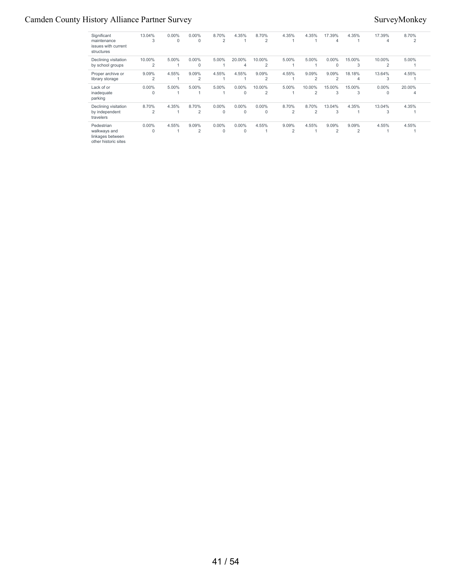## Camden County History Alliance Partner Survey Survey Survey Survey Survey Survey Survey Survey Survey Survey Survey Survey Survey Survey Survey Survey Survey Survey Survey Survey Survey Survey Survey Survey Survey Survey S

| Significant<br>maintenance<br>issues with current<br>structures        | 13.04%<br>3             | $0.00\%$<br>0 | $0.00\%$<br>0           | 8.70%<br>2               | 4.35%         | 8.70%<br>$\overline{2}$  | 4.35%                   | 4.35%                    | 17.39%<br>4             | 4.35%       | 17.39%<br>$\overline{4}$ | 8.70%<br>2  |  |
|------------------------------------------------------------------------|-------------------------|---------------|-------------------------|--------------------------|---------------|--------------------------|-------------------------|--------------------------|-------------------------|-------------|--------------------------|-------------|--|
| Declining visitation<br>by school groups                               | 10.00%<br>2             | 5.00%         | $0.00\%$<br>0           | 5.00%                    | 20.00%<br>4   | 10.00%<br>$\overline{2}$ | 5.00%                   | 5.00%                    | $0.00\%$<br>$\mathbf 0$ | 15.00%<br>3 | 10.00%<br>$\overline{2}$ | 5.00%       |  |
| Proper archive or<br>library storage                                   | 9.09%<br>2              | 4.55%         | 9.09%<br>$\overline{2}$ | 4.55%                    | 4.55%         | 9.09%<br>2               | 4.55%                   | 9.09%<br>$\overline{2}$  | 9.09%<br>$\overline{2}$ | 18.18%<br>4 | 13.64%<br>3              | 4.55%       |  |
| Lack of or<br>inadequate<br>parking                                    | $0.00\%$<br>$\mathbf 0$ | 5.00%         | 5.00%                   | 5.00%                    | $0.00\%$<br>0 | 10.00%<br>2              | 5.00%                   | 10.00%<br>$\overline{2}$ | 15.00%<br>3             | 15.00%<br>3 | $0.00\%$<br>$\Omega$     | 20.00%<br>4 |  |
| Declining visitation<br>by independent<br>travelers                    | 8.70%<br>$\overline{2}$ | 4.35%         | 8.70%<br>2              | $0.00\%$<br>$\mathbf{0}$ | $0.00\%$<br>0 | $0.00\%$<br>0            | 8.70%<br>2              | 8.70%<br>2               | 13.04%<br>3             | 4.35%       | 13.04%<br>3              | 4.35%       |  |
| Pedestrian<br>walkways and<br>linkages between<br>other historic sites | $0.00\%$<br>0           | 4.55%         | 9.09%<br>2              | $0.00\%$<br>$\mathbf{0}$ | $0.00\%$<br>0 | 4.55%                    | 9.09%<br>$\overline{2}$ | 4.55%                    | 9.09%<br>$\overline{2}$ | 9.09%<br>2  | 4.55%                    | 4.55%       |  |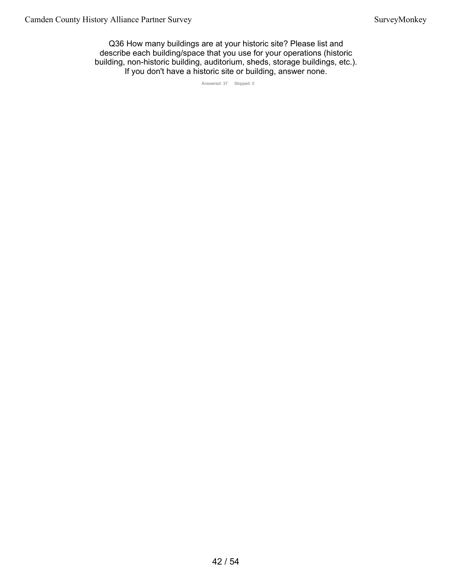Q36 How many buildings are at your historic site? Please list and describe each building/space that you use for your operations (historic building, non-historic building, auditorium, sheds, storage buildings, etc.). If you don't have a historic site or building, answer none.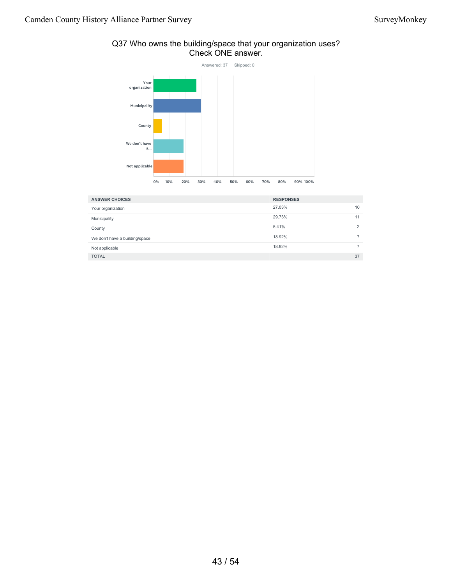# Check ONE answer. Answered: 37 Skipped: 0 Your organization

Q37 Who owns the building/space that your organization uses?



| <b>ANSWER CHOICES</b>          | <b>RESPONSES</b> |
|--------------------------------|------------------|
| Your organization              | 27.03%<br>10     |
| Municipality                   | 29.73%<br>11     |
| County                         | 5.41%<br>2       |
| We don't have a building/space | 18.92%           |
| Not applicable                 | 18.92%           |
| <b>TOTAL</b>                   | 37               |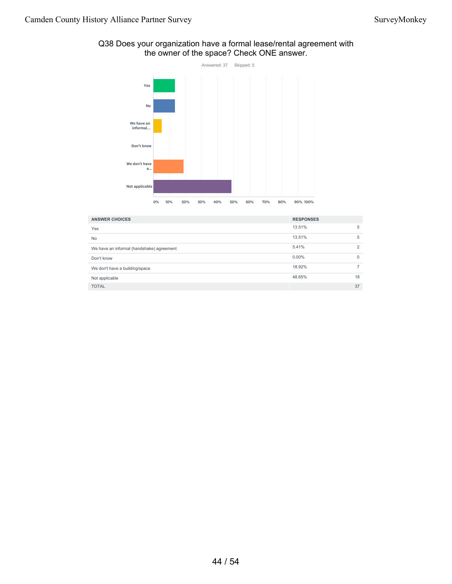### Q38 Does your organization have a formal lease/rental agreement with the owner of the space? Check ONE answer. Answered: 37 Skipped: 0



| <b>ANSWER CHOICES</b>                     | <b>RESPONSES</b> |                |
|-------------------------------------------|------------------|----------------|
| Yes                                       | 13.51%           | 5              |
| No                                        | 13.51%           | 5              |
| We have an informal (handshake) agreement | 5.41%            | $\overline{2}$ |
| Don't know                                | $0.00\%$         | $\Omega$       |
| We don't have a building/space            | 18.92%           |                |
| Not applicable                            | 48.65%           | 18             |
| <b>TOTAL</b>                              |                  | 37             |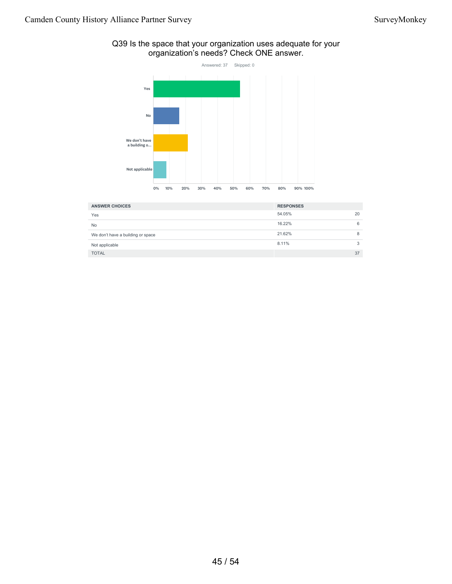#### Q39 Is the space that your organization uses adequate for your organization's needs? Check ONE answer.



| <b>ANSWER CHOICES</b>             | <b>RESPONSES</b> |    |
|-----------------------------------|------------------|----|
| Yes                               | 54.05%           | 20 |
| <b>No</b>                         | 16.22%           | 6  |
| We don't have a building or space | 21.62%           | 8  |
| Not applicable                    | 8.11%            | 3  |
| <b>TOTAL</b>                      |                  | 37 |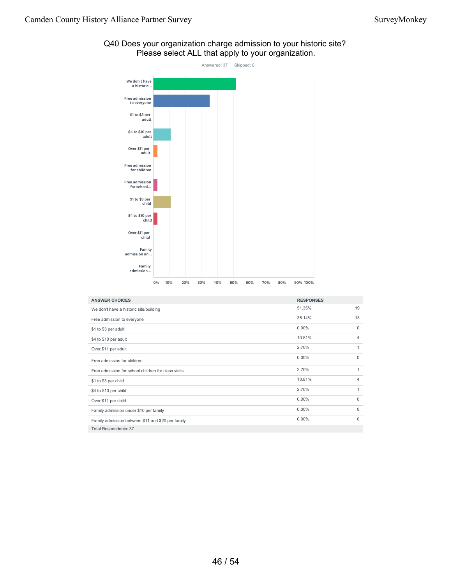

#### Q40 Does your organization charge admission to your historic site? Please select ALL that apply to your organization.

| <b>ANSWER CHOICES</b>                               | <b>RESPONSES</b> |              |
|-----------------------------------------------------|------------------|--------------|
| We don't have a historic site/building              | 51.35%           | 19           |
| Free admission to everyone                          | 35.14%           | 13           |
| \$1 to \$3 per adult                                | $0.00\%$         | $\Omega$     |
| \$4 to \$10 per adult                               | 10.81%           | 4            |
| Over \$11 per adult                                 | 2.70%            | 1            |
| Free admission for children                         | $0.00\%$         | $\Omega$     |
| Free admission for school children for class visits | 2.70%            | $\mathbf{1}$ |
| \$1 to \$3 per child                                | 10.81%           | 4            |
| \$4 to \$10 per child                               | 2.70%            | 1            |
| Over \$11 per child                                 | 0.00%            | 0            |
| Family admission under \$10 per family              | 0.00%            | $\Omega$     |
| Family admission between \$11 and \$20 per family   | $0.00\%$         | $\Omega$     |
| <b>Total Respondents: 37</b>                        |                  |              |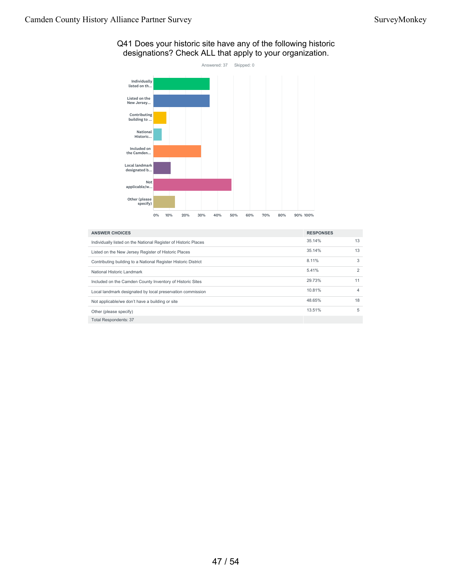# Answered: 37 Skipped: 0 Individually listed on th... Listed on the New Jersey... Contributing<br>building to ... National Historic... Included on the Camden... Local landmark designated b... Not applicable/w... Other (please specify) 0% 10% 20% 30% 40% 50% 60% 70% 80% 90% 100%

| Q41 Does your historic site have any of the following historic |  |
|----------------------------------------------------------------|--|
| designations? Check ALL that apply to your organization.       |  |

| <b>ANSWER CHOICES</b>                                           | <b>RESPONSES</b> |                |
|-----------------------------------------------------------------|------------------|----------------|
| Individually listed on the National Register of Historic Places | 35.14%           | 13             |
| Listed on the New Jersey Register of Historic Places            | 35.14%           | 13             |
| Contributing building to a National Register Historic District  | 8.11%            | 3              |
| National Historic Landmark                                      | 5.41%            | $\overline{2}$ |
| Included on the Camden County Inventory of Historic Sites       | 29.73%           | 11             |
| Local landmark designated by local preservation commission      | 10.81%           | 4              |
| Not applicable/we don't have a building or site                 | 48.65%           | 18             |
| Other (please specify)                                          | 13.51%           | 5              |
| <b>Total Respondents: 37</b>                                    |                  |                |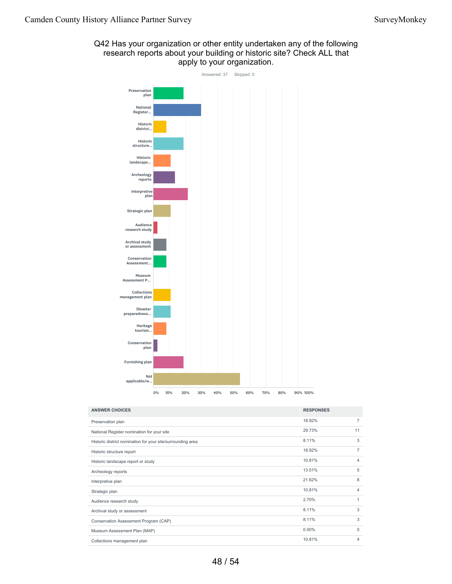### Q42 Has your organization or other entity undertaken any of the following research reports about your building or historic site? Check ALL that apply to your organization.



| <b>ANSWER CHOICES</b>                                       | <b>RESPONSES</b> |                |
|-------------------------------------------------------------|------------------|----------------|
| Preservation plan                                           | 18.92%           | $\overline{7}$ |
| National Register nomination for your site                  | 29.73%           | 11             |
| Historic district nomination for your site/surrounding area | 8.11%            | 3              |
| Historic structure report                                   | 18.92%           | $\overline{7}$ |
| Historic landscape report or study                          | 10.81%           | 4              |
| Archeology reports                                          | 13.51%           | 5              |
| Interpretive plan                                           | 21.62%           | 8              |
| Strategic plan                                              | 10.81%           | 4              |
| Audience research study                                     | 2.70%            | 1              |
| Archival study or assessment                                | 8.11%            | 3              |
| Conservation Assessment Program (CAP)                       | 8.11%            | 3              |
| Museum Assessment Plan (MAP)                                | $0.00\%$         | $\Omega$       |
| Collections management plan                                 | 10.81%           | 4              |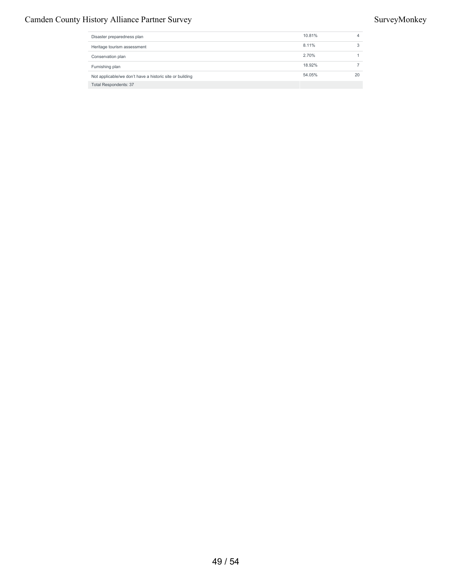### Camden County History Alliance Partner Survey Survey Survey Survey Survey Survey Survey Survey Survey Survey Survey Survey Survey Survey Survey Survey Survey Survey Survey Survey Survey Survey Survey Survey Survey Survey S

| Disaster preparedness plan                               | 10.81% | 4  |
|----------------------------------------------------------|--------|----|
| Heritage tourism assessment                              | 8.11%  | 3  |
| Conservation plan                                        | 2.70%  |    |
| Furnishing plan                                          | 18.92% |    |
| Not applicable/we don't have a historic site or building | 54.05% | 20 |
| <b>Total Respondents: 37</b>                             |        |    |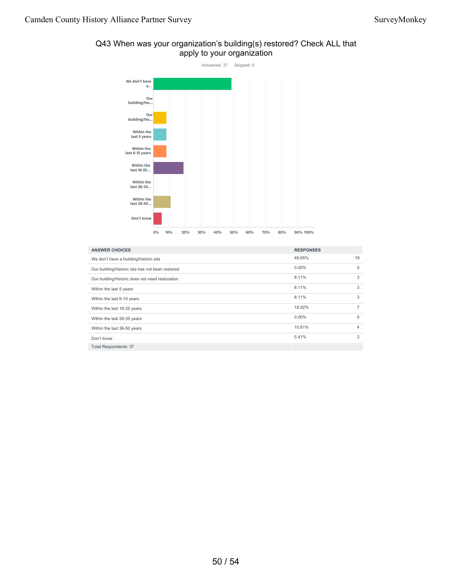

#### Q43 When was your organization's building(s) restored? Check ALL that apply to your organization

| <b>ANSWER CHOICES</b>                            | <b>RESPONSES</b> |                |
|--------------------------------------------------|------------------|----------------|
| We don't have a building/historic site           | 48.65%           | 18             |
| Our building/historic site has not been restored | $0.00\%$         | $\Omega$       |
| Our building/historic does not need restoration  | 8.11%            | 3              |
| Within the last 5 years                          | 8.11%            | 3              |
| Within the last 6-15 years                       | 8.11%            | 3              |
| Within the last 16-25 years                      | 18.92%           | 7              |
| Within the last 26-35 years                      | $0.00\%$         | $\Omega$       |
| Within the last 36-50 years                      | 10.81%           | $\overline{4}$ |
| Don't know                                       | 5.41%            | 2              |
| <b>Total Respondents: 37</b>                     |                  |                |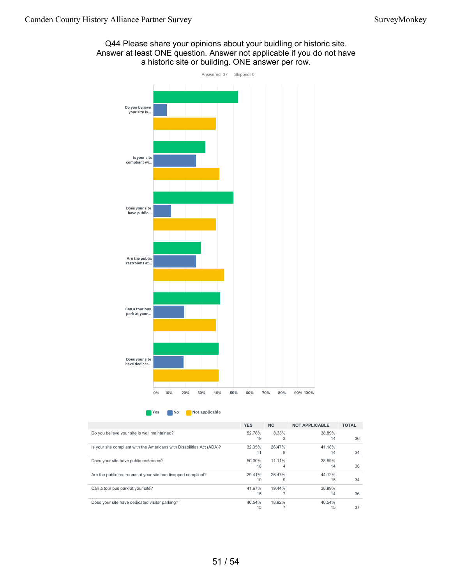

Q44 Please share your opinions about your buidling or historic site. Answer at least ONE question. Answer not applicable if you do not have a historic site or building. ONE answer per row.

**No** Not applicable

|                                                                        | <b>YES</b> | <b>NO</b> | <b>NOT APPLICABLE</b> | <b>TOTAL</b> |
|------------------------------------------------------------------------|------------|-----------|-----------------------|--------------|
| Do you believe your site is well maintained?                           | 52.78%     | 8.33%     | 38.89%                |              |
|                                                                        | 19         | 3         | 14                    | 36           |
| Is your site compliant with the Americans with Disabilities Act (ADA)? | 32.35%     | 26.47%    | 41.18%                |              |
|                                                                        | 11         | 9         | 14                    | 34           |
| Does your site have public restrooms?                                  | 50.00%     | 11.11%    | 38.89%                |              |
|                                                                        | 18         | 4         | 14                    | 36           |
| Are the public restrooms at your site handicapped compliant?           | 29.41%     | 26.47%    | 44.12%                |              |
|                                                                        | 10         | 9         | 15                    | 34           |
| Can a tour bus park at your site?                                      | 41.67%     | 19.44%    | 38.89%                |              |
|                                                                        | 15         |           | 14                    | 36           |
| Does your site have dedicated visitor parking?                         | 40.54%     | 18.92%    | 40.54%                |              |
|                                                                        | 15         |           | 15                    | 37           |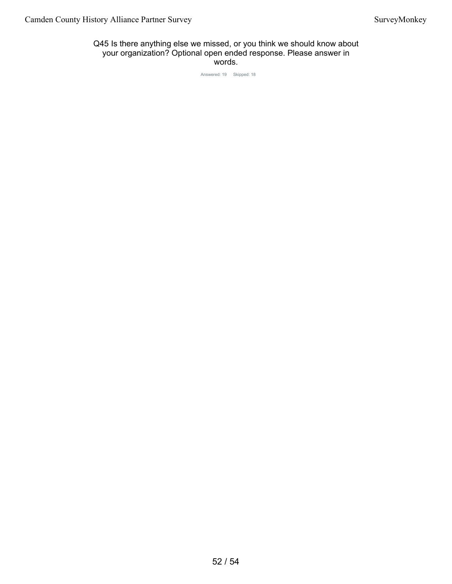#### Q45 Is there anything else we missed, or you think we should know about your organization? Optional open ended response. Please answer in words.

Answered: 19 Skipped: 18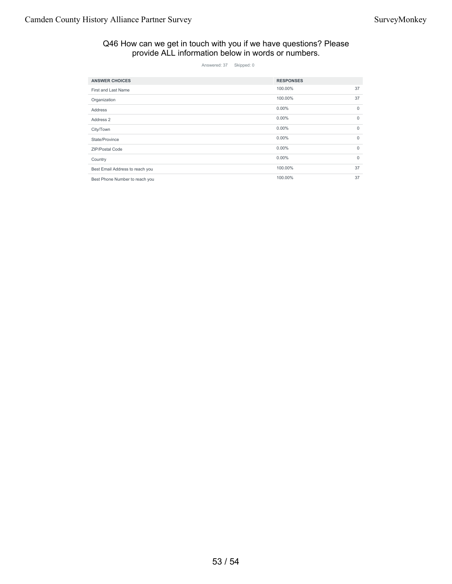#### Q46 How can we get in touch with you if we have questions? Please provide ALL information below in words or numbers.

Answered: 37 Skipped: 0

| <b>ANSWER CHOICES</b>           | <b>RESPONSES</b> |              |
|---------------------------------|------------------|--------------|
| First and Last Name             | 100.00%          | 37           |
| Organization                    | 100.00%          | 37           |
| Address                         | $0.00\%$         | $\mathbf{0}$ |
| Address 2                       | $0.00\%$         | $\mathbf 0$  |
| City/Town                       | $0.00\%$         | $\mathbf 0$  |
| State/Province                  | $0.00\%$         | $\mathbf 0$  |
| <b>ZIP/Postal Code</b>          | $0.00\%$         | $\mathbf 0$  |
| Country                         | $0.00\%$         | $\mathbf 0$  |
| Best Email Address to reach you | 100.00%          | 37           |
| Best Phone Number to reach you  | 100.00%          | 37           |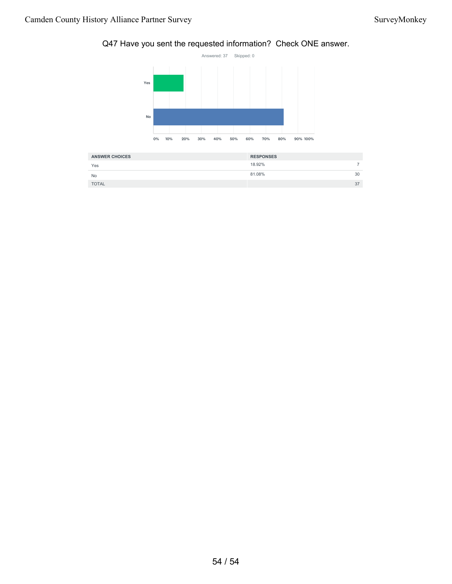### Q47 Have you sent the requested information? Check ONE answer.



| <b>ANSWER CHOICES</b> | <b>RESPONSES</b> |  |
|-----------------------|------------------|--|
| Yes                   | 18.92%           |  |
| <b>No</b>             | 81.08%<br>30     |  |
| <b>TOTAL</b>          | 37               |  |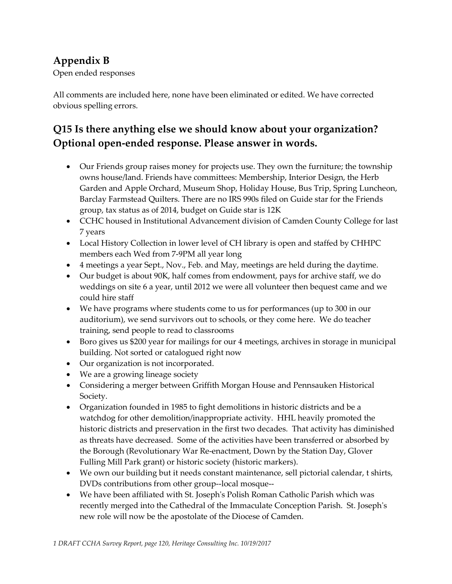### **Appendix B**

Open ended responses

All comments are included here, none have been eliminated or edited. We have corrected obvious spelling errors.

### **Q15 Is there anything else we should know about your organization? Optional open-ended response. Please answer in words.**

- Our Friends group raises money for projects use. They own the furniture; the township owns house/land. Friends have committees: Membership, Interior Design, the Herb Garden and Apple Orchard, Museum Shop, Holiday House, Bus Trip, Spring Luncheon, Barclay Farmstead Quilters. There are no IRS 990s filed on Guide star for the Friends group, tax status as of 2014, budget on Guide star is 12K
- CCHC housed in Institutional Advancement division of Camden County College for last 7 years
- Local History Collection in lower level of CH library is open and staffed by CHHPC members each Wed from 7-9PM all year long
- 4 meetings a year Sept., Nov., Feb. and May, meetings are held during the daytime.
- Our budget is about 90K, half comes from endowment, pays for archive staff, we do weddings on site 6 a year, until 2012 we were all volunteer then bequest came and we could hire staff
- We have programs where students come to us for performances (up to 300 in our auditorium), we send survivors out to schools, or they come here. We do teacher training, send people to read to classrooms
- Boro gives us \$200 year for mailings for our 4 meetings, archives in storage in municipal building. Not sorted or catalogued right now
- Our organization is not incorporated.
- We are a growing lineage society
- Considering a merger between Griffith Morgan House and Pennsauken Historical Society.
- Organization founded in 1985 to fight demolitions in historic districts and be a watchdog for other demolition/inappropriate activity. HHL heavily promoted the historic districts and preservation in the first two decades. That activity has diminished as threats have decreased. Some of the activities have been transferred or absorbed by the Borough (Revolutionary War Re-enactment, Down by the Station Day, Glover Fulling Mill Park grant) or historic society (historic markers).
- We own our building but it needs constant maintenance, sell pictorial calendar, t shirts, DVDs contributions from other group--local mosque--
- We have been affiliated with St. Joseph's Polish Roman Catholic Parish which was recently merged into the Cathedral of the Immaculate Conception Parish. St. Joseph's new role will now be the apostolate of the Diocese of Camden.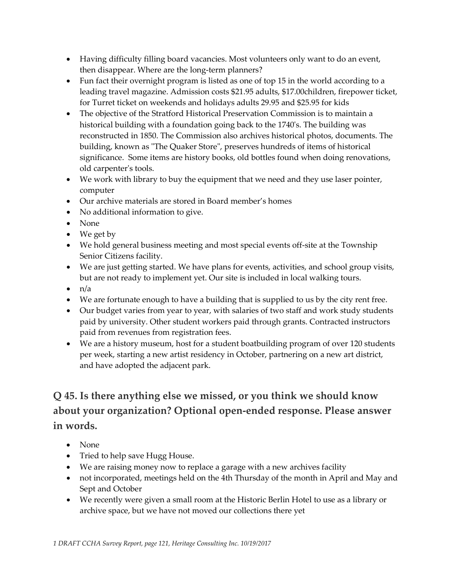- Having difficulty filling board vacancies. Most volunteers only want to do an event, then disappear. Where are the long-term planners?
- Fun fact their overnight program is listed as one of top 15 in the world according to a leading travel magazine. Admission costs \$21.95 adults, \$17.00children, firepower ticket, for Turret ticket on weekends and holidays adults 29.95 and \$25.95 for kids
- The objective of the Stratford Historical Preservation Commission is to maintain a historical building with a foundation going back to the 1740's. The building was reconstructed in 1850. The Commission also archives historical photos, documents. The building, known as "The Quaker Store", preserves hundreds of items of historical significance. Some items are history books, old bottles found when doing renovations, old carpenter's tools.
- We work with library to buy the equipment that we need and they use laser pointer, computer
- Our archive materials are stored in Board member's homes
- No additional information to give.
- None
- We get by
- We hold general business meeting and most special events off-site at the Township Senior Citizens facility.
- We are just getting started. We have plans for events, activities, and school group visits, but are not ready to implement yet. Our site is included in local walking tours.
- $\bullet$  n/a
- We are fortunate enough to have a building that is supplied to us by the city rent free.
- Our budget varies from year to year, with salaries of two staff and work study students paid by university. Other student workers paid through grants. Contracted instructors paid from revenues from registration fees.
- We are a history museum, host for a student boatbuilding program of over 120 students per week, starting a new artist residency in October, partnering on a new art district, and have adopted the adjacent park.

# **Q 45. Is there anything else we missed, or you think we should know about your organization? Optional open-ended response. Please answer in words.**

- None
- Tried to help save Hugg House.
- We are raising money now to replace a garage with a new archives facility
- not incorporated, meetings held on the 4th Thursday of the month in April and May and Sept and October
- We recently were given a small room at the Historic Berlin Hotel to use as a library or archive space, but we have not moved our collections there yet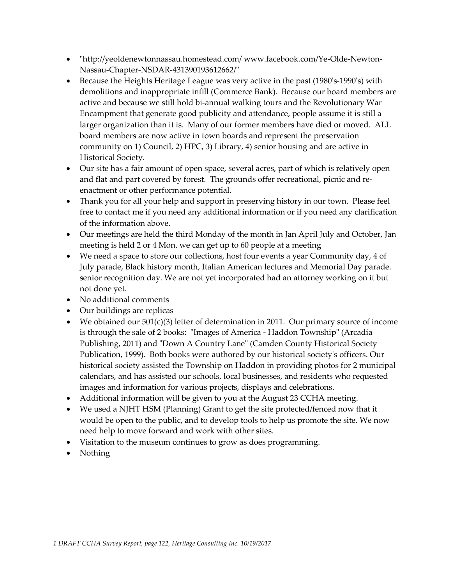- "http://yeoldenewtonnassau.homestead.com/ www.facebook.com/Ye-Olde-Newton-Nassau-Chapter-NSDAR-431390193612662/"
- Because the Heights Heritage League was very active in the past (1980's-1990's) with demolitions and inappropriate infill (Commerce Bank). Because our board members are active and because we still hold bi-annual walking tours and the Revolutionary War Encampment that generate good publicity and attendance, people assume it is still a larger organization than it is. Many of our former members have died or moved. ALL board members are now active in town boards and represent the preservation community on 1) Council, 2) HPC, 3) Library, 4) senior housing and are active in Historical Society.
- Our site has a fair amount of open space, several acres, part of which is relatively open and flat and part covered by forest. The grounds offer recreational, picnic and reenactment or other performance potential.
- Thank you for all your help and support in preserving history in our town. Please feel free to contact me if you need any additional information or if you need any clarification of the information above.
- Our meetings are held the third Monday of the month in Jan April July and October, Jan meeting is held 2 or 4 Mon. we can get up to 60 people at a meeting
- We need a space to store our collections, host four events a year Community day, 4 of July parade, Black history month, Italian American lectures and Memorial Day parade. senior recognition day. We are not yet incorporated had an attorney working on it but not done yet.
- No additional comments
- Our buildings are replicas
- We obtained our 501(c)(3) letter of determination in 2011. Our primary source of income is through the sale of 2 books: "Images of America - Haddon Township" (Arcadia Publishing, 2011) and "Down A Country Lane" (Camden County Historical Society Publication, 1999). Both books were authored by our historical society's officers. Our historical society assisted the Township on Haddon in providing photos for 2 municipal calendars, and has assisted our schools, local businesses, and residents who requested images and information for various projects, displays and celebrations.
- Additional information will be given to you at the August 23 CCHA meeting.
- We used a NJHT HSM (Planning) Grant to get the site protected/fenced now that it would be open to the public, and to develop tools to help us promote the site. We now need help to move forward and work with other sites.
- Visitation to the museum continues to grow as does programming.
- Nothing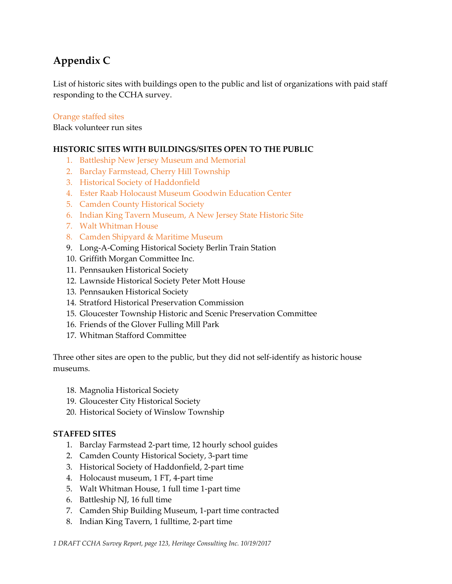# **Appendix C**

List of historic sites with buildings open to the public and list of organizations with paid staff responding to the CCHA survey.

### Orange staffed sites

Black volunteer run sites

### **HISTORIC SITES WITH BUILDINGS/SITES OPEN TO THE PUBLIC**

- 1. Battleship New Jersey Museum and Memorial
- 2. Barclay Farmstead, Cherry Hill Township
- 3. Historical Society of Haddonfield
- 4. Ester Raab Holocaust Museum Goodwin Education Center
- 5. Camden County Historical Society
- 6. Indian King Tavern Museum, A New Jersey State Historic Site
- 7. Walt Whitman House
- 8. Camden Shipyard & Maritime Museum
- 9. Long-A-Coming Historical Society Berlin Train Station
- 10. Griffith Morgan Committee Inc.
- 11. Pennsauken Historical Society
- 12. Lawnside Historical Society Peter Mott House
- 13. Pennsauken Historical Society
- 14. Stratford Historical Preservation Commission
- 15. Gloucester Township Historic and Scenic Preservation Committee
- 16. Friends of the Glover Fulling Mill Park
- 17. Whitman Stafford Committee

Three other sites are open to the public, but they did not self-identify as historic house museums.

- 18. Magnolia Historical Society
- 19. Gloucester City Historical Society
- 20. Historical Society of Winslow Township

### **STAFFED SITES**

- 1. Barclay Farmstead 2-part time, 12 hourly school guides
- 2. Camden County Historical Society, 3-part time
- 3. Historical Society of Haddonfield, 2-part time
- 4. Holocaust museum, 1 FT, 4-part time
- 5. Walt Whitman House, 1 full time 1-part time
- 6. Battleship NJ, 16 full time
- 7. Camden Ship Building Museum, 1-part time contracted
- 8. Indian King Tavern, 1 fulltime, 2-part time